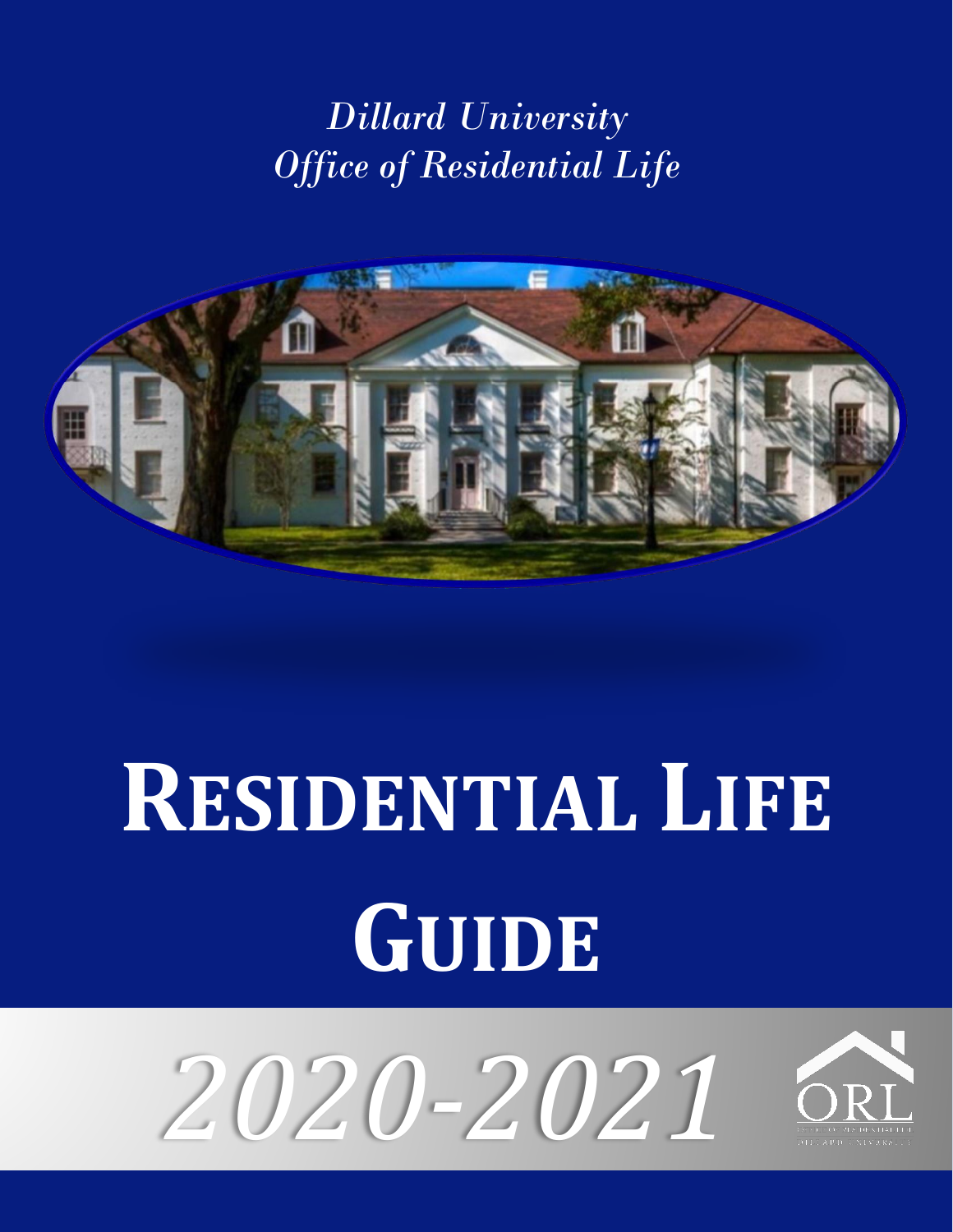## *Dillard University Office of Residential Life*



# **RESIDENTIAL LIFE GUIDE**



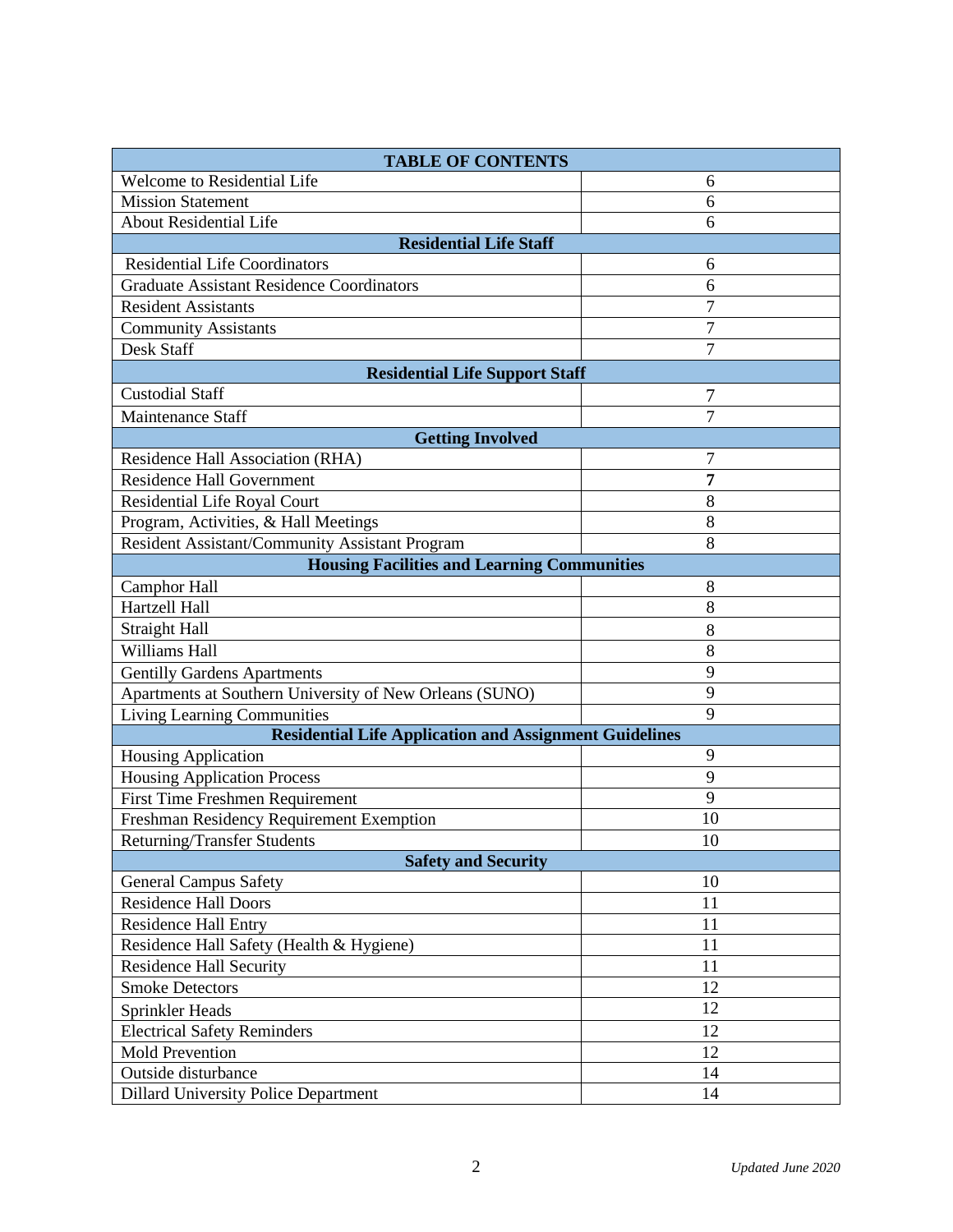| <b>TABLE OF CONTENTS</b>                                      |                |  |  |
|---------------------------------------------------------------|----------------|--|--|
| Welcome to Residential Life                                   | 6              |  |  |
| <b>Mission Statement</b>                                      | 6              |  |  |
| <b>About Residential Life</b>                                 | 6              |  |  |
| <b>Residential Life Staff</b>                                 |                |  |  |
| <b>Residential Life Coordinators</b>                          | 6              |  |  |
| <b>Graduate Assistant Residence Coordinators</b>              | 6              |  |  |
| <b>Resident Assistants</b>                                    | 7              |  |  |
| <b>Community Assistants</b>                                   | 7              |  |  |
| Desk Staff                                                    | 7              |  |  |
| <b>Residential Life Support Staff</b>                         |                |  |  |
| <b>Custodial Staff</b>                                        | 7              |  |  |
| <b>Maintenance Staff</b>                                      | $\overline{7}$ |  |  |
| <b>Getting Involved</b>                                       |                |  |  |
| Residence Hall Association (RHA)                              | 7              |  |  |
| <b>Residence Hall Government</b>                              | 7              |  |  |
| Residential Life Royal Court                                  | 8              |  |  |
| Program, Activities, & Hall Meetings                          | 8              |  |  |
| Resident Assistant/Community Assistant Program                | 8              |  |  |
| <b>Housing Facilities and Learning Communities</b>            |                |  |  |
| <b>Camphor Hall</b>                                           | 8              |  |  |
| Hartzell Hall                                                 | 8              |  |  |
| <b>Straight Hall</b>                                          | 8              |  |  |
| Williams Hall                                                 | 8              |  |  |
| <b>Gentilly Gardens Apartments</b>                            | 9              |  |  |
| Apartments at Southern University of New Orleans (SUNO)       | 9              |  |  |
| Living Learning Communities                                   | 9              |  |  |
| <b>Residential Life Application and Assignment Guidelines</b> |                |  |  |
| Housing Application                                           | 9              |  |  |
| <b>Housing Application Process</b>                            | 9              |  |  |
| First Time Freshmen Requirement                               | 9              |  |  |
| Freshman Residency Requirement Exemption                      | 10             |  |  |
| <b>Returning/Transfer Students</b>                            | 10             |  |  |
| <b>Safety and Security</b>                                    |                |  |  |
| <b>General Campus Safety</b>                                  | 10             |  |  |
| <b>Residence Hall Doors</b>                                   | 11             |  |  |
| <b>Residence Hall Entry</b>                                   | 11             |  |  |
| Residence Hall Safety (Health & Hygiene)                      | 11             |  |  |
| <b>Residence Hall Security</b>                                | 11             |  |  |
| <b>Smoke Detectors</b>                                        | 12             |  |  |
| Sprinkler Heads                                               | 12             |  |  |
| <b>Electrical Safety Reminders</b>                            | 12             |  |  |
| <b>Mold Prevention</b>                                        | 12             |  |  |
| Outside disturbance                                           | 14             |  |  |
| <b>Dillard University Police Department</b>                   | 14             |  |  |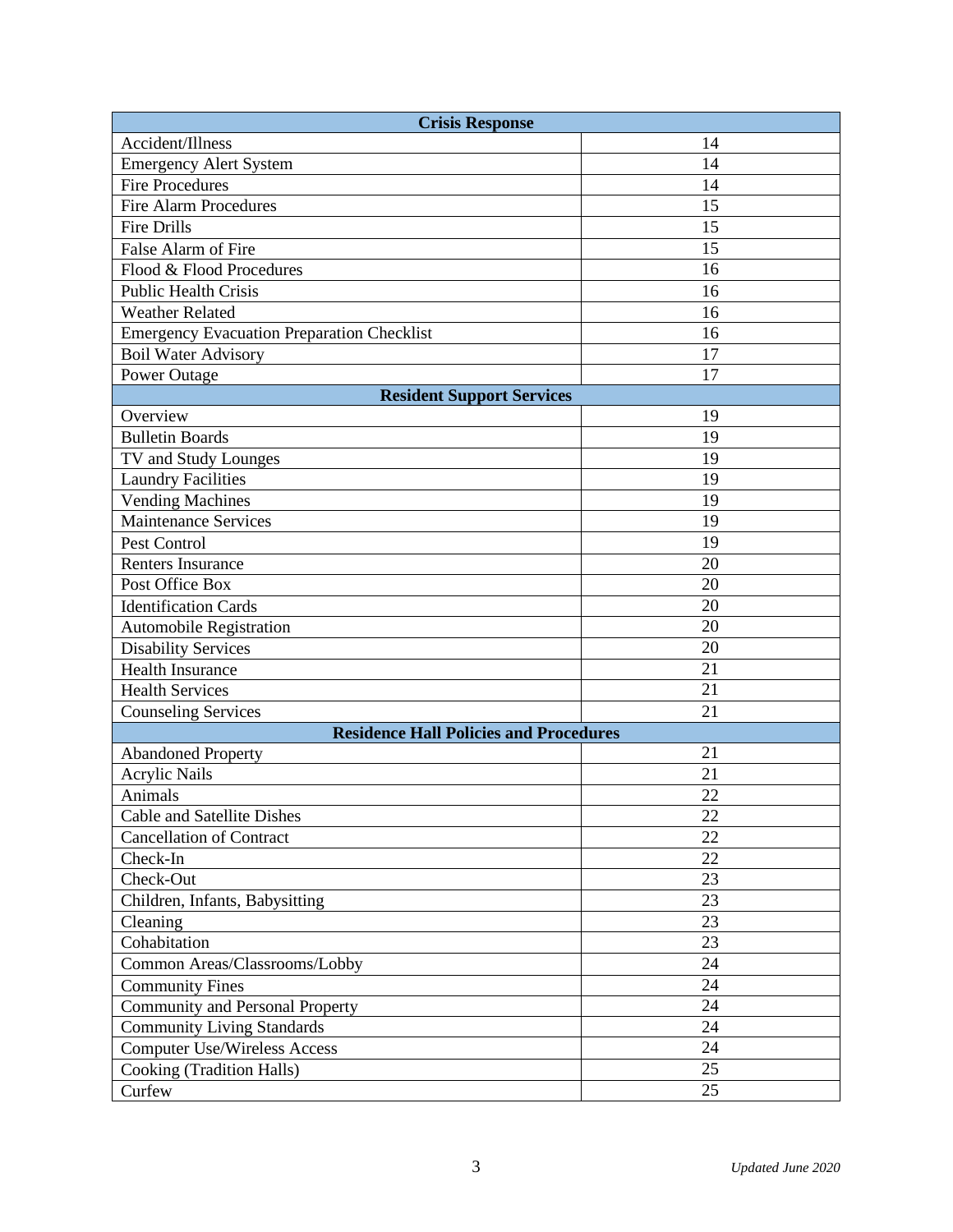| <b>Crisis Response</b>                            |    |  |
|---------------------------------------------------|----|--|
| Accident/Illness                                  | 14 |  |
| <b>Emergency Alert System</b>                     | 14 |  |
| <b>Fire Procedures</b>                            | 14 |  |
| <b>Fire Alarm Procedures</b>                      | 15 |  |
| <b>Fire Drills</b>                                | 15 |  |
| False Alarm of Fire                               | 15 |  |
| Flood & Flood Procedures                          | 16 |  |
| <b>Public Health Crisis</b>                       | 16 |  |
| <b>Weather Related</b>                            | 16 |  |
| <b>Emergency Evacuation Preparation Checklist</b> | 16 |  |
| <b>Boil Water Advisory</b>                        | 17 |  |
| Power Outage                                      | 17 |  |
| <b>Resident Support Services</b>                  |    |  |
| Overview                                          | 19 |  |
| <b>Bulletin Boards</b>                            | 19 |  |
| TV and Study Lounges                              | 19 |  |
| <b>Laundry Facilities</b>                         | 19 |  |
| <b>Vending Machines</b>                           | 19 |  |
| <b>Maintenance Services</b>                       | 19 |  |
| Pest Control                                      | 19 |  |
| <b>Renters Insurance</b>                          | 20 |  |
| Post Office Box                                   | 20 |  |
| <b>Identification Cards</b>                       | 20 |  |
| <b>Automobile Registration</b>                    | 20 |  |
| <b>Disability Services</b>                        | 20 |  |
| <b>Health Insurance</b>                           | 21 |  |
| <b>Health Services</b>                            | 21 |  |
| <b>Counseling Services</b>                        | 21 |  |
| <b>Residence Hall Policies and Procedures</b>     |    |  |
| <b>Abandoned Property</b>                         | 21 |  |
| <b>Acrylic Nails</b>                              | 21 |  |
| Animals                                           | 22 |  |
| <b>Cable and Satellite Dishes</b>                 | 22 |  |
| <b>Cancellation of Contract</b>                   | 22 |  |
| Check-In                                          | 22 |  |
| Check-Out                                         | 23 |  |
| Children, Infants, Babysitting                    | 23 |  |
| Cleaning                                          | 23 |  |
| Cohabitation                                      | 23 |  |
| Common Areas/Classrooms/Lobby                     | 24 |  |
| <b>Community Fines</b>                            | 24 |  |
| Community and Personal Property                   | 24 |  |
| <b>Community Living Standards</b>                 | 24 |  |
| <b>Computer Use/Wireless Access</b>               | 24 |  |
| Cooking (Tradition Halls)                         | 25 |  |
| Curfew                                            | 25 |  |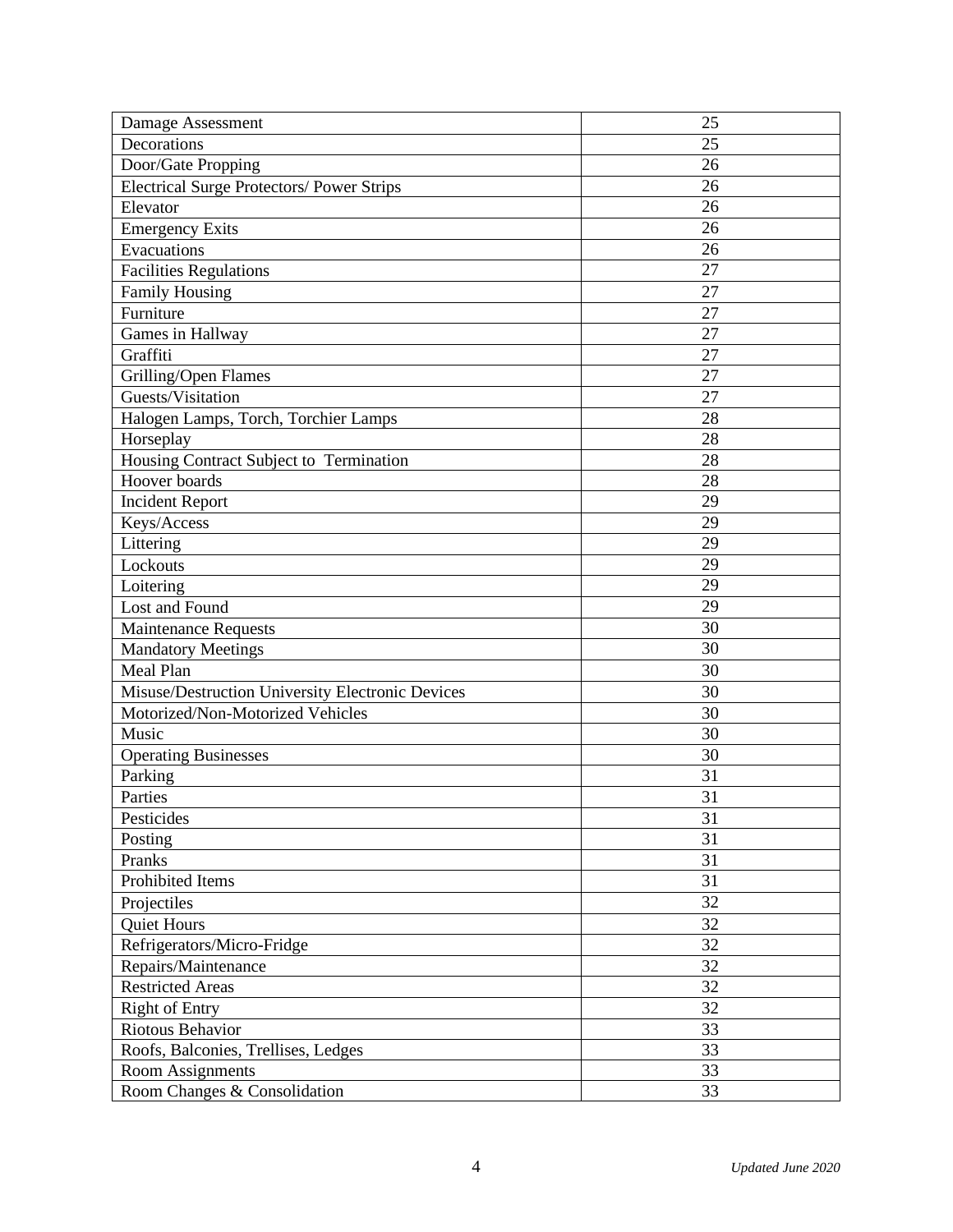| Damage Assessment                                | 25 |
|--------------------------------------------------|----|
| Decorations                                      | 25 |
| Door/Gate Propping                               | 26 |
| <b>Electrical Surge Protectors/ Power Strips</b> | 26 |
| Elevator                                         | 26 |
| <b>Emergency Exits</b>                           | 26 |
| Evacuations                                      | 26 |
| <b>Facilities Regulations</b>                    | 27 |
| <b>Family Housing</b>                            | 27 |
| Furniture                                        | 27 |
| Games in Hallway                                 | 27 |
| Graffiti                                         | 27 |
| Grilling/Open Flames                             | 27 |
| Guests/Visitation                                | 27 |
| Halogen Lamps, Torch, Torchier Lamps             | 28 |
| Horseplay                                        | 28 |
| Housing Contract Subject to Termination          | 28 |
| Hoover boards                                    | 28 |
| <b>Incident Report</b>                           | 29 |
| Keys/Access                                      | 29 |
| Littering                                        | 29 |
| Lockouts                                         | 29 |
| Loitering                                        | 29 |
| Lost and Found                                   | 29 |
| Maintenance Requests                             | 30 |
| <b>Mandatory Meetings</b>                        | 30 |
| Meal Plan                                        | 30 |
| Misuse/Destruction University Electronic Devices | 30 |
| Motorized/Non-Motorized Vehicles                 | 30 |
| Music                                            | 30 |
| <b>Operating Businesses</b>                      | 30 |
| Parking                                          | 31 |
| Parties                                          | 31 |
| Pesticides                                       | 31 |
| Posting                                          | 31 |
| Pranks                                           | 31 |
| Prohibited Items                                 | 31 |
| Projectiles                                      | 32 |
| <b>Quiet Hours</b>                               | 32 |
| Refrigerators/Micro-Fridge                       | 32 |
| Repairs/Maintenance                              | 32 |
| <b>Restricted Areas</b>                          | 32 |
| <b>Right of Entry</b>                            | 32 |
| Riotous Behavior                                 | 33 |
| Roofs, Balconies, Trellises, Ledges              | 33 |
| Room Assignments                                 | 33 |
| Room Changes & Consolidation                     | 33 |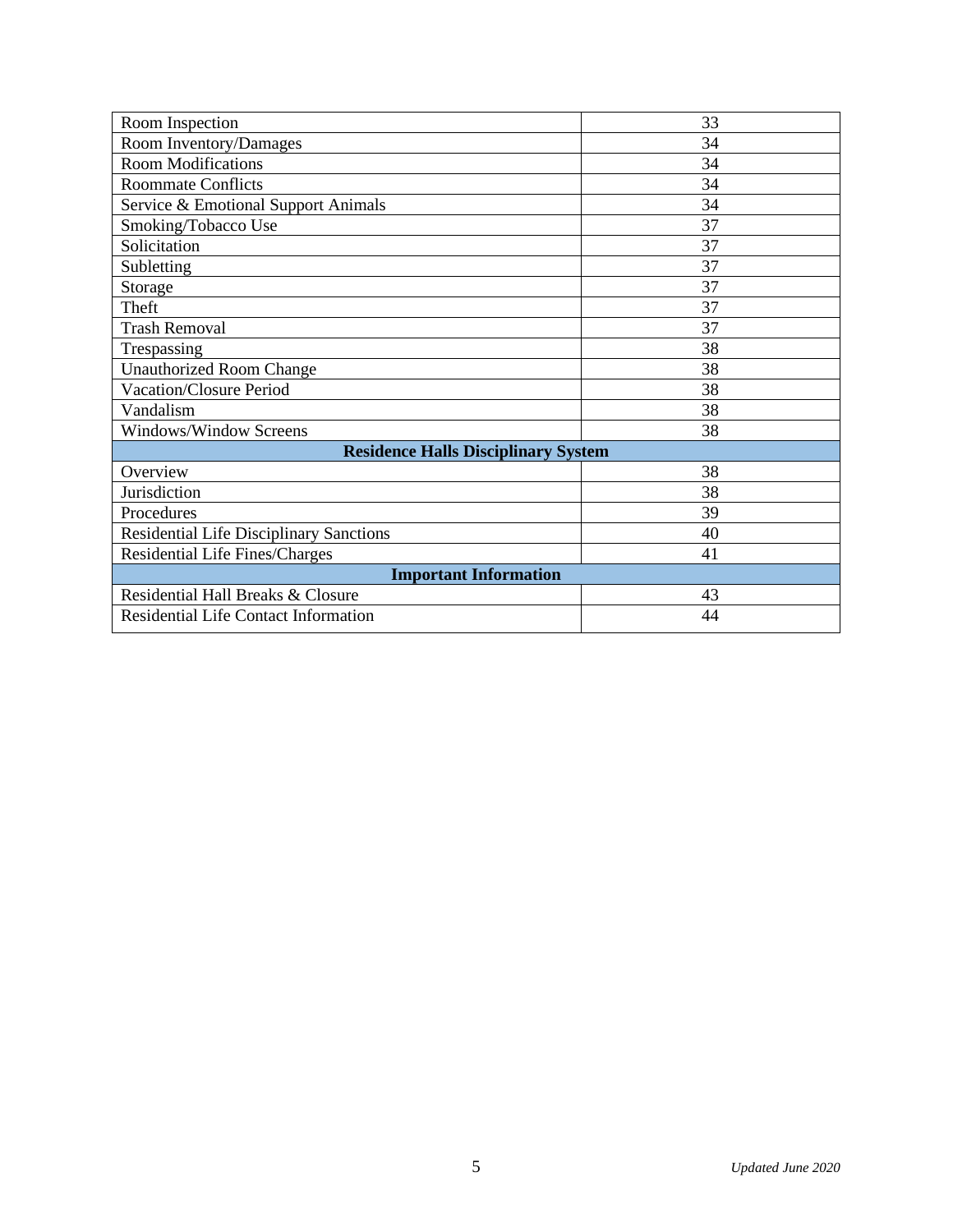| Room Inspection                                | 33 |  |
|------------------------------------------------|----|--|
| Room Inventory/Damages                         | 34 |  |
| <b>Room Modifications</b>                      | 34 |  |
| <b>Roommate Conflicts</b>                      | 34 |  |
| Service & Emotional Support Animals            | 34 |  |
| Smoking/Tobacco Use                            | 37 |  |
| Solicitation                                   | 37 |  |
| Subletting                                     | 37 |  |
| Storage                                        | 37 |  |
| Theft                                          | 37 |  |
| <b>Trash Removal</b>                           | 37 |  |
| Trespassing                                    | 38 |  |
| <b>Unauthorized Room Change</b>                | 38 |  |
| Vacation/Closure Period                        | 38 |  |
| Vandalism                                      | 38 |  |
| Windows/Window Screens                         | 38 |  |
| <b>Residence Halls Disciplinary System</b>     |    |  |
| Overview                                       | 38 |  |
| Jurisdiction                                   | 38 |  |
| Procedures                                     | 39 |  |
| <b>Residential Life Disciplinary Sanctions</b> | 40 |  |
| <b>Residential Life Fines/Charges</b>          | 41 |  |
| <b>Important Information</b>                   |    |  |
| Residential Hall Breaks & Closure              | 43 |  |
| Residential Life Contact Information           | 44 |  |
|                                                |    |  |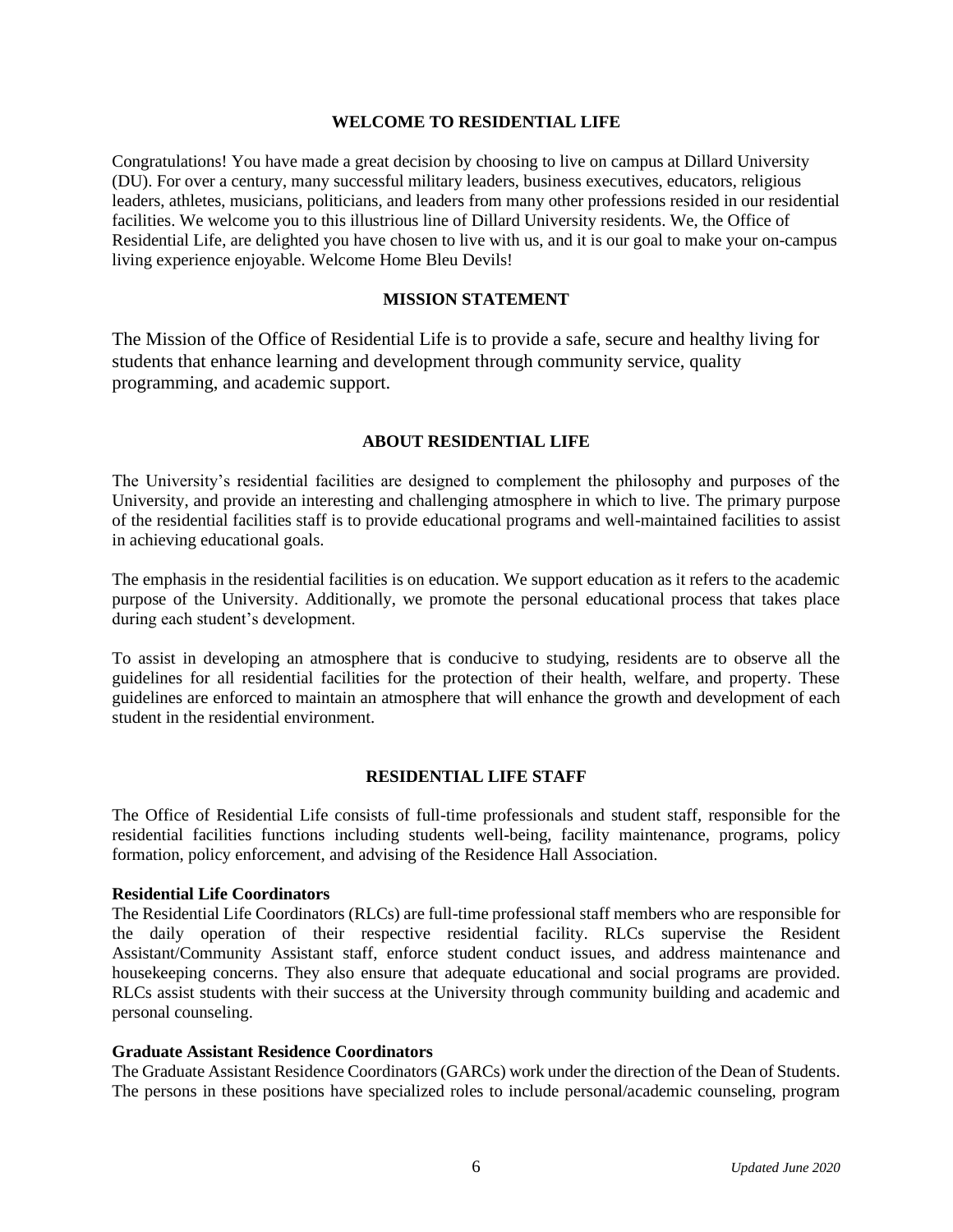#### **WELCOME TO RESIDENTIAL LIFE**

Congratulations! You have made a great decision by choosing to live on campus at Dillard University (DU). For over a century, many successful military leaders, business executives, educators, religious leaders, athletes, musicians, politicians, and leaders from many other professions resided in our residential facilities. We welcome you to this illustrious line of Dillard University residents. We, the Office of Residential Life, are delighted you have chosen to live with us, and it is our goal to make your on-campus living experience enjoyable. Welcome Home Bleu Devils!

#### **MISSION STATEMENT**

The Mission of the Office of Residential Life is to provide a safe, secure and healthy living for students that enhance learning and development through community service, quality programming, and academic support.

#### **ABOUT RESIDENTIAL LIFE**

The University's residential facilities are designed to complement the philosophy and purposes of the University, and provide an interesting and challenging atmosphere in which to live. The primary purpose of the residential facilities staff is to provide educational programs and well-maintained facilities to assist in achieving educational goals.

The emphasis in the residential facilities is on education. We support education as it refers to the academic purpose of the University. Additionally, we promote the personal educational process that takes place during each student's development.

To assist in developing an atmosphere that is conducive to studying, residents are to observe all the guidelines for all residential facilities for the protection of their health, welfare, and property. These guidelines are enforced to maintain an atmosphere that will enhance the growth and development of each student in the residential environment.

#### **RESIDENTIAL LIFE STAFF**

The Office of Residential Life consists of full-time professionals and student staff, responsible for the residential facilities functions including students well-being, facility maintenance, programs, policy formation, policy enforcement, and advising of the Residence Hall Association.

#### **Residential Life Coordinators**

The Residential Life Coordinators (RLCs) are full-time professional staff members who are responsible for the daily operation of their respective residential facility. RLCs supervise the Resident Assistant/Community Assistant staff, enforce student conduct issues, and address maintenance and housekeeping concerns. They also ensure that adequate educational and social programs are provided. RLCs assist students with their success at the University through community building and academic and personal counseling.

#### **Graduate Assistant Residence Coordinators**

The Graduate Assistant Residence Coordinators (GARCs) work under the direction of the Dean of Students. The persons in these positions have specialized roles to include personal/academic counseling, program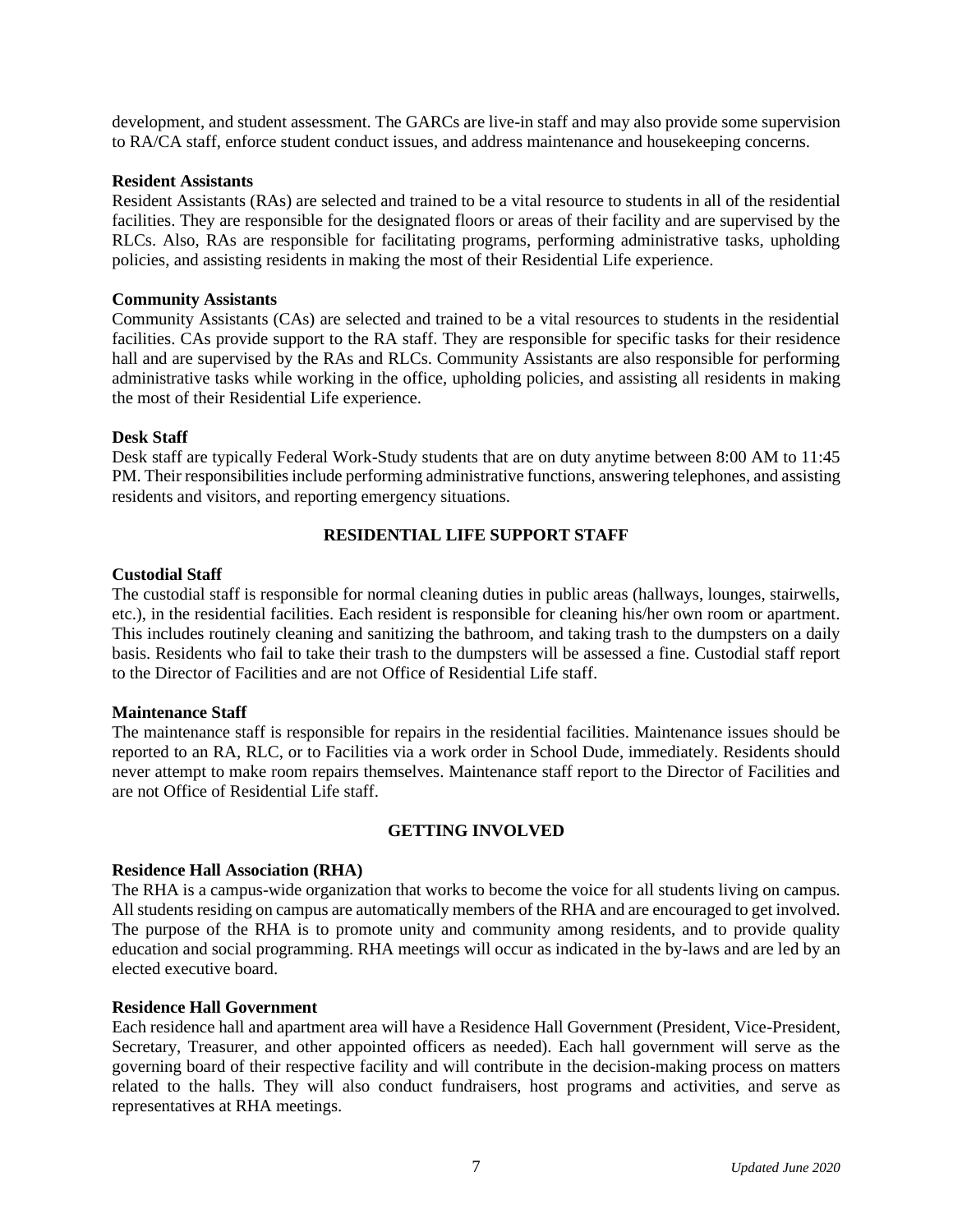development, and student assessment. The GARCs are live-in staff and may also provide some supervision to RA/CA staff, enforce student conduct issues, and address maintenance and housekeeping concerns.

#### **Resident Assistants**

Resident Assistants (RAs) are selected and trained to be a vital resource to students in all of the residential facilities. They are responsible for the designated floors or areas of their facility and are supervised by the RLCs. Also, RAs are responsible for facilitating programs, performing administrative tasks, upholding policies, and assisting residents in making the most of their Residential Life experience.

#### **Community Assistants**

Community Assistants (CAs) are selected and trained to be a vital resources to students in the residential facilities. CAs provide support to the RA staff. They are responsible for specific tasks for their residence hall and are supervised by the RAs and RLCs. Community Assistants are also responsible for performing administrative tasks while working in the office, upholding policies, and assisting all residents in making the most of their Residential Life experience.

#### **Desk Staff**

Desk staff are typically Federal Work-Study students that are on duty anytime between 8:00 AM to 11:45 PM. Their responsibilities include performing administrative functions, answering telephones, and assisting residents and visitors, and reporting emergency situations.

#### **RESIDENTIAL LIFE SUPPORT STAFF**

#### **Custodial Staff**

The custodial staff is responsible for normal cleaning duties in public areas (hallways, lounges, stairwells, etc.), in the residential facilities. Each resident is responsible for cleaning his/her own room or apartment. This includes routinely cleaning and sanitizing the bathroom, and taking trash to the dumpsters on a daily basis. Residents who fail to take their trash to the dumpsters will be assessed a fine. Custodial staff report to the Director of Facilities and are not Office of Residential Life staff.

#### **Maintenance Staff**

The maintenance staff is responsible for repairs in the residential facilities. Maintenance issues should be reported to an RA, RLC, or to Facilities via a work order in School Dude, immediately. Residents should never attempt to make room repairs themselves. Maintenance staff report to the Director of Facilities and are not Office of Residential Life staff.

#### **GETTING INVOLVED**

#### **Residence Hall Association (RHA)**

The RHA is a campus-wide organization that works to become the voice for all students living on campus. All students residing on campus are automatically members of the RHA and are encouraged to get involved. The purpose of the RHA is to promote unity and community among residents, and to provide quality education and social programming. RHA meetings will occur as indicated in the by-laws and are led by an elected executive board.

#### **Residence Hall Government**

Each residence hall and apartment area will have a Residence Hall Government (President, Vice-President, Secretary, Treasurer, and other appointed officers as needed). Each hall government will serve as the governing board of their respective facility and will contribute in the decision-making process on matters related to the halls. They will also conduct fundraisers, host programs and activities, and serve as representatives at RHA meetings.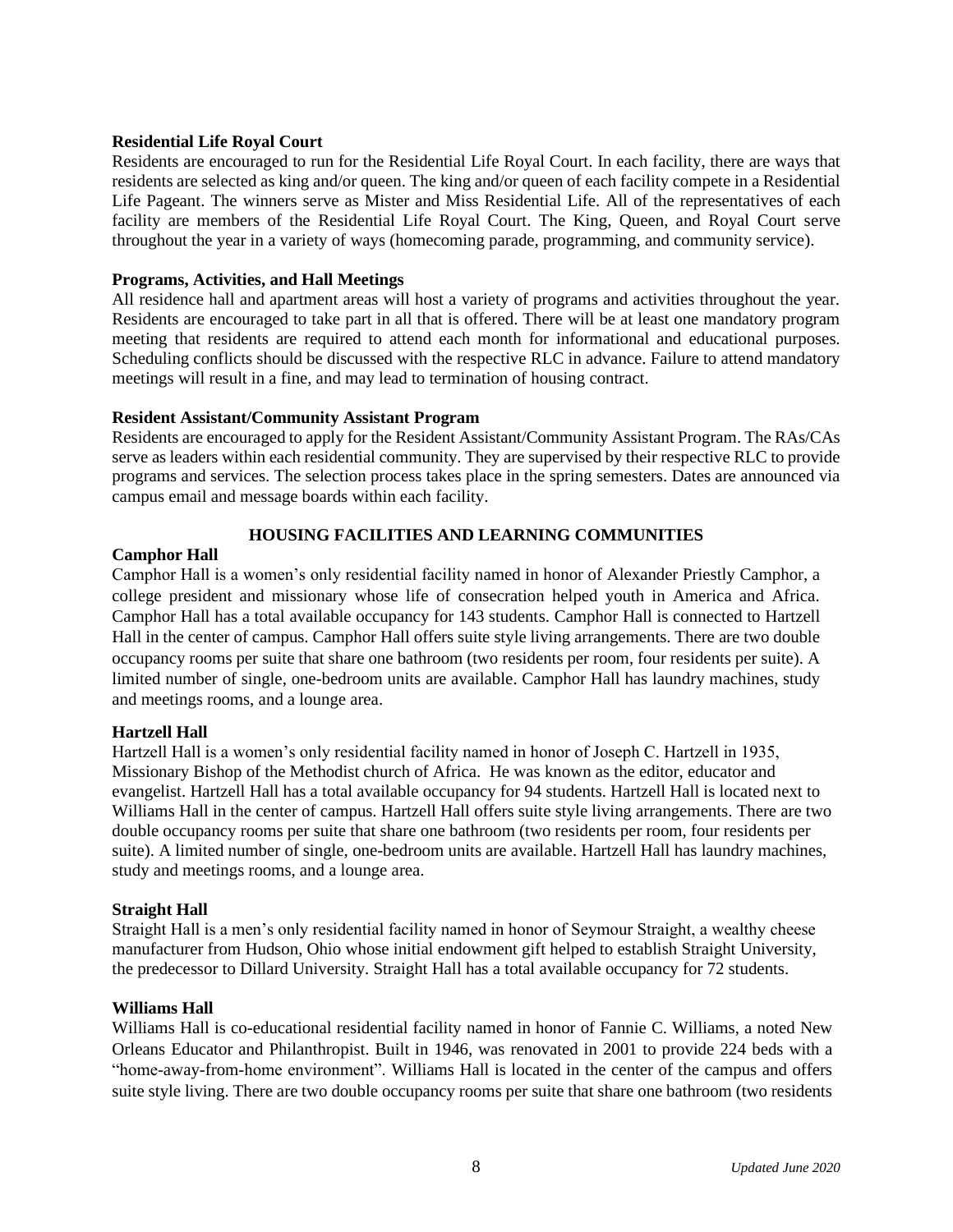#### **Residential Life Royal Court**

Residents are encouraged to run for the Residential Life Royal Court. In each facility, there are ways that residents are selected as king and/or queen. The king and/or queen of each facility compete in a Residential Life Pageant. The winners serve as Mister and Miss Residential Life. All of the representatives of each facility are members of the Residential Life Royal Court. The King, Queen, and Royal Court serve throughout the year in a variety of ways (homecoming parade, programming, and community service).

#### **Programs, Activities, and Hall Meetings**

All residence hall and apartment areas will host a variety of programs and activities throughout the year. Residents are encouraged to take part in all that is offered. There will be at least one mandatory program meeting that residents are required to attend each month for informational and educational purposes. Scheduling conflicts should be discussed with the respective RLC in advance. Failure to attend mandatory meetings will result in a fine, and may lead to termination of housing contract.

#### **Resident Assistant/Community Assistant Program**

Residents are encouraged to apply for the Resident Assistant/Community Assistant Program. The RAs/CAs serve as leaders within each residential community. They are supervised by their respective RLC to provide programs and services. The selection process takes place in the spring semesters. Dates are announced via campus email and message boards within each facility.

#### **HOUSING FACILITIES AND LEARNING COMMUNITIES**

#### **Camphor Hall**

Camphor Hall is a women's only residential facility named in honor of Alexander Priestly Camphor, a college president and missionary whose life of consecration helped youth in America and Africa. Camphor Hall has a total available occupancy for 143 students. Camphor Hall is connected to Hartzell Hall in the center of campus. Camphor Hall offers suite style living arrangements. There are two double occupancy rooms per suite that share one bathroom (two residents per room, four residents per suite). A limited number of single, one-bedroom units are available. Camphor Hall has laundry machines, study and meetings rooms, and a lounge area.

#### **Hartzell Hall**

Hartzell Hall is a women's only residential facility named in honor of Joseph C. Hartzell in 1935, Missionary Bishop of the Methodist church of Africa. He was known as the editor, educator and evangelist. Hartzell Hall has a total available occupancy for 94 students. Hartzell Hall is located next to Williams Hall in the center of campus. Hartzell Hall offers suite style living arrangements. There are two double occupancy rooms per suite that share one bathroom (two residents per room, four residents per suite). A limited number of single, one-bedroom units are available. Hartzell Hall has laundry machines, study and meetings rooms, and a lounge area.

#### **Straight Hall**

Straight Hall is a men's only residential facility named in honor of Seymour Straight, a wealthy cheese manufacturer from Hudson, Ohio whose initial endowment gift helped to establish Straight University, the predecessor to Dillard University. Straight Hall has a total available occupancy for 72 students.

#### **Williams Hall**

Williams Hall is co-educational residential facility named in honor of Fannie C. Williams, a noted New Orleans Educator and Philanthropist. Built in 1946, was renovated in 2001 to provide 224 beds with a "home-away-from-home environment". Williams Hall is located in the center of the campus and offers suite style living. There are two double occupancy rooms per suite that share one bathroom (two residents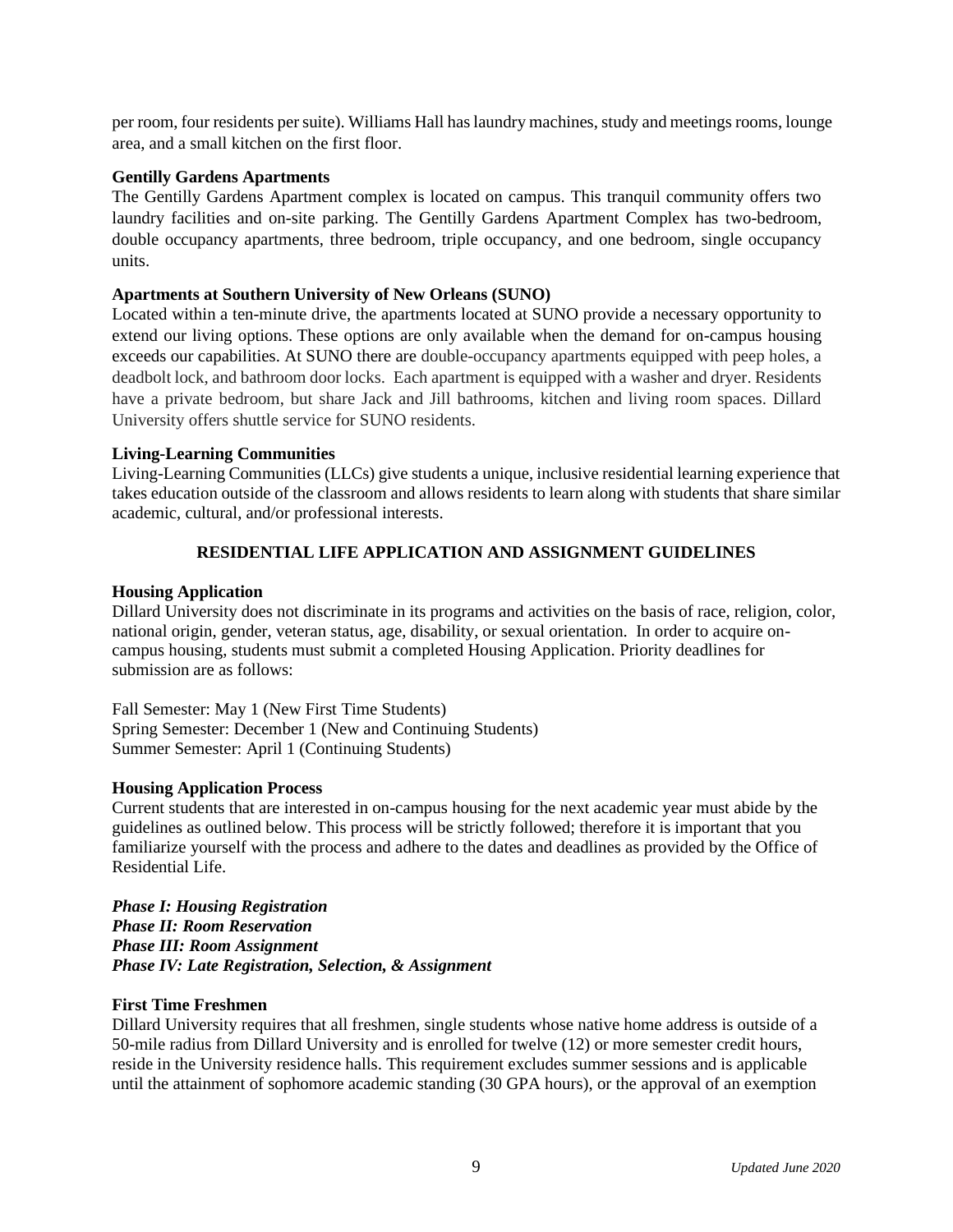per room, four residents per suite). Williams Hall has laundry machines, study and meetings rooms, lounge area, and a small kitchen on the first floor.

#### **Gentilly Gardens Apartments**

The Gentilly Gardens Apartment complex is located on campus. This tranquil community offers two laundry facilities and on-site parking. The Gentilly Gardens Apartment Complex has two-bedroom, double occupancy apartments, three bedroom, triple occupancy, and one bedroom, single occupancy units.

#### **Apartments at Southern University of New Orleans (SUNO)**

Located within a ten-minute drive, the apartments located at SUNO provide a necessary opportunity to extend our living options. These options are only available when the demand for on-campus housing exceeds our capabilities. At SUNO there are double-occupancy apartments equipped with peep holes, a deadbolt lock, and bathroom door locks. Each apartment is equipped with a washer and dryer. Residents have a private bedroom, but share Jack and Jill bathrooms, kitchen and living room spaces. Dillard University offers shuttle service for SUNO residents.

#### **Living-Learning Communities**

Living-Learning Communities (LLCs) give students a unique, inclusive residential learning experience that takes education outside of the classroom and allows residents to learn along with students that share similar academic, cultural, and/or professional interests.

#### **RESIDENTIAL LIFE APPLICATION AND ASSIGNMENT GUIDELINES**

#### **Housing Application**

Dillard University does not discriminate in its programs and activities on the basis of race, religion, color, national origin, gender, veteran status, age, disability, or sexual orientation. In order to acquire oncampus housing, students must submit a completed Housing Application. Priority deadlines for submission are as follows:

Fall Semester: May 1 (New First Time Students) Spring Semester: December 1 (New and Continuing Students) Summer Semester: April 1 (Continuing Students)

#### **Housing Application Process**

Current students that are interested in on-campus housing for the next academic year must abide by the guidelines as outlined below. This process will be strictly followed; therefore it is important that you familiarize yourself with the process and adhere to the dates and deadlines as provided by the Office of Residential Life.

*Phase I: Housing Registration Phase II: Room Reservation Phase III: Room Assignment Phase IV: Late Registration, Selection, & Assignment*

#### **First Time Freshmen**

Dillard University requires that all freshmen, single students whose native home address is outside of a 50-mile radius from Dillard University and is enrolled for twelve (12) or more semester credit hours, reside in the University residence halls. This requirement excludes summer sessions and is applicable until the attainment of sophomore academic standing (30 GPA hours), or the approval of an exemption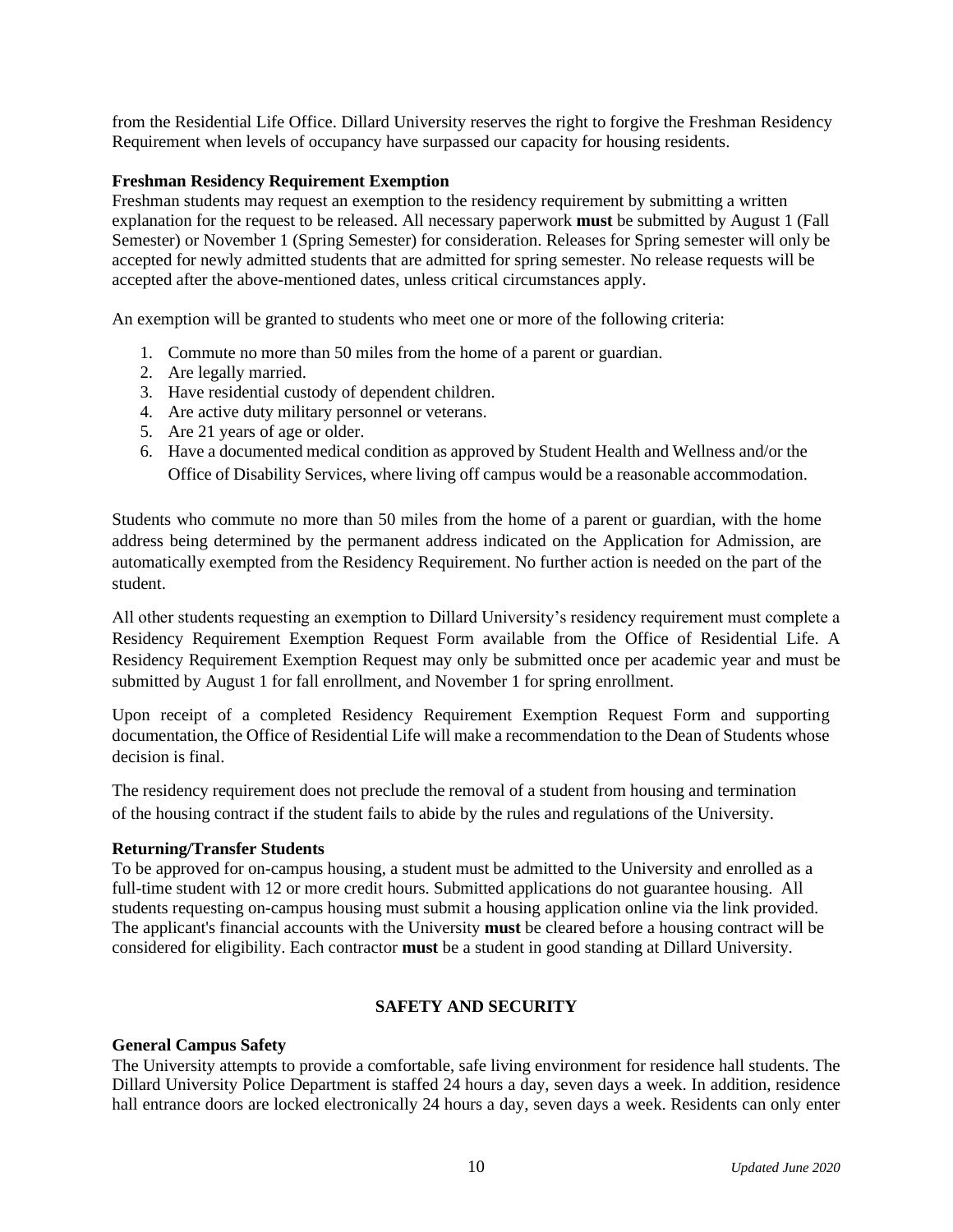from the Residential Life Office. Dillard University reserves the right to forgive the Freshman Residency Requirement when levels of occupancy have surpassed our capacity for housing residents.

#### **Freshman Residency Requirement Exemption**

Freshman students may request an exemption to the residency requirement by submitting a written explanation for the request to be released. All necessary paperwork **must** be submitted by August 1 (Fall Semester) or November 1 (Spring Semester) for consideration. Releases for Spring semester will only be accepted for newly admitted students that are admitted for spring semester. No release requests will be accepted after the above-mentioned dates, unless critical circumstances apply.

An exemption will be granted to students who meet one or more of the following criteria:

- 1. Commute no more than 50 miles from the home of a parent or guardian.
- 2. Are legally married.
- 3. Have residential custody of dependent children.
- 4. Are active duty military personnel or veterans.
- 5. Are 21 years of age or older.
- 6. Have a documented medical condition as approved by Student Health and Wellness and/or the Office of Disability Services, where living off campus would be a reasonable accommodation.

Students who commute no more than 50 miles from the home of a parent or guardian, with the home address being determined by the permanent address indicated on the Application for Admission, are automatically exempted from the Residency Requirement. No further action is needed on the part of the student.

All other students requesting an exemption to Dillard University's residency requirement must complete a Residency Requirement Exemption Request Form available from the Office of Residential Life. A Residency Requirement Exemption Request may only be submitted once per academic year and must be submitted by August 1 for fall enrollment, and November 1 for spring enrollment.

Upon receipt of a completed Residency Requirement Exemption Request Form and supporting documentation, the Office of Residential Life will make a recommendation to the Dean of Students whose decision is final.

The residency requirement does not preclude the removal of a student from housing and termination of the housing contract if the student fails to abide by the rules and regulations of the University.

#### **Returning/Transfer Students**

To be approved for on-campus housing, a student must be admitted to the University and enrolled as a full-time student with 12 or more credit hours. Submitted applications do not guarantee housing. All students requesting on-campus housing must submit a housing application online via the link provided. The applicant's financial accounts with the University **must** be cleared before a housing contract will be considered for eligibility. Each contractor **must** be a student in good standing at Dillard University.

#### **SAFETY AND SECURITY**

#### **General Campus Safety**

The University attempts to provide a comfortable, safe living environment for residence hall students. The Dillard University Police Department is staffed 24 hours a day, seven days a week. In addition, residence hall entrance doors are locked electronically 24 hours a day, seven days a week. Residents can only enter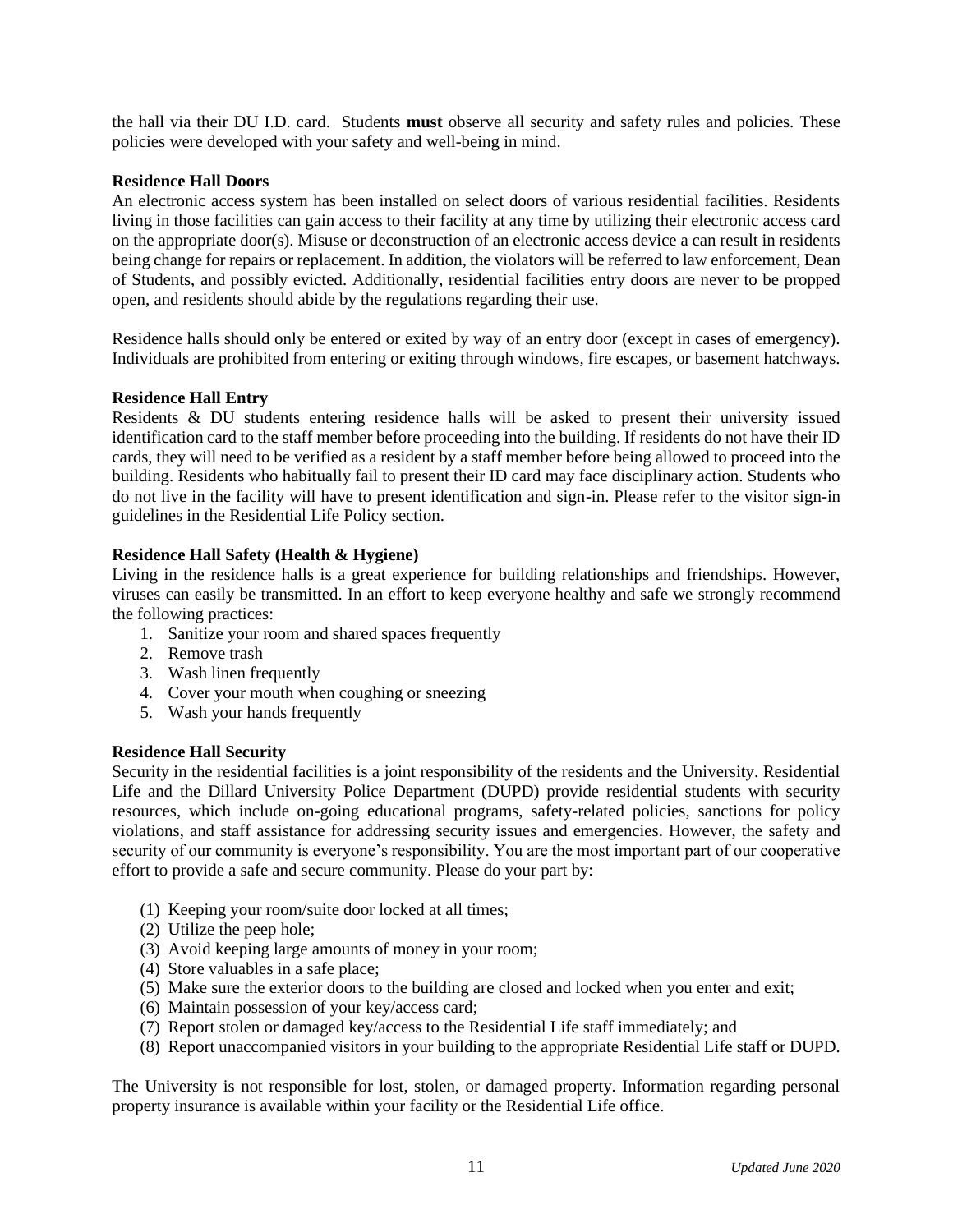the hall via their DU I.D. card. Students **must** observe all security and safety rules and policies. These policies were developed with your safety and well-being in mind.

#### **Residence Hall Doors**

An electronic access system has been installed on select doors of various residential facilities. Residents living in those facilities can gain access to their facility at any time by utilizing their electronic access card on the appropriate door(s). Misuse or deconstruction of an electronic access device a can result in residents being change for repairs or replacement. In addition, the violators will be referred to law enforcement, Dean of Students, and possibly evicted. Additionally, residential facilities entry doors are never to be propped open, and residents should abide by the regulations regarding their use.

Residence halls should only be entered or exited by way of an entry door (except in cases of emergency). Individuals are prohibited from entering or exiting through windows, fire escapes, or basement hatchways.

#### **Residence Hall Entry**

Residents & DU students entering residence halls will be asked to present their university issued identification card to the staff member before proceeding into the building. If residents do not have their ID cards, they will need to be verified as a resident by a staff member before being allowed to proceed into the building. Residents who habitually fail to present their ID card may face disciplinary action. Students who do not live in the facility will have to present identification and sign-in. Please refer to the visitor sign-in guidelines in the Residential Life Policy section.

#### **Residence Hall Safety (Health & Hygiene)**

Living in the residence halls is a great experience for building relationships and friendships. However, viruses can easily be transmitted. In an effort to keep everyone healthy and safe we strongly recommend the following practices:

- 1. Sanitize your room and shared spaces frequently
- 2. Remove trash
- 3. Wash linen frequently
- 4. Cover your mouth when coughing or sneezing
- 5. Wash your hands frequently

#### **Residence Hall Security**

Security in the residential facilities is a joint responsibility of the residents and the University. Residential Life and the Dillard University Police Department (DUPD) provide residential students with security resources, which include on-going educational programs, safety-related policies, sanctions for policy violations, and staff assistance for addressing security issues and emergencies. However, the safety and security of our community is everyone's responsibility. You are the most important part of our cooperative effort to provide a safe and secure community. Please do your part by:

- (1) Keeping your room/suite door locked at all times;
- (2) Utilize the peep hole;
- (3) Avoid keeping large amounts of money in your room;
- (4) Store valuables in a safe place;
- (5) Make sure the exterior doors to the building are closed and locked when you enter and exit;
- (6) Maintain possession of your key/access card;
- (7) Report stolen or damaged key/access to the Residential Life staff immediately; and
- (8) Report unaccompanied visitors in your building to the appropriate Residential Life staff or DUPD.

The University is not responsible for lost, stolen, or damaged property. Information regarding personal property insurance is available within your facility or the Residential Life office.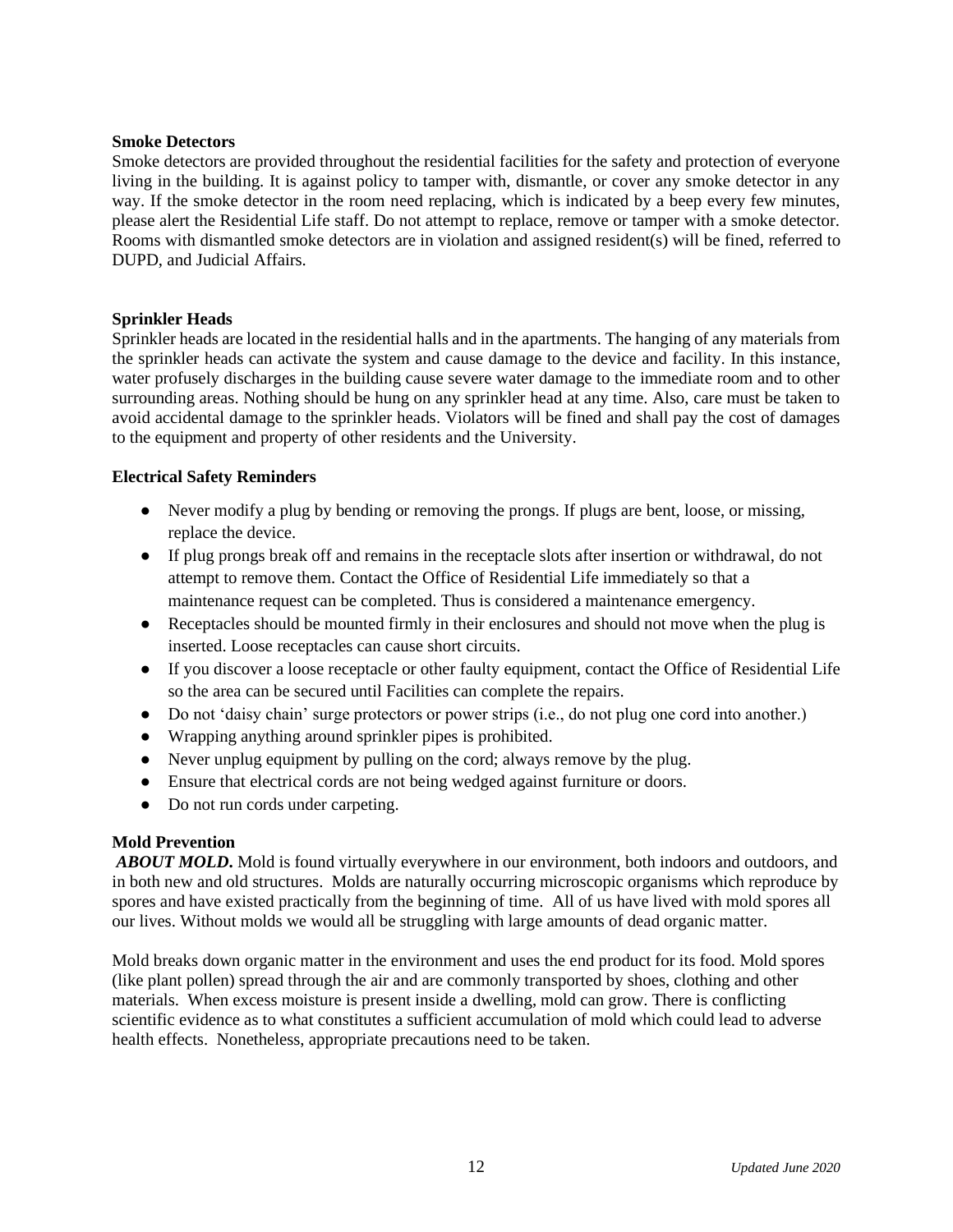#### **Smoke Detectors**

Smoke detectors are provided throughout the residential facilities for the safety and protection of everyone living in the building. It is against policy to tamper with, dismantle, or cover any smoke detector in any way. If the smoke detector in the room need replacing, which is indicated by a beep every few minutes, please alert the Residential Life staff. Do not attempt to replace, remove or tamper with a smoke detector. Rooms with dismantled smoke detectors are in violation and assigned resident(s) will be fined, referred to DUPD, and Judicial Affairs.

#### **Sprinkler Heads**

Sprinkler heads are located in the residential halls and in the apartments. The hanging of any materials from the sprinkler heads can activate the system and cause damage to the device and facility. In this instance, water profusely discharges in the building cause severe water damage to the immediate room and to other surrounding areas. Nothing should be hung on any sprinkler head at any time. Also, care must be taken to avoid accidental damage to the sprinkler heads. Violators will be fined and shall pay the cost of damages to the equipment and property of other residents and the University.

#### **Electrical Safety Reminders**

- Never modify a plug by bending or removing the prongs. If plugs are bent, loose, or missing, replace the device.
- If plug prongs break off and remains in the receptacle slots after insertion or withdrawal, do not attempt to remove them. Contact the Office of Residential Life immediately so that a maintenance request can be completed. Thus is considered a maintenance emergency.
- Receptacles should be mounted firmly in their enclosures and should not move when the plug is inserted. Loose receptacles can cause short circuits.
- If you discover a loose receptacle or other faulty equipment, contact the Office of Residential Life so the area can be secured until Facilities can complete the repairs.
- Do not 'daisy chain' surge protectors or power strips (i.e., do not plug one cord into another.)
- Wrapping anything around sprinkler pipes is prohibited.
- Never unplug equipment by pulling on the cord; always remove by the plug.
- Ensure that electrical cords are not being wedged against furniture or doors.
- Do not run cords under carpeting.

#### **Mold Prevention**

*ABOUT MOLD***.** Mold is found virtually everywhere in our environment, both indoors and outdoors, and in both new and old structures. Molds are naturally occurring microscopic organisms which reproduce by spores and have existed practically from the beginning of time. All of us have lived with mold spores all our lives. Without molds we would all be struggling with large amounts of dead organic matter.

Mold breaks down organic matter in the environment and uses the end product for its food. Mold spores (like plant pollen) spread through the air and are commonly transported by shoes, clothing and other materials. When excess moisture is present inside a dwelling, mold can grow. There is conflicting scientific evidence as to what constitutes a sufficient accumulation of mold which could lead to adverse health effects. Nonetheless, appropriate precautions need to be taken.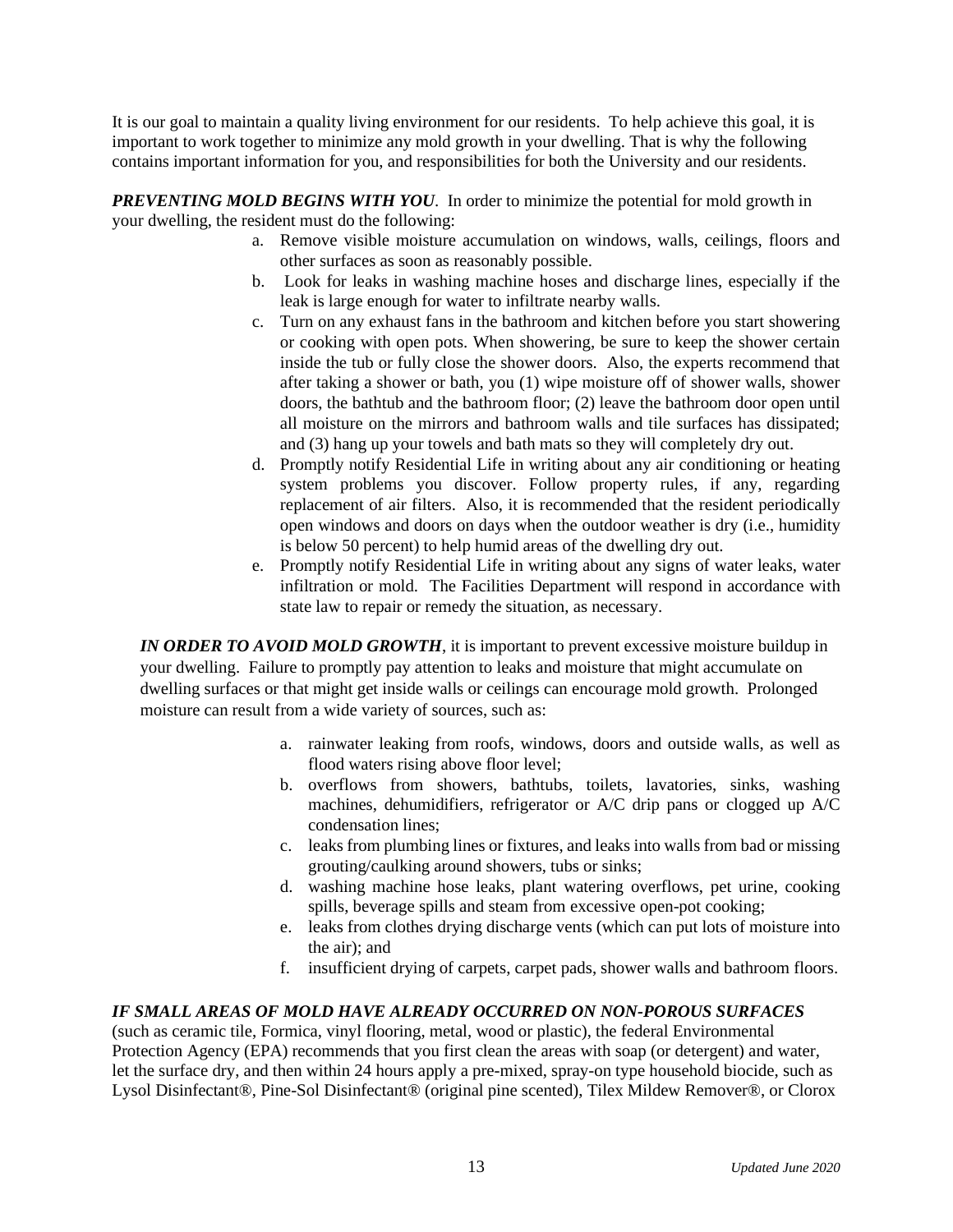It is our goal to maintain a quality living environment for our residents. To help achieve this goal, it is important to work together to minimize any mold growth in your dwelling. That is why the following contains important information for you, and responsibilities for both the University and our residents.

*PREVENTING MOLD BEGINS WITH YOU*. In order to minimize the potential for mold growth in your dwelling, the resident must do the following:

- a. Remove visible moisture accumulation on windows, walls, ceilings, floors and other surfaces as soon as reasonably possible.
- b. Look for leaks in washing machine hoses and discharge lines, especially if the leak is large enough for water to infiltrate nearby walls.
- c. Turn on any exhaust fans in the bathroom and kitchen before you start showering or cooking with open pots. When showering, be sure to keep the shower certain inside the tub or fully close the shower doors. Also, the experts recommend that after taking a shower or bath, you (1) wipe moisture off of shower walls, shower doors, the bathtub and the bathroom floor; (2) leave the bathroom door open until all moisture on the mirrors and bathroom walls and tile surfaces has dissipated; and (3) hang up your towels and bath mats so they will completely dry out.
- d. Promptly notify Residential Life in writing about any air conditioning or heating system problems you discover. Follow property rules, if any, regarding replacement of air filters. Also, it is recommended that the resident periodically open windows and doors on days when the outdoor weather is dry (i.e., humidity is below 50 percent) to help humid areas of the dwelling dry out.
- e. Promptly notify Residential Life in writing about any signs of water leaks, water infiltration or mold. The Facilities Department will respond in accordance with state law to repair or remedy the situation, as necessary.

*IN ORDER TO AVOID MOLD GROWTH*, it is important to prevent excessive moisture buildup in your dwelling. Failure to promptly pay attention to leaks and moisture that might accumulate on dwelling surfaces or that might get inside walls or ceilings can encourage mold growth. Prolonged moisture can result from a wide variety of sources, such as:

- a. rainwater leaking from roofs, windows, doors and outside walls, as well as flood waters rising above floor level;
- b. overflows from showers, bathtubs, toilets, lavatories, sinks, washing machines, dehumidifiers, refrigerator or A/C drip pans or clogged up A/C condensation lines;
- c. leaks from plumbing lines or fixtures, and leaks into walls from bad or missing grouting/caulking around showers, tubs or sinks;
- d. washing machine hose leaks, plant watering overflows, pet urine, cooking spills, beverage spills and steam from excessive open-pot cooking;
- e. leaks from clothes drying discharge vents (which can put lots of moisture into the air); and
- f. insufficient drying of carpets, carpet pads, shower walls and bathroom floors.

#### *IF SMALL AREAS OF MOLD HAVE ALREADY OCCURRED ON NON-POROUS SURFACES*

(such as ceramic tile, Formica, vinyl flooring, metal, wood or plastic), the federal Environmental Protection Agency (EPA) recommends that you first clean the areas with soap (or detergent) and water, let the surface dry, and then within 24 hours apply a pre-mixed, spray-on type household biocide, such as Lysol Disinfectant®, Pine-Sol Disinfectant® (original pine scented), Tilex Mildew Remover®, or Clorox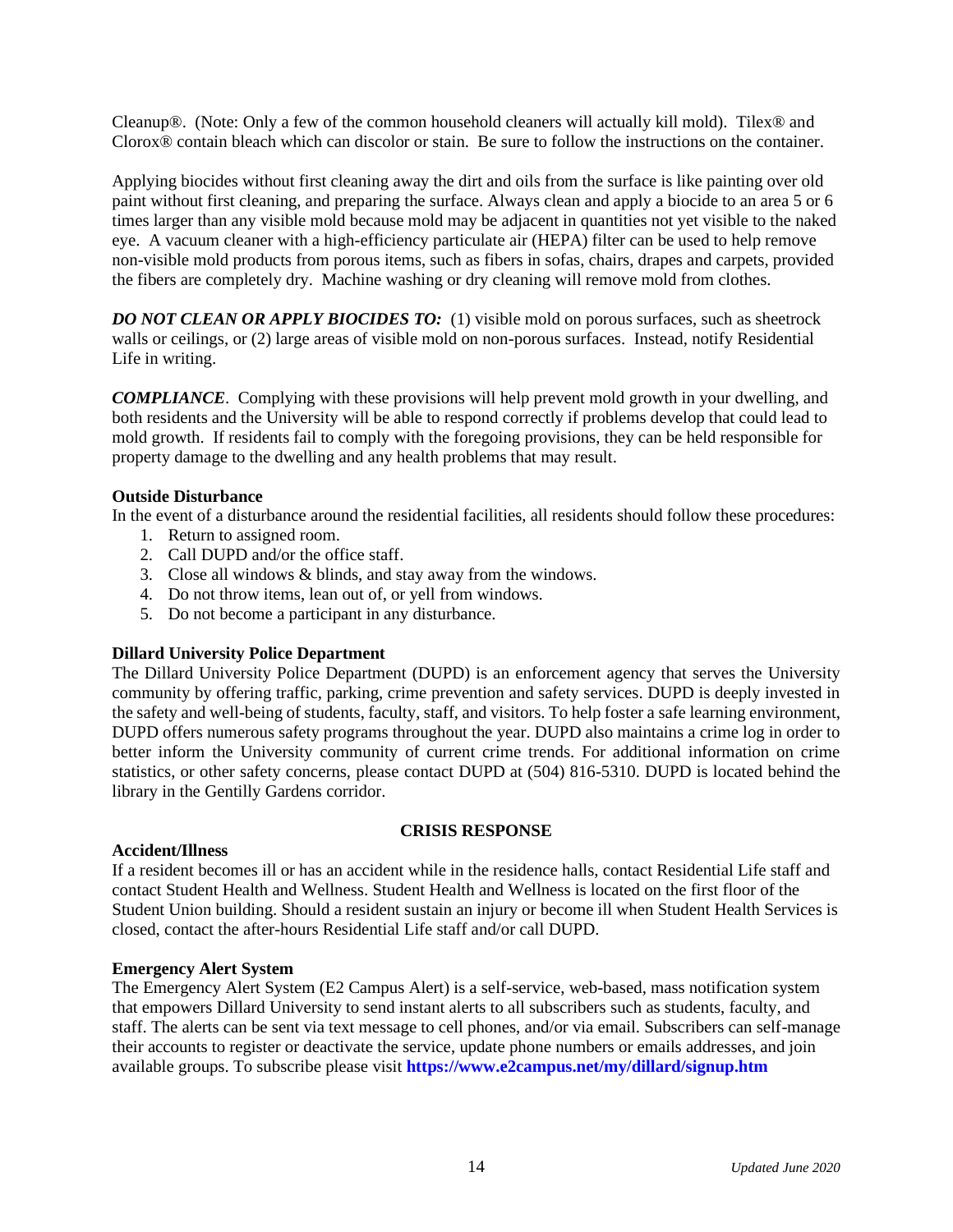Cleanup®. (Note: Only a few of the common household cleaners will actually kill mold). Tilex® and Clorox® contain bleach which can discolor or stain. Be sure to follow the instructions on the container.

Applying biocides without first cleaning away the dirt and oils from the surface is like painting over old paint without first cleaning, and preparing the surface. Always clean and apply a biocide to an area 5 or 6 times larger than any visible mold because mold may be adjacent in quantities not yet visible to the naked eye. A vacuum cleaner with a high-efficiency particulate air (HEPA) filter can be used to help remove non-visible mold products from porous items, such as fibers in sofas, chairs, drapes and carpets, provided the fibers are completely dry. Machine washing or dry cleaning will remove mold from clothes.

*DO NOT CLEAN OR APPLY BIOCIDES TO:* (1) visible mold on porous surfaces, such as sheetrock walls or ceilings, or (2) large areas of visible mold on non-porous surfaces. Instead, notify Residential Life in writing.

*COMPLIANCE*. Complying with these provisions will help prevent mold growth in your dwelling, and both residents and the University will be able to respond correctly if problems develop that could lead to mold growth. If residents fail to comply with the foregoing provisions, they can be held responsible for property damage to the dwelling and any health problems that may result.

#### **Outside Disturbance**

In the event of a disturbance around the residential facilities, all residents should follow these procedures:

- 1. Return to assigned room.
- 2. Call DUPD and/or the office staff.
- 3. Close all windows & blinds, and stay away from the windows.
- 4. Do not throw items, lean out of, or yell from windows.
- 5. Do not become a participant in any disturbance.

#### **Dillard University Police Department**

The Dillard University Police Department (DUPD) is an enforcement agency that serves the University community by offering traffic, parking, crime prevention and safety services. DUPD is deeply invested in the safety and well-being of students, faculty, staff, and visitors. To help foster a safe learning environment, DUPD offers numerous safety programs throughout the year. DUPD also maintains a crime log in order to better inform the University community of current crime trends. For additional information on crime statistics, or other safety concerns, please contact DUPD at (504) 816-5310. DUPD is located behind the library in the Gentilly Gardens corridor.

#### **Accident/Illness**

#### **CRISIS RESPONSE**

If a resident becomes ill or has an accident while in the residence halls, contact Residential Life staff and contact Student Health and Wellness. Student Health and Wellness is located on the first floor of the Student Union building. Should a resident sustain an injury or become ill when Student Health Services is closed, contact the after-hours Residential Life staff and/or call DUPD.

#### **Emergency Alert System**

The Emergency Alert System (E2 Campus Alert) is a self-service, web-based, mass notification system that empowers Dillard University to send instant alerts to all subscribers such as students, faculty, and staff. The alerts can be sent via text message to cell phones, and/or via email. Subscribers can self-manage their accounts to register or deactivate the service, update phone numbers or emails addresses, and join available groups. To subscribe please visit **<https://www.e2campus.net/my/dillard/signup.htm>**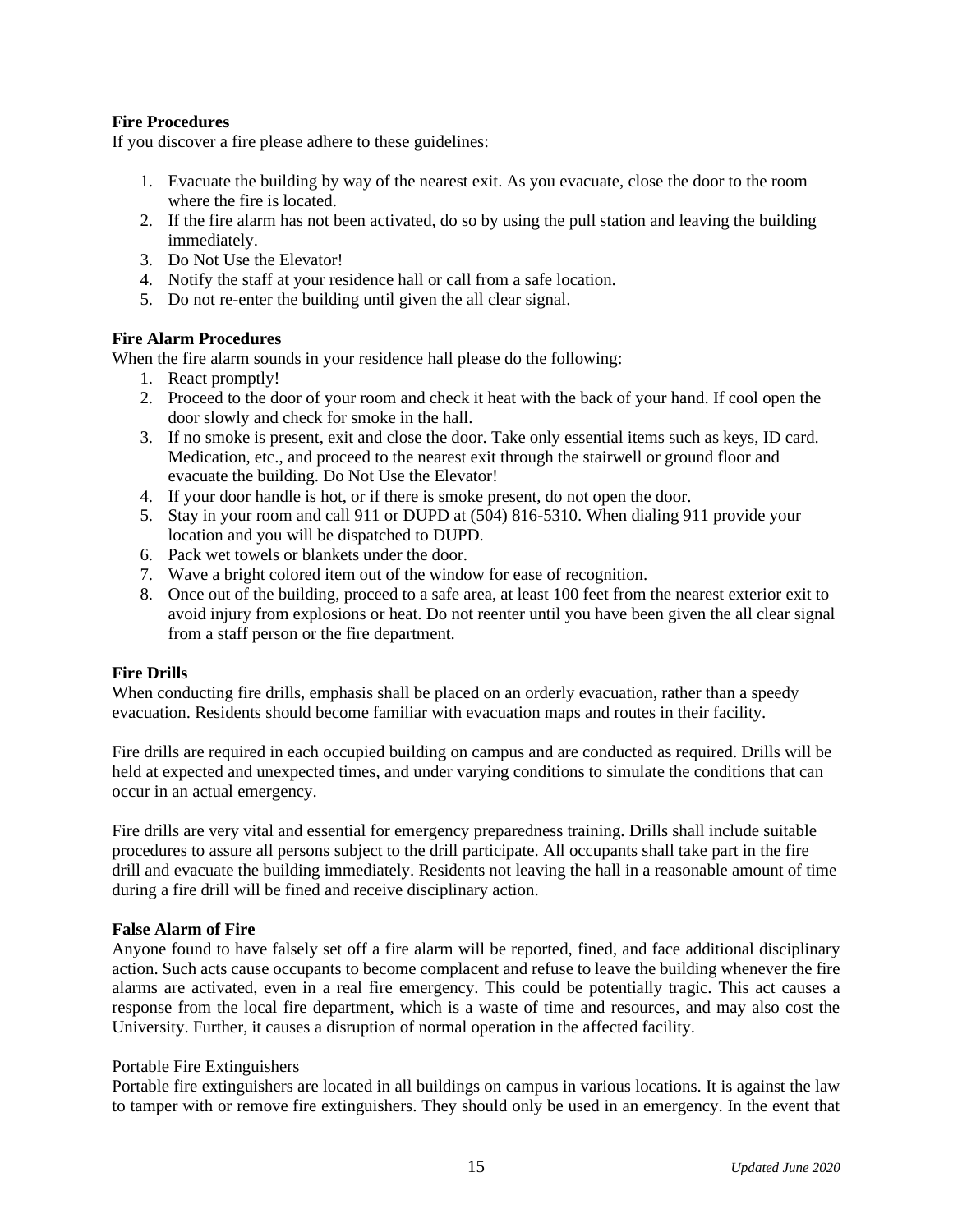#### **Fire Procedures**

If you discover a fire please adhere to these guidelines:

- 1. Evacuate the building by way of the nearest exit. As you evacuate, close the door to the room where the fire is located.
- 2. If the fire alarm has not been activated, do so by using the pull station and leaving the building immediately.
- 3. Do Not Use the Elevator!
- 4. Notify the staff at your residence hall or call from a safe location.
- 5. Do not re-enter the building until given the all clear signal.

#### **Fire Alarm Procedures**

When the fire alarm sounds in your residence hall please do the following:

- 1. React promptly!
- 2. Proceed to the door of your room and check it heat with the back of your hand. If cool open the door slowly and check for smoke in the hall.
- 3. If no smoke is present, exit and close the door. Take only essential items such as keys, ID card. Medication, etc., and proceed to the nearest exit through the stairwell or ground floor and evacuate the building. Do Not Use the Elevator!
- 4. If your door handle is hot, or if there is smoke present, do not open the door.
- 5. Stay in your room and call 911 or DUPD at (504) 816-5310. When dialing 911 provide your location and you will be dispatched to DUPD.
- 6. Pack wet towels or blankets under the door.
- 7. Wave a bright colored item out of the window for ease of recognition.
- 8. Once out of the building, proceed to a safe area, at least 100 feet from the nearest exterior exit to avoid injury from explosions or heat. Do not reenter until you have been given the all clear signal from a staff person or the fire department.

#### **Fire Drills**

When conducting fire drills, emphasis shall be placed on an orderly evacuation, rather than a speedy evacuation. Residents should become familiar with evacuation maps and routes in their facility.

Fire drills are required in each occupied building on campus and are conducted as required. Drills will be held at expected and unexpected times, and under varying conditions to simulate the conditions that can occur in an actual emergency.

Fire drills are very vital and essential for emergency preparedness training. Drills shall include suitable procedures to assure all persons subject to the drill participate. All occupants shall take part in the fire drill and evacuate the building immediately. Residents not leaving the hall in a reasonable amount of time during a fire drill will be fined and receive disciplinary action.

#### **False Alarm of Fire**

Anyone found to have falsely set off a fire alarm will be reported, fined, and face additional disciplinary action. Such acts cause occupants to become complacent and refuse to leave the building whenever the fire alarms are activated, even in a real fire emergency. This could be potentially tragic. This act causes a response from the local fire department, which is a waste of time and resources, and may also cost the University. Further, it causes a disruption of normal operation in the affected facility.

#### Portable Fire Extinguishers

Portable fire extinguishers are located in all buildings on campus in various locations. It is against the law to tamper with or remove fire extinguishers. They should only be used in an emergency. In the event that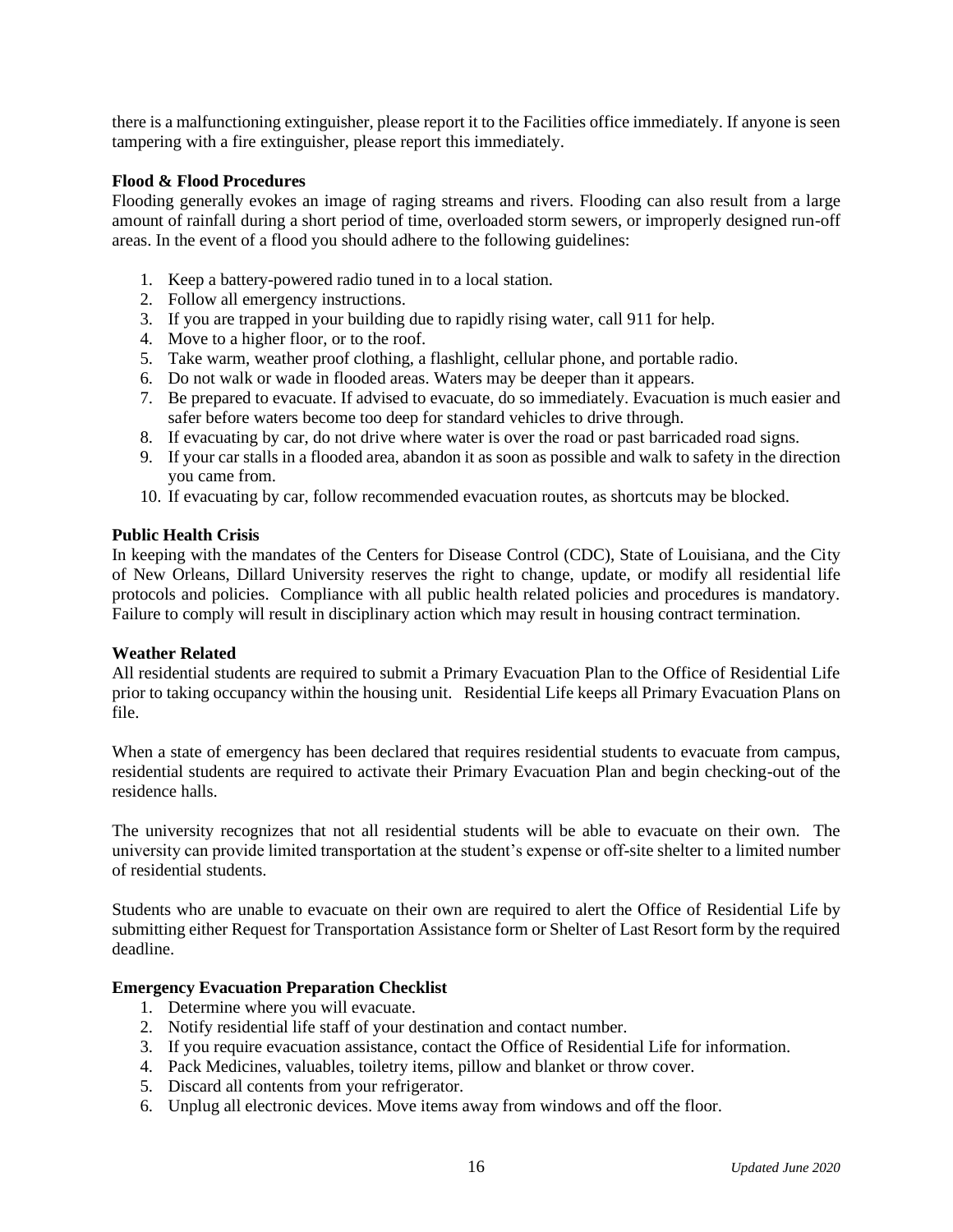there is a malfunctioning extinguisher, please report it to the Facilities office immediately. If anyone is seen tampering with a fire extinguisher, please report this immediately.

#### **Flood & Flood Procedures**

Flooding generally evokes an image of raging streams and rivers. Flooding can also result from a large amount of rainfall during a short period of time, overloaded storm sewers, or improperly designed run-off areas. In the event of a flood you should adhere to the following guidelines:

- 1. Keep a battery-powered radio tuned in to a local station.
- 2. Follow all emergency instructions.
- 3. If you are trapped in your building due to rapidly rising water, call 911 for help.
- 4. Move to a higher floor, or to the roof.
- 5. Take warm, weather proof clothing, a flashlight, cellular phone, and portable radio.
- 6. Do not walk or wade in flooded areas. Waters may be deeper than it appears.
- 7. Be prepared to evacuate. If advised to evacuate, do so immediately. Evacuation is much easier and safer before waters become too deep for standard vehicles to drive through.
- 8. If evacuating by car, do not drive where water is over the road or past barricaded road signs.
- 9. If your car stalls in a flooded area, abandon it as soon as possible and walk to safety in the direction you came from.
- 10. If evacuating by car, follow recommended evacuation routes, as shortcuts may be blocked.

#### **Public Health Crisis**

In keeping with the mandates of the Centers for Disease Control (CDC), State of Louisiana, and the City of New Orleans, Dillard University reserves the right to change, update, or modify all residential life protocols and policies. Compliance with all public health related policies and procedures is mandatory. Failure to comply will result in disciplinary action which may result in housing contract termination.

#### **Weather Related**

All residential students are required to submit a Primary Evacuation Plan to the Office of Residential Life prior to taking occupancy within the housing unit. Residential Life keeps all Primary Evacuation Plans on file.

When a state of emergency has been declared that requires residential students to evacuate from campus, residential students are required to activate their Primary Evacuation Plan and begin checking-out of the residence halls.

The university recognizes that not all residential students will be able to evacuate on their own. The university can provide limited transportation at the student's expense or off-site shelter to a limited number of residential students.

Students who are unable to evacuate on their own are required to alert the Office of Residential Life by submitting either Request for Transportation Assistance form or Shelter of Last Resort form by the required deadline.

#### **Emergency Evacuation Preparation Checklist**

- 1. Determine where you will evacuate.
- 2. Notify residential life staff of your destination and contact number.
- 3. If you require evacuation assistance, contact the Office of Residential Life for information.
- 4. Pack Medicines, valuables, toiletry items, pillow and blanket or throw cover.
- 5. Discard all contents from your refrigerator.
- 6. Unplug all electronic devices. Move items away from windows and off the floor.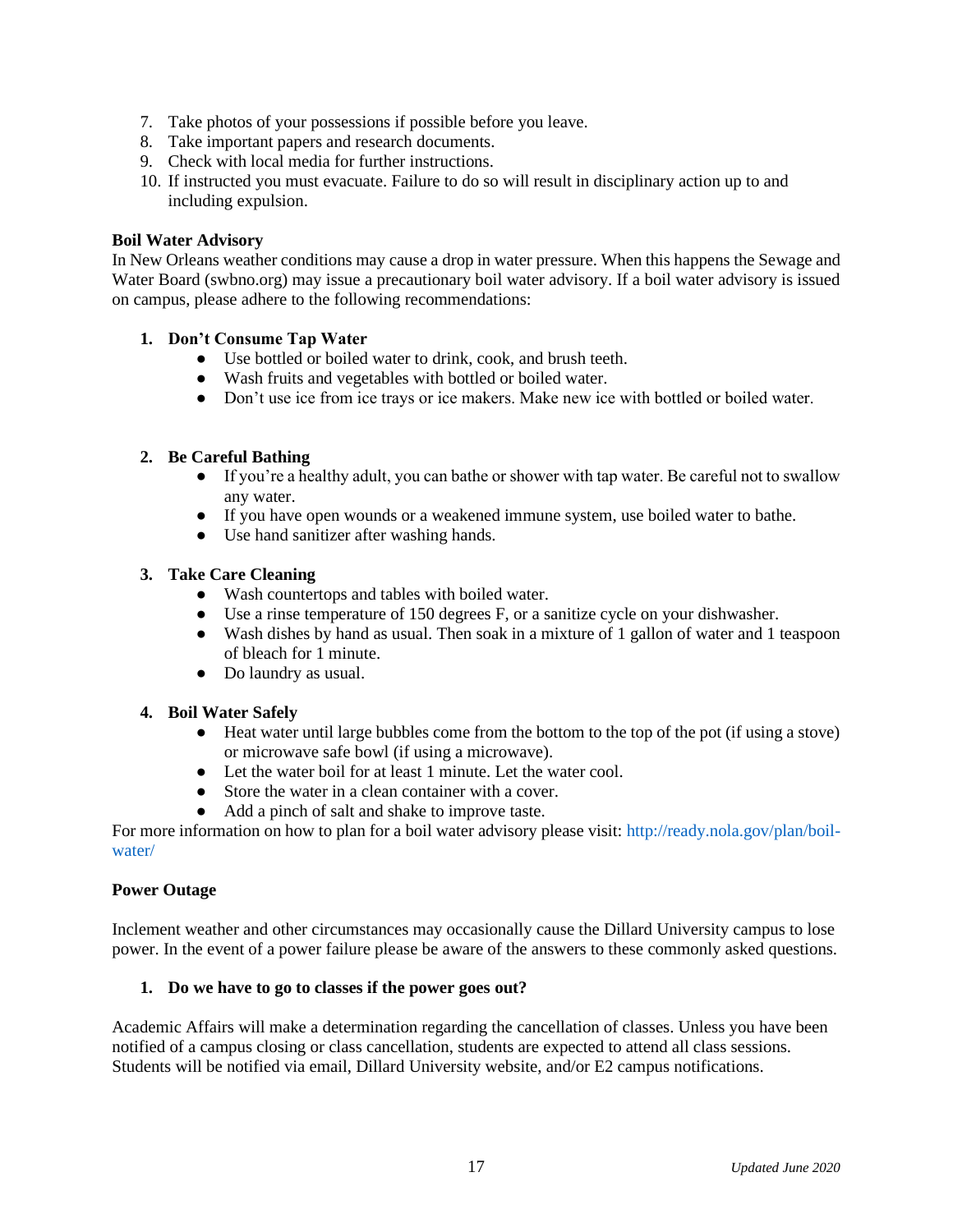- 7. Take photos of your possessions if possible before you leave.
- 8. Take important papers and research documents.
- 9. Check with local media for further instructions.
- 10. If instructed you must evacuate. Failure to do so will result in disciplinary action up to and including expulsion.

#### **Boil Water Advisory**

In New Orleans weather conditions may cause a drop in water pressure. When this happens the Sewage and Water Board (swbno.org) may issue a precautionary boil water advisory. If a boil water advisory is issued on campus, please adhere to the following recommendations:

#### **1. Don't Consume Tap Water**

- Use bottled or boiled water to drink, cook, and brush teeth.
- Wash fruits and vegetables with bottled or boiled water.
- Don't use ice from ice trays or ice makers. Make new ice with bottled or boiled water.

#### **2. Be Careful Bathing**

- If you're a healthy adult, you can bathe or shower with tap water. Be careful not to swallow any water.
- If you have open wounds or a weakened immune system, use boiled water to bathe.
- Use hand sanitizer after washing hands.

#### **3. Take Care Cleaning**

- Wash countertops and tables with boiled water.
- Use a rinse temperature of 150 degrees F, or a sanitize cycle on your dishwasher.
- Wash dishes by hand as usual. Then soak in a mixture of 1 gallon of water and 1 teaspoon of bleach for 1 minute.
- Do laundry as usual.

#### **4. Boil Water Safely**

- Heat water until large bubbles come from the bottom to the top of the pot (if using a stove) or microwave safe bowl (if using a microwave).
- Let the water boil for at least 1 minute. Let the water cool.
- Store the water in a clean container with a cover.
- Add a pinch of salt and shake to improve taste.

For more information on how to plan for a boil water advisory please visit: [http://ready.nola.gov/plan/boil](http://ready.nola.gov/plan/boil-water/)[water/](http://ready.nola.gov/plan/boil-water/)

#### **Power Outage**

Inclement weather and other circumstances may occasionally cause the Dillard University campus to lose power. In the event of a power failure please be aware of the answers to these commonly asked questions.

#### **1. Do we have to go to classes if the power goes out?**

Academic Affairs will make a determination regarding the cancellation of classes. Unless you have been notified of a campus closing or class cancellation, students are expected to attend all class sessions. Students will be notified via email, Dillard University website, and/or E2 campus notifications.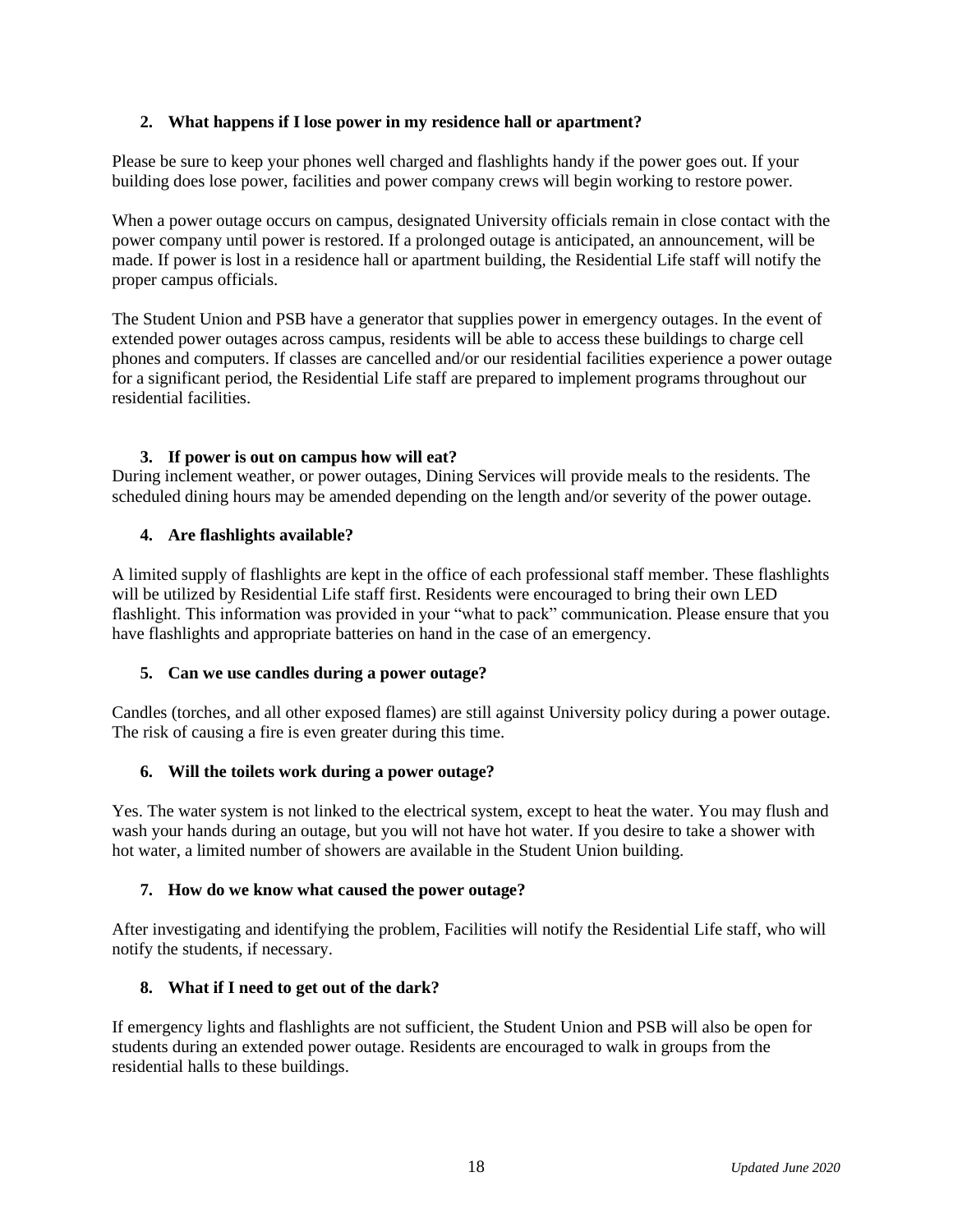#### **2. What happens if I lose power in my residence hall or apartment?**

Please be sure to keep your phones well charged and flashlights handy if the power goes out. If your building does lose power, facilities and power company crews will begin working to restore power.

When a power outage occurs on campus, designated University officials remain in close contact with the power company until power is restored. If a prolonged outage is anticipated, an announcement, will be made. If power is lost in a residence hall or apartment building, the Residential Life staff will notify the proper campus officials.

The Student Union and PSB have a generator that supplies power in emergency outages. In the event of extended power outages across campus, residents will be able to access these buildings to charge cell phones and computers. If classes are cancelled and/or our residential facilities experience a power outage for a significant period, the Residential Life staff are prepared to implement programs throughout our residential facilities.

#### **3. If power is out on campus how will eat?**

During inclement weather, or power outages, Dining Services will provide meals to the residents. The scheduled dining hours may be amended depending on the length and/or severity of the power outage.

#### **4. Are flashlights available?**

A limited supply of flashlights are kept in the office of each professional staff member. These flashlights will be utilized by Residential Life staff first. Residents were encouraged to bring their own LED flashlight. This information was provided in your "what to pack" communication. Please ensure that you have flashlights and appropriate batteries on hand in the case of an emergency.

#### **5. Can we use candles during a power outage?**

Candles (torches, and all other exposed flames) are still against University policy during a power outage. The risk of causing a fire is even greater during this time.

#### **6. Will the toilets work during a power outage?**

Yes. The water system is not linked to the electrical system, except to heat the water. You may flush and wash your hands during an outage, but you will not have hot water. If you desire to take a shower with hot water, a limited number of showers are available in the Student Union building.

#### **7. How do we know what caused the power outage?**

After investigating and identifying the problem, Facilities will notify the Residential Life staff, who will notify the students, if necessary.

#### **8. What if I need to get out of the dark?**

If emergency lights and flashlights are not sufficient, the Student Union and PSB will also be open for students during an extended power outage. Residents are encouraged to walk in groups from the residential halls to these buildings.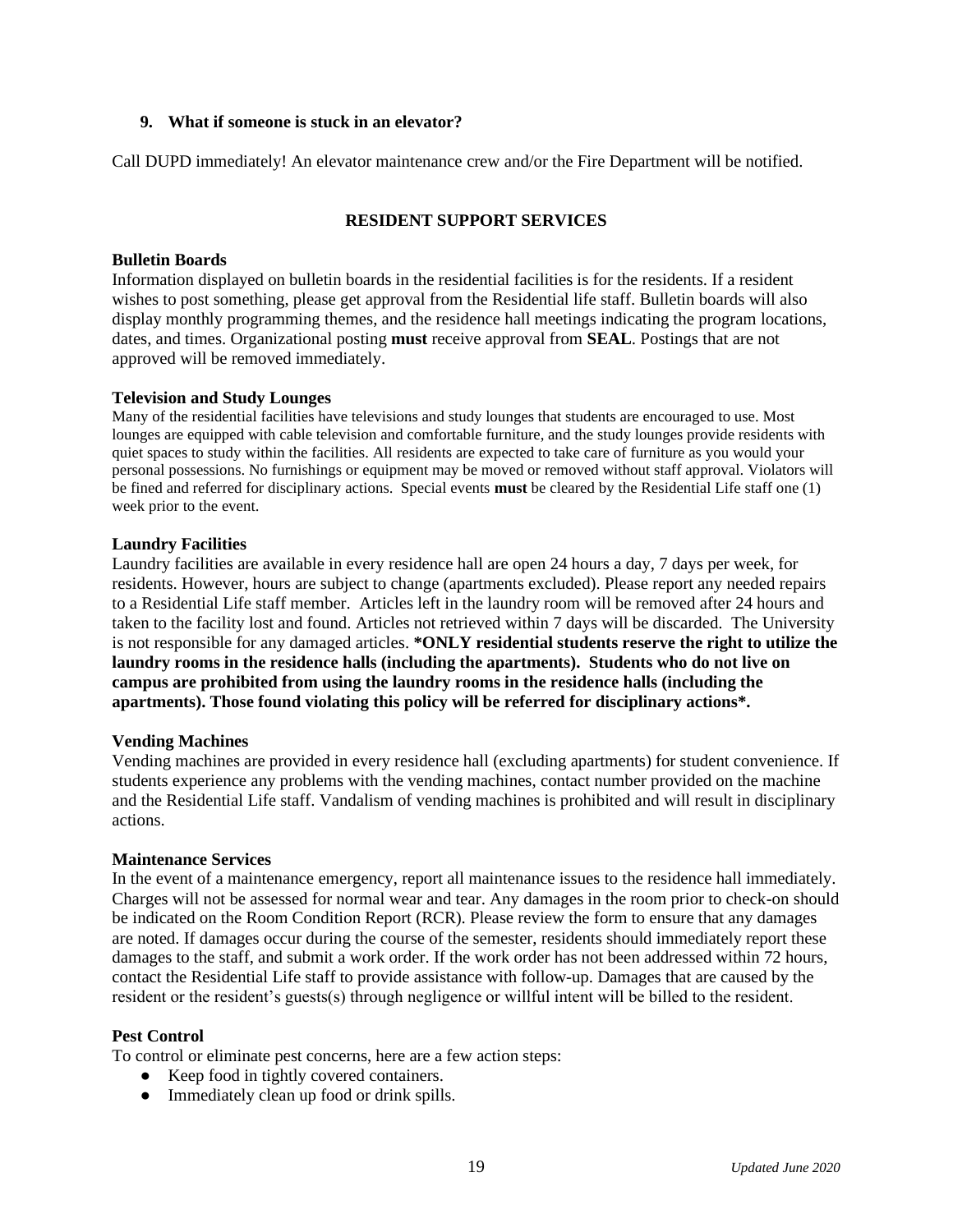#### **9. What if someone is stuck in an elevator?**

Call DUPD immediately! An elevator maintenance crew and/or the Fire Department will be notified.

#### **RESIDENT SUPPORT SERVICES**

#### **Bulletin Boards**

Information displayed on bulletin boards in the residential facilities is for the residents. If a resident wishes to post something, please get approval from the Residential life staff. Bulletin boards will also display monthly programming themes, and the residence hall meetings indicating the program locations, dates, and times. Organizational posting **must** receive approval from **SEAL**. Postings that are not approved will be removed immediately.

#### **Television and Study Lounges**

Many of the residential facilities have televisions and study lounges that students are encouraged to use. Most lounges are equipped with cable television and comfortable furniture, and the study lounges provide residents with quiet spaces to study within the facilities. All residents are expected to take care of furniture as you would your personal possessions. No furnishings or equipment may be moved or removed without staff approval. Violators will be fined and referred for disciplinary actions. Special events **must** be cleared by the Residential Life staff one (1) week prior to the event.

#### **Laundry Facilities**

Laundry facilities are available in every residence hall are open 24 hours a day, 7 days per week, for residents. However, hours are subject to change (apartments excluded). Please report any needed repairs to a Residential Life staff member. Articles left in the laundry room will be removed after 24 hours and taken to the facility lost and found. Articles not retrieved within 7 days will be discarded. The University is not responsible for any damaged articles. **\*ONLY residential students reserve the right to utilize the laundry rooms in the residence halls (including the apartments). Students who do not live on campus are prohibited from using the laundry rooms in the residence halls (including the apartments). Those found violating this policy will be referred for disciplinary actions\*.**

#### **Vending Machines**

Vending machines are provided in every residence hall (excluding apartments) for student convenience. If students experience any problems with the vending machines, contact number provided on the machine and the Residential Life staff. Vandalism of vending machines is prohibited and will result in disciplinary actions.

#### **Maintenance Services**

In the event of a maintenance emergency, report all maintenance issues to the residence hall immediately. Charges will not be assessed for normal wear and tear. Any damages in the room prior to check-on should be indicated on the Room Condition Report (RCR). Please review the form to ensure that any damages are noted. If damages occur during the course of the semester, residents should immediately report these damages to the staff, and submit a work order. If the work order has not been addressed within 72 hours, contact the Residential Life staff to provide assistance with follow-up. Damages that are caused by the resident or the resident's guests(s) through negligence or willful intent will be billed to the resident.

#### **Pest Control**

To control or eliminate pest concerns, here are a few action steps:

- Keep food in tightly covered containers.
- Immediately clean up food or drink spills.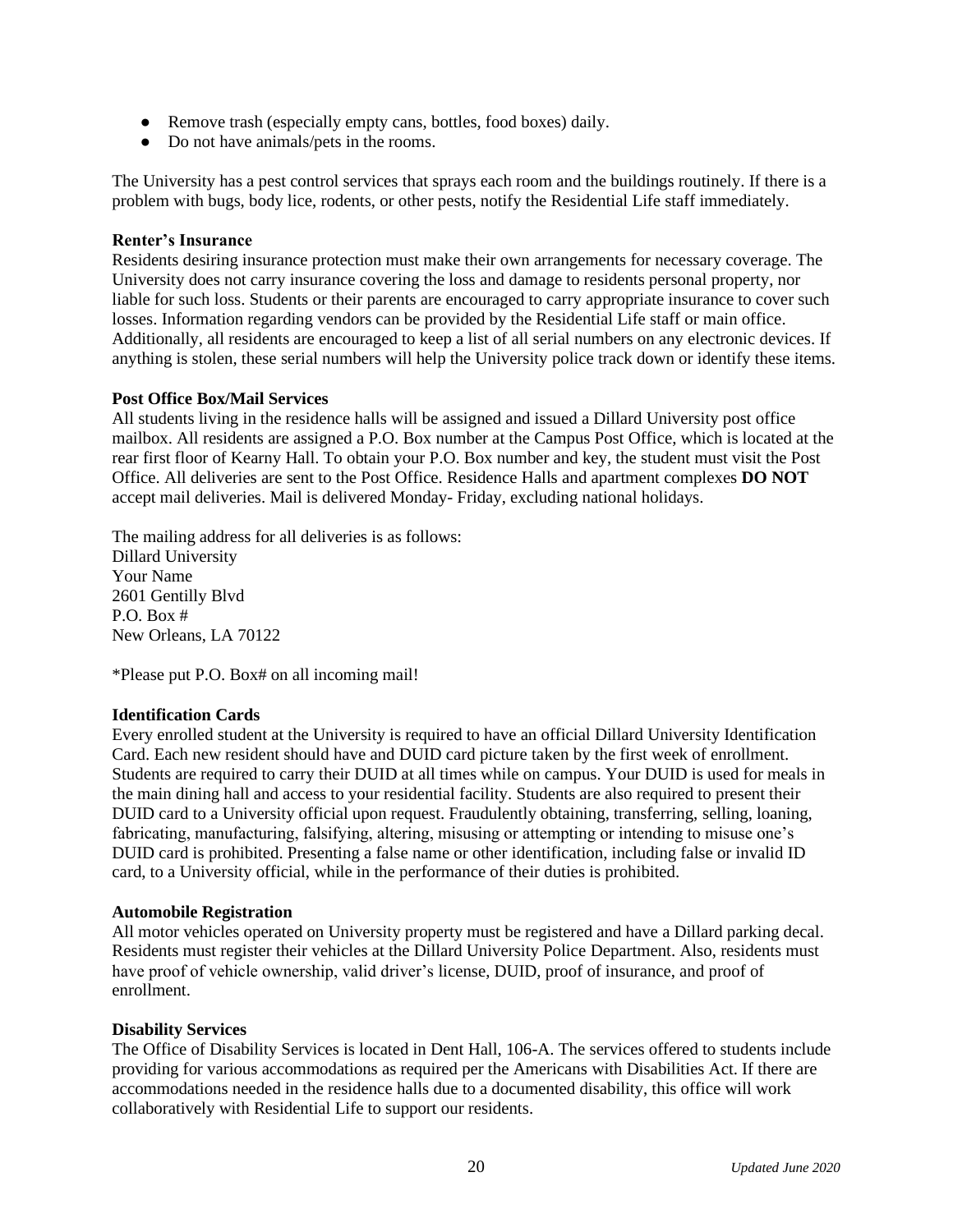- Remove trash (especially empty cans, bottles, food boxes) daily.
- Do not have animals/pets in the rooms.

The University has a pest control services that sprays each room and the buildings routinely. If there is a problem with bugs, body lice, rodents, or other pests, notify the Residential Life staff immediately.

#### **Renter's Insurance**

Residents desiring insurance protection must make their own arrangements for necessary coverage. The University does not carry insurance covering the loss and damage to residents personal property, nor liable for such loss. Students or their parents are encouraged to carry appropriate insurance to cover such losses. Information regarding vendors can be provided by the Residential Life staff or main office. Additionally, all residents are encouraged to keep a list of all serial numbers on any electronic devices. If anything is stolen, these serial numbers will help the University police track down or identify these items.

#### **Post Office Box/Mail Services**

All students living in the residence halls will be assigned and issued a Dillard University post office mailbox. All residents are assigned a P.O. Box number at the Campus Post Office, which is located at the rear first floor of Kearny Hall. To obtain your P.O. Box number and key, the student must visit the Post Office. All deliveries are sent to the Post Office. Residence Halls and apartment complexes **DO NOT** accept mail deliveries. Mail is delivered Monday- Friday, excluding national holidays.

The mailing address for all deliveries is as follows: Dillard University Your Name 2601 Gentilly Blvd P.O. Box # New Orleans, LA 70122

\*Please put P.O. Box# on all incoming mail!

#### **Identification Cards**

Every enrolled student at the University is required to have an official Dillard University Identification Card. Each new resident should have and DUID card picture taken by the first week of enrollment. Students are required to carry their DUID at all times while on campus. Your DUID is used for meals in the main dining hall and access to your residential facility. Students are also required to present their DUID card to a University official upon request. Fraudulently obtaining, transferring, selling, loaning, fabricating, manufacturing, falsifying, altering, misusing or attempting or intending to misuse one's DUID card is prohibited. Presenting a false name or other identification, including false or invalid ID card, to a University official, while in the performance of their duties is prohibited.

#### **Automobile Registration**

All motor vehicles operated on University property must be registered and have a Dillard parking decal. Residents must register their vehicles at the Dillard University Police Department. Also, residents must have proof of vehicle ownership, valid driver's license, DUID, proof of insurance, and proof of enrollment.

#### **Disability Services**

The Office of Disability Services is located in Dent Hall, 106-A. The services offered to students include providing for various accommodations as required per the Americans with Disabilities Act. If there are accommodations needed in the residence halls due to a documented disability, this office will work collaboratively with Residential Life to support our residents.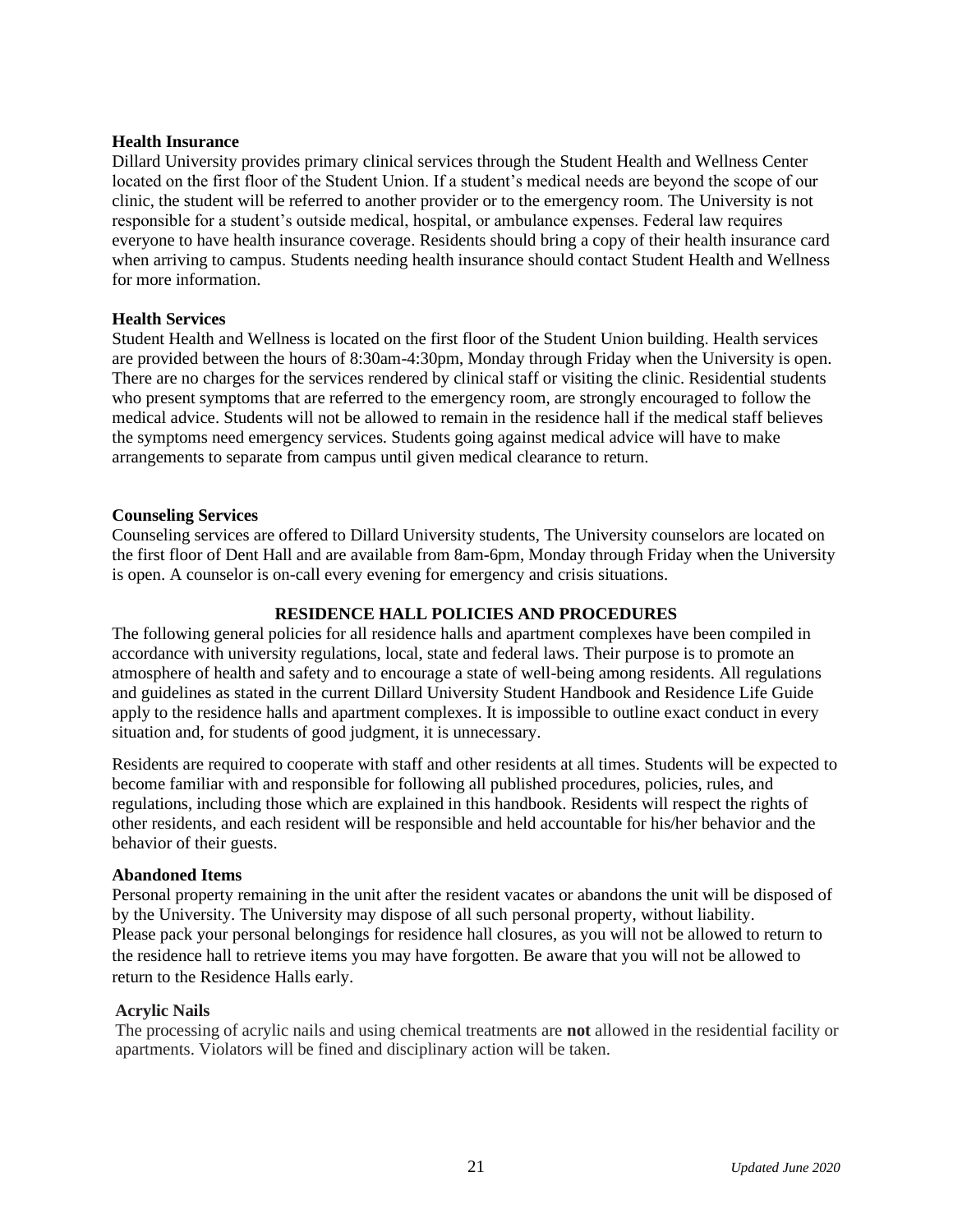#### **Health Insurance**

Dillard University provides primary clinical services through the Student Health and Wellness Center located on the first floor of the Student Union. If a student's medical needs are beyond the scope of our clinic, the student will be referred to another provider or to the emergency room. The University is not responsible for a student's outside medical, hospital, or ambulance expenses. Federal law requires everyone to have health insurance coverage. Residents should bring a copy of their health insurance card when arriving to campus. Students needing health insurance should contact Student Health and Wellness for more information.

#### **Health Services**

Student Health and Wellness is located on the first floor of the Student Union building. Health services are provided between the hours of 8:30am-4:30pm, Monday through Friday when the University is open. There are no charges for the services rendered by clinical staff or visiting the clinic. Residential students who present symptoms that are referred to the emergency room, are strongly encouraged to follow the medical advice. Students will not be allowed to remain in the residence hall if the medical staff believes the symptoms need emergency services. Students going against medical advice will have to make arrangements to separate from campus until given medical clearance to return.

#### **Counseling Services**

Counseling services are offered to Dillard University students, The University counselors are located on the first floor of Dent Hall and are available from 8am-6pm, Monday through Friday when the University is open. A counselor is on-call every evening for emergency and crisis situations.

#### **RESIDENCE HALL POLICIES AND PROCEDURES**

The following general policies for all residence halls and apartment complexes have been compiled in accordance with university regulations, local, state and federal laws. Their purpose is to promote an atmosphere of health and safety and to encourage a state of well-being among residents. All regulations and guidelines as stated in the current Dillard University Student Handbook and Residence Life Guide apply to the residence halls and apartment complexes. It is impossible to outline exact conduct in every situation and, for students of good judgment, it is unnecessary.

Residents are required to cooperate with staff and other residents at all times. Students will be expected to become familiar with and responsible for following all published procedures, policies, rules, and regulations, including those which are explained in this handbook. Residents will respect the rights of other residents, and each resident will be responsible and held accountable for his/her behavior and the behavior of their guests.

#### **Abandoned Items**

Personal property remaining in the unit after the resident vacates or abandons the unit will be disposed of by the University. The University may dispose of all such personal property, without liability. Please pack your personal belongings for residence hall closures, as you will not be allowed to return to the residence hall to retrieve items you may have forgotten. Be aware that you will not be allowed to return to the Residence Halls early.

#### **Acrylic Nails**

The processing of acrylic nails and using chemical treatments are **not** allowed in the residential facility or apartments. Violators will be fined and disciplinary action will be taken.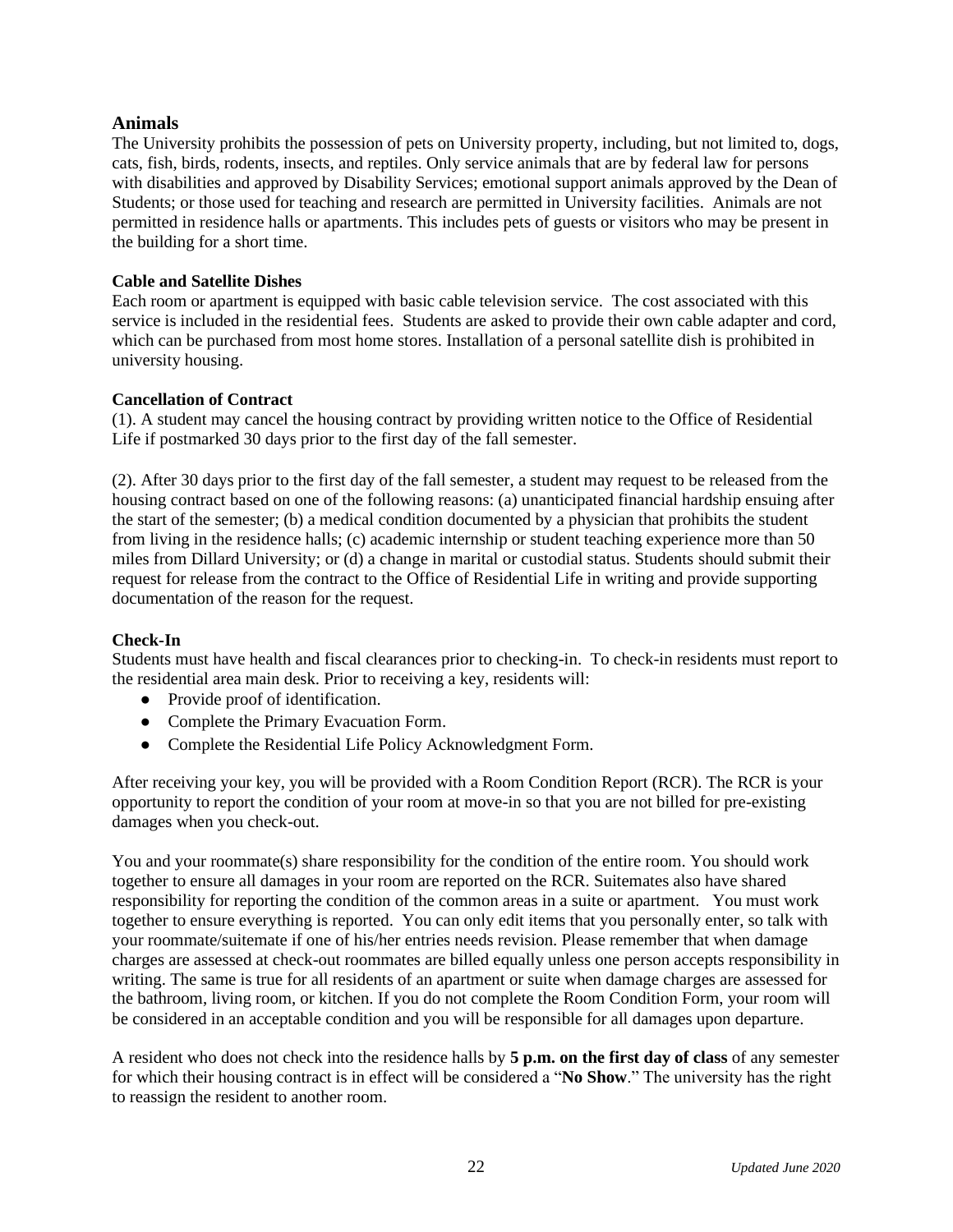#### **Animals**

The University prohibits the possession of pets on University property, including, but not limited to, dogs, cats, fish, birds, rodents, insects, and reptiles. Only service animals that are by federal law for persons with disabilities and approved by Disability Services; emotional support animals approved by the Dean of Students; or those used for teaching and research are permitted in University facilities. Animals are not permitted in residence halls or apartments. This includes pets of guests or visitors who may be present in the building for a short time.

#### **Cable and Satellite Dishes**

Each room or apartment is equipped with basic cable television service. The cost associated with this service is included in the residential fees. Students are asked to provide their own cable adapter and cord, which can be purchased from most home stores. Installation of a personal satellite dish is prohibited in university housing.

#### **Cancellation of Contract**

(1). A student may cancel the housing contract by providing written notice to the Office of Residential Life if postmarked 30 days prior to the first day of the fall semester.

(2). After 30 days prior to the first day of the fall semester, a student may request to be released from the housing contract based on one of the following reasons: (a) unanticipated financial hardship ensuing after the start of the semester; (b) a medical condition documented by a physician that prohibits the student from living in the residence halls; (c) academic internship or student teaching experience more than 50 miles from Dillard University; or (d) a change in marital or custodial status. Students should submit their request for release from the contract to the Office of Residential Life in writing and provide supporting documentation of the reason for the request.

#### **Check-In**

Students must have health and fiscal clearances prior to checking-in. To check-in residents must report to the residential area main desk. Prior to receiving a key, residents will:

- Provide proof of identification.
- Complete the Primary Evacuation Form.
- Complete the Residential Life Policy Acknowledgment Form.

After receiving your key, you will be provided with a Room Condition Report (RCR). The RCR is your opportunity to report the condition of your room at move-in so that you are not billed for pre-existing damages when you check-out.

You and your roommate(s) share responsibility for the condition of the entire room. You should work together to ensure all damages in your room are reported on the RCR. Suitemates also have shared responsibility for reporting the condition of the common areas in a suite or apartment. You must work together to ensure everything is reported. You can only edit items that you personally enter, so talk with your roommate/suitemate if one of his/her entries needs revision. Please remember that when damage charges are assessed at check-out roommates are billed equally unless one person accepts responsibility in writing. The same is true for all residents of an apartment or suite when damage charges are assessed for the bathroom, living room, or kitchen. If you do not complete the Room Condition Form, your room will be considered in an acceptable condition and you will be responsible for all damages upon departure.

A resident who does not check into the residence halls by **5 p.m. on the first day of class** of any semester for which their housing contract is in effect will be considered a "**No Show**." The university has the right to reassign the resident to another room.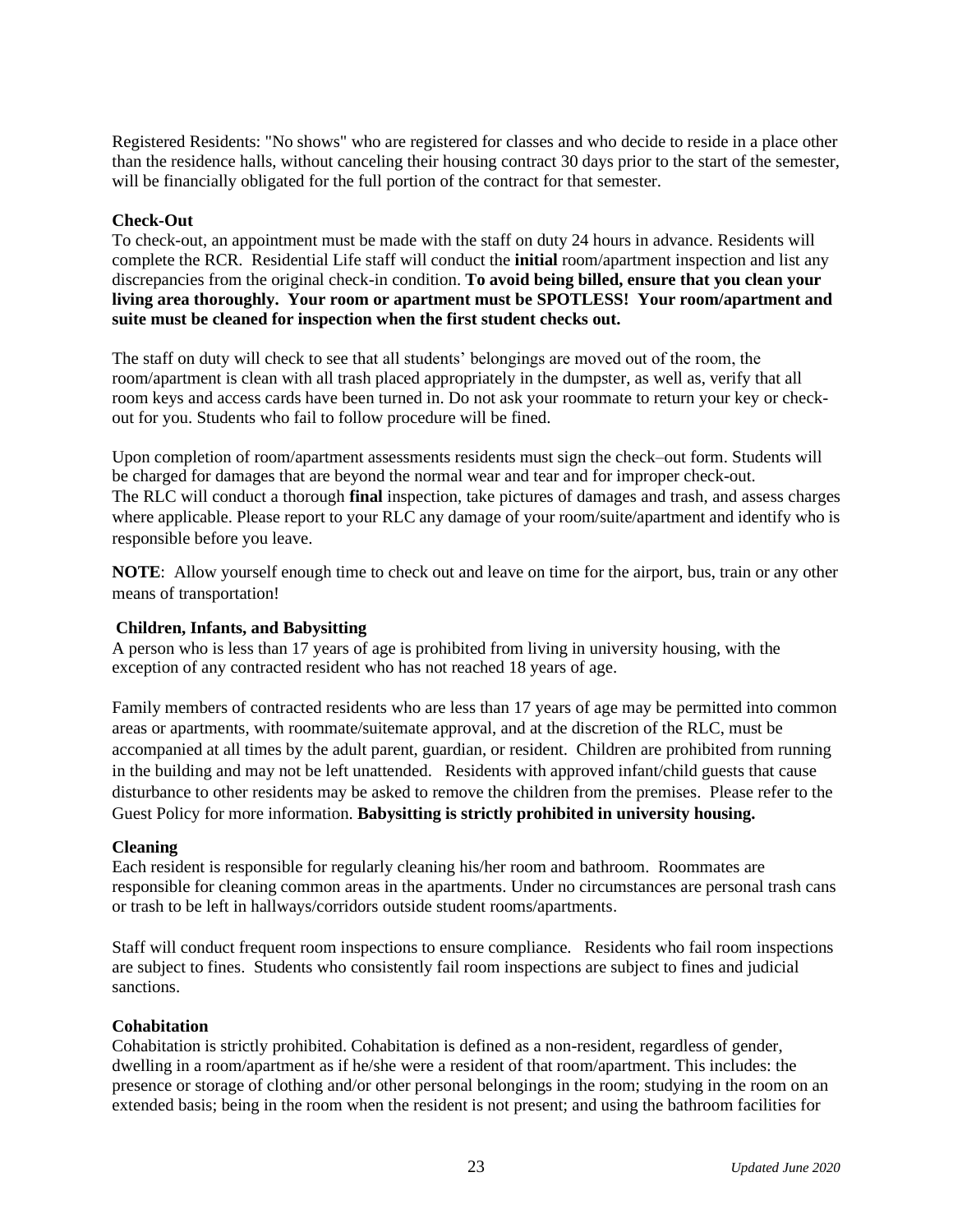Registered Residents: "No shows" who are registered for classes and who decide to reside in a place other than the residence halls, without canceling their housing contract 30 days prior to the start of the semester, will be financially obligated for the full portion of the contract for that semester.

#### **Check-Out**

To check-out, an appointment must be made with the staff on duty 24 hours in advance. Residents will complete the RCR. Residential Life staff will conduct the **initial** room/apartment inspection and list any discrepancies from the original check-in condition. **To avoid being billed, ensure that you clean your living area thoroughly. Your room or apartment must be SPOTLESS! Your room/apartment and suite must be cleaned for inspection when the first student checks out.**

The staff on duty will check to see that all students' belongings are moved out of the room, the room/apartment is clean with all trash placed appropriately in the dumpster, as well as, verify that all room keys and access cards have been turned in. Do not ask your roommate to return your key or checkout for you. Students who fail to follow procedure will be fined.

Upon completion of room/apartment assessments residents must sign the check–out form. Students will be charged for damages that are beyond the normal wear and tear and for improper check-out. The RLC will conduct a thorough **final** inspection, take pictures of damages and trash, and assess charges where applicable. Please report to your RLC any damage of your room/suite/apartment and identify who is responsible before you leave.

**NOTE**: Allow yourself enough time to check out and leave on time for the airport, bus, train or any other means of transportation!

#### **Children, Infants, and Babysitting**

A person who is less than 17 years of age is prohibited from living in university housing, with the exception of any contracted resident who has not reached 18 years of age.

Family members of contracted residents who are less than 17 years of age may be permitted into common areas or apartments, with roommate/suitemate approval, and at the discretion of the RLC, must be accompanied at all times by the adult parent, guardian, or resident. Children are prohibited from running in the building and may not be left unattended. Residents with approved infant/child guests that cause disturbance to other residents may be asked to remove the children from the premises. Please refer to the Guest Policy for more information. **Babysitting is strictly prohibited in university housing.** 

#### **Cleaning**

Each resident is responsible for regularly cleaning his/her room and bathroom. Roommates are responsible for cleaning common areas in the apartments. Under no circumstances are personal trash cans or trash to be left in hallways/corridors outside student rooms/apartments.

Staff will conduct frequent room inspections to ensure compliance. Residents who fail room inspections are subject to fines. Students who consistently fail room inspections are subject to fines and judicial sanctions.

#### **Cohabitation**

Cohabitation is strictly prohibited. Cohabitation is defined as a non-resident, regardless of gender, dwelling in a room/apartment as if he/she were a resident of that room/apartment. This includes: the presence or storage of clothing and/or other personal belongings in the room; studying in the room on an extended basis; being in the room when the resident is not present; and using the bathroom facilities for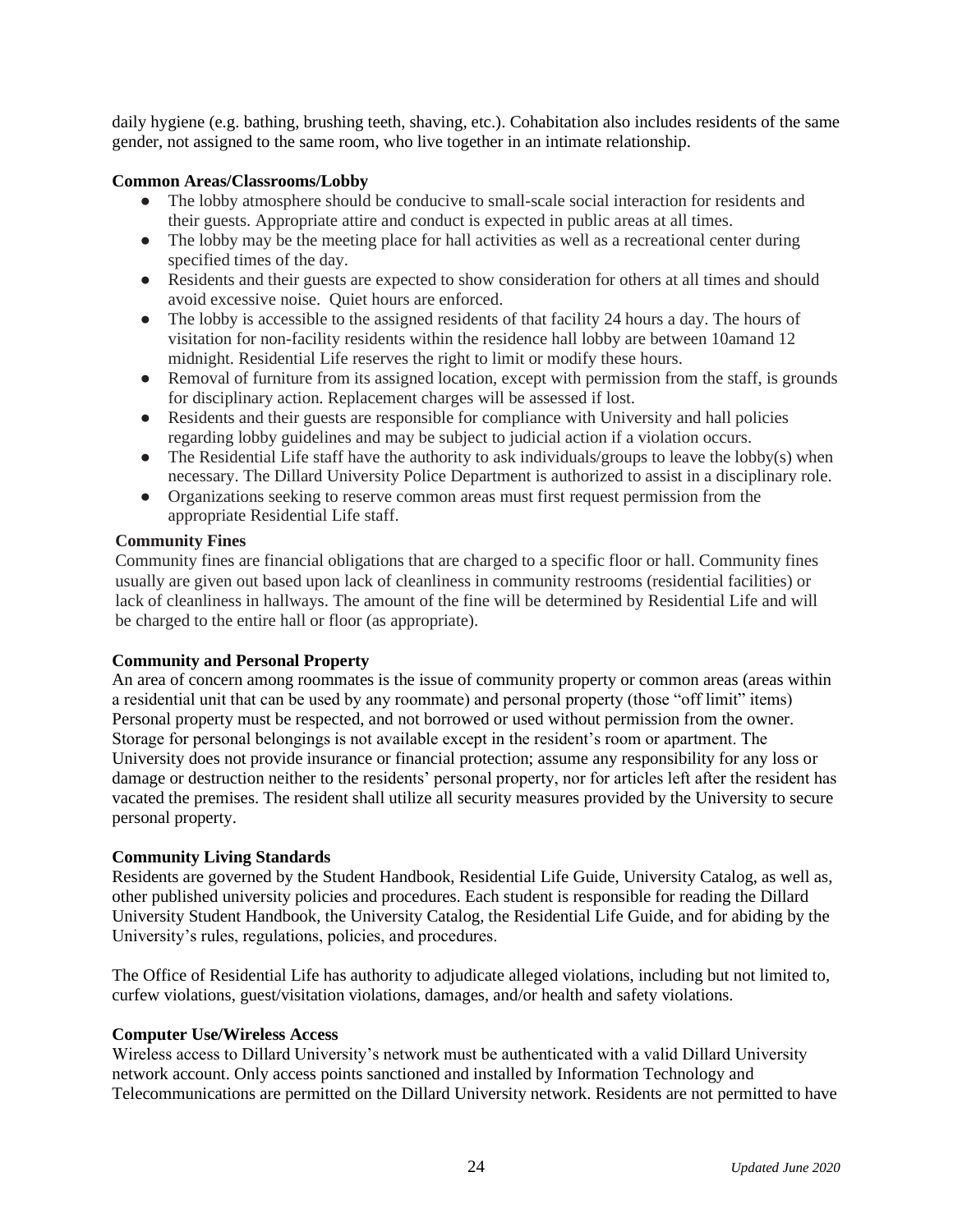daily hygiene (e.g. bathing, brushing teeth, shaving, etc.). Cohabitation also includes residents of the same gender, not assigned to the same room, who live together in an intimate relationship.

#### **Common Areas/Classrooms/Lobby**

- The lobby atmosphere should be conducive to small-scale social interaction for residents and their guests. Appropriate attire and conduct is expected in public areas at all times.
- The lobby may be the meeting place for hall activities as well as a recreational center during specified times of the day.
- Residents and their guests are expected to show consideration for others at all times and should avoid excessive noise. Quiet hours are enforced.
- The lobby is accessible to the assigned residents of that facility 24 hours a day. The hours of visitation for non-facility residents within the residence hall lobby are between 10amand 12 midnight. Residential Life reserves the right to limit or modify these hours.
- Removal of furniture from its assigned location, except with permission from the staff, is grounds for disciplinary action. Replacement charges will be assessed if lost.
- Residents and their guests are responsible for compliance with University and hall policies regarding lobby guidelines and may be subject to judicial action if a violation occurs.
- $\bullet$  The Residential Life staff have the authority to ask individuals/groups to leave the lobby(s) when necessary. The Dillard University Police Department is authorized to assist in a disciplinary role.
- Organizations seeking to reserve common areas must first request permission from the appropriate Residential Life staff.

#### **Community Fines**

Community fines are financial obligations that are charged to a specific floor or hall. Community fines usually are given out based upon lack of cleanliness in community restrooms (residential facilities) or lack of cleanliness in hallways. The amount of the fine will be determined by Residential Life and will be charged to the entire hall or floor (as appropriate).

#### **Community and Personal Property**

An area of concern among roommates is the issue of community property or common areas (areas within a residential unit that can be used by any roommate) and personal property (those "off limit" items) Personal property must be respected, and not borrowed or used without permission from the owner. Storage for personal belongings is not available except in the resident's room or apartment. The University does not provide insurance or financial protection; assume any responsibility for any loss or damage or destruction neither to the residents' personal property, nor for articles left after the resident has vacated the premises. The resident shall utilize all security measures provided by the University to secure personal property.

#### **Community Living Standards**

Residents are governed by the Student Handbook, Residential Life Guide, University Catalog, as well as, other published university policies and procedures. Each student is responsible for reading the Dillard University Student Handbook, the University Catalog, the Residential Life Guide, and for abiding by the University's rules, regulations, policies, and procedures.

The Office of Residential Life has authority to adjudicate alleged violations, including but not limited to, curfew violations, guest/visitation violations, damages, and/or health and safety violations.

#### **Computer Use/Wireless Access**

Wireless access to Dillard University's network must be authenticated with a valid Dillard University network account. Only access points sanctioned and installed by Information Technology and Telecommunications are permitted on the Dillard University network. Residents are not permitted to have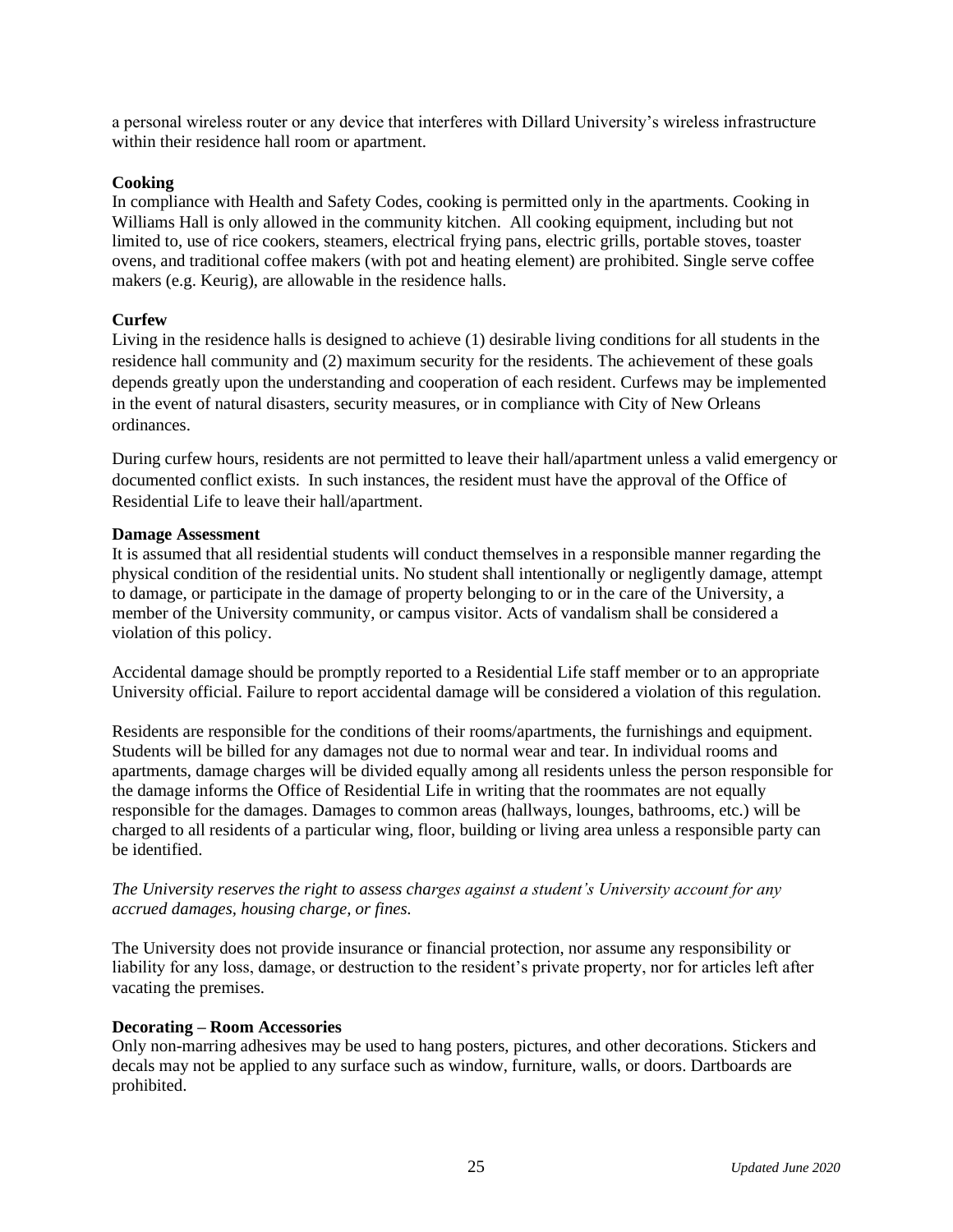a personal wireless router or any device that interferes with Dillard University's wireless infrastructure within their residence hall room or apartment.

#### **Cooking**

In compliance with Health and Safety Codes, cooking is permitted only in the apartments. Cooking in Williams Hall is only allowed in the community kitchen. All cooking equipment, including but not limited to, use of rice cookers, steamers, electrical frying pans, electric grills, portable stoves, toaster ovens, and traditional coffee makers (with pot and heating element) are prohibited. Single serve coffee makers (e.g. Keurig), are allowable in the residence halls.

#### **Curfew**

Living in the residence halls is designed to achieve (1) desirable living conditions for all students in the residence hall community and (2) maximum security for the residents. The achievement of these goals depends greatly upon the understanding and cooperation of each resident. Curfews may be implemented in the event of natural disasters, security measures, or in compliance with City of New Orleans ordinances.

During curfew hours, residents are not permitted to leave their hall/apartment unless a valid emergency or documented conflict exists. In such instances, the resident must have the approval of the Office of Residential Life to leave their hall/apartment.

#### **Damage Assessment**

It is assumed that all residential students will conduct themselves in a responsible manner regarding the physical condition of the residential units. No student shall intentionally or negligently damage, attempt to damage, or participate in the damage of property belonging to or in the care of the University, a member of the University community, or campus visitor. Acts of vandalism shall be considered a violation of this policy.

Accidental damage should be promptly reported to a Residential Life staff member or to an appropriate University official. Failure to report accidental damage will be considered a violation of this regulation.

Residents are responsible for the conditions of their rooms/apartments, the furnishings and equipment. Students will be billed for any damages not due to normal wear and tear. In individual rooms and apartments, damage charges will be divided equally among all residents unless the person responsible for the damage informs the Office of Residential Life in writing that the roommates are not equally responsible for the damages. Damages to common areas (hallways, lounges, bathrooms, etc.) will be charged to all residents of a particular wing, floor, building or living area unless a responsible party can be identified.

#### *The University reserves the right to assess charges against a student's University account for any accrued damages, housing charge, or fines.*

The University does not provide insurance or financial protection, nor assume any responsibility or liability for any loss, damage, or destruction to the resident's private property, nor for articles left after vacating the premises.

#### **Decorating – Room Accessories**

Only non-marring adhesives may be used to hang posters, pictures, and other decorations. Stickers and decals may not be applied to any surface such as window, furniture, walls, or doors. Dartboards are prohibited.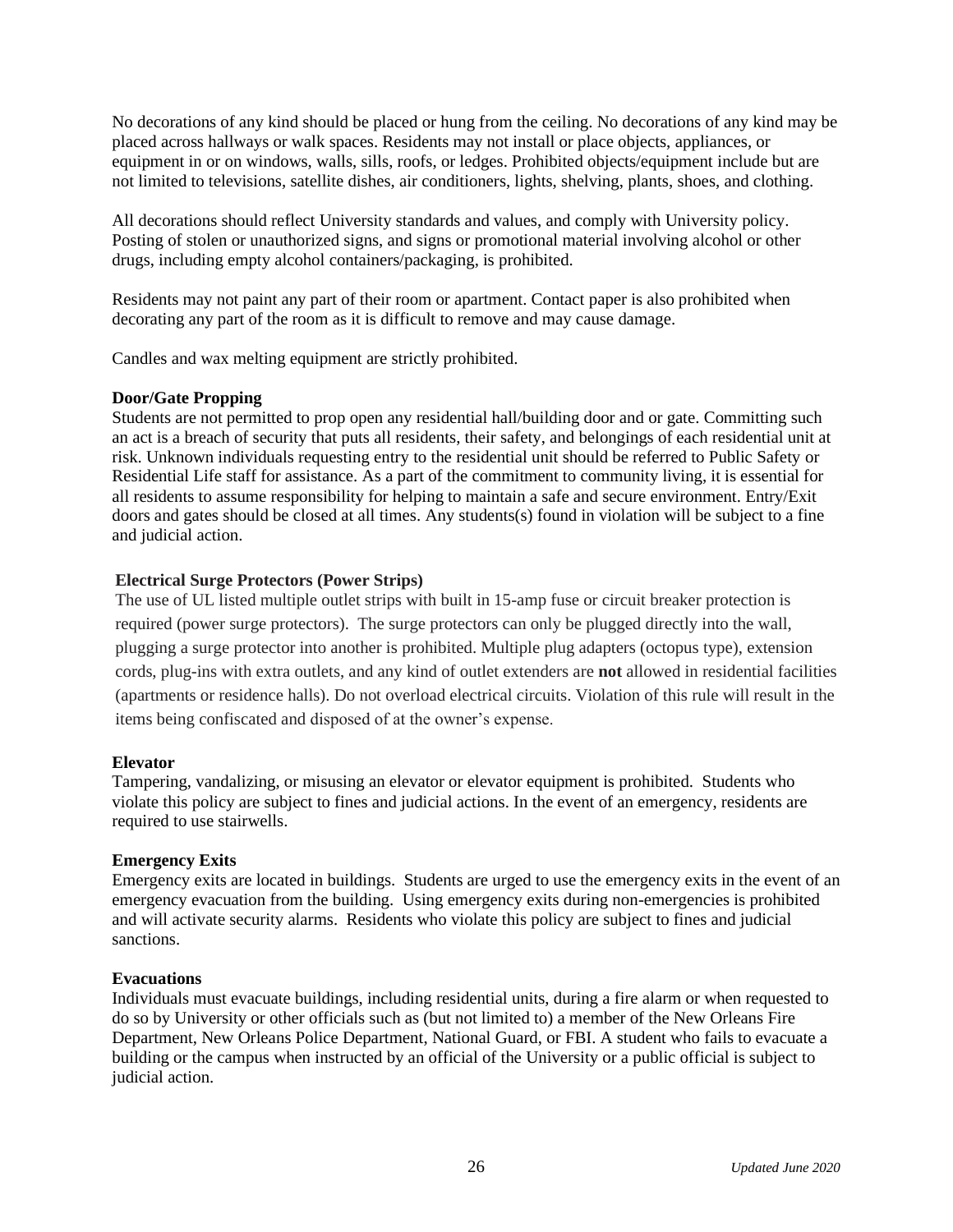No decorations of any kind should be placed or hung from the ceiling. No decorations of any kind may be placed across hallways or walk spaces. Residents may not install or place objects, appliances, or equipment in or on windows, walls, sills, roofs, or ledges. Prohibited objects/equipment include but are not limited to televisions, satellite dishes, air conditioners, lights, shelving, plants, shoes, and clothing.

All decorations should reflect University standards and values, and comply with University policy. Posting of stolen or unauthorized signs, and signs or promotional material involving alcohol or other drugs, including empty alcohol containers/packaging, is prohibited.

Residents may not paint any part of their room or apartment. Contact paper is also prohibited when decorating any part of the room as it is difficult to remove and may cause damage.

Candles and wax melting equipment are strictly prohibited.

#### **Door/Gate Propping**

Students are not permitted to prop open any residential hall/building door and or gate. Committing such an act is a breach of security that puts all residents, their safety, and belongings of each residential unit at risk. Unknown individuals requesting entry to the residential unit should be referred to Public Safety or Residential Life staff for assistance. As a part of the commitment to community living, it is essential for all residents to assume responsibility for helping to maintain a safe and secure environment. Entry/Exit doors and gates should be closed at all times. Any students(s) found in violation will be subject to a fine and judicial action.

#### **Electrical Surge Protectors (Power Strips)**

The use of UL listed multiple outlet strips with built in 15-amp fuse or circuit breaker protection is required (power surge protectors). The surge protectors can only be plugged directly into the wall, plugging a surge protector into another is prohibited. Multiple plug adapters (octopus type), extension cords, plug-ins with extra outlets, and any kind of outlet extenders are **not** allowed in residential facilities (apartments or residence halls). Do not overload electrical circuits. Violation of this rule will result in the items being confiscated and disposed of at the owner's expense.

#### **Elevator**

Tampering, vandalizing, or misusing an elevator or elevator equipment is prohibited. Students who violate this policy are subject to fines and judicial actions. In the event of an emergency, residents are required to use stairwells.

#### **Emergency Exits**

Emergency exits are located in buildings. Students are urged to use the emergency exits in the event of an emergency evacuation from the building. Using emergency exits during non-emergencies is prohibited and will activate security alarms. Residents who violate this policy are subject to fines and judicial sanctions.

#### **Evacuations**

Individuals must evacuate buildings, including residential units, during a fire alarm or when requested to do so by University or other officials such as (but not limited to) a member of the New Orleans Fire Department, New Orleans Police Department, National Guard, or FBI. A student who fails to evacuate a building or the campus when instructed by an official of the University or a public official is subject to judicial action.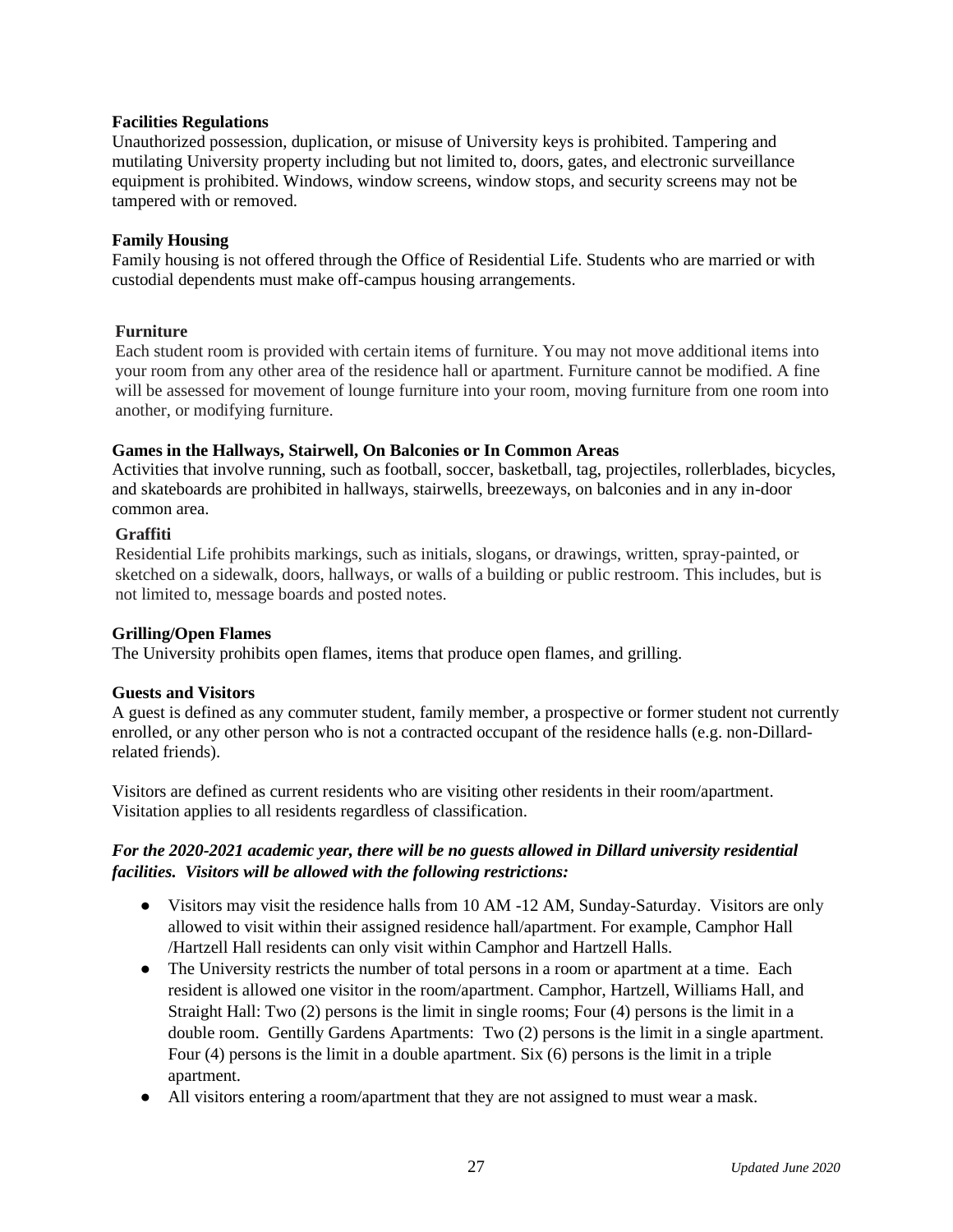#### **Facilities Regulations**

Unauthorized possession, duplication, or misuse of University keys is prohibited. Tampering and mutilating University property including but not limited to, doors, gates, and electronic surveillance equipment is prohibited. Windows, window screens, window stops, and security screens may not be tampered with or removed.

#### **Family Housing**

Family housing is not offered through the Office of Residential Life. Students who are married or with custodial dependents must make off-campus housing arrangements.

#### **Furniture**

Each student room is provided with certain items of furniture. You may not move additional items into your room from any other area of the residence hall or apartment. Furniture cannot be modified. A fine will be assessed for movement of lounge furniture into your room, moving furniture from one room into another, or modifying furniture.

#### **Games in the Hallways, Stairwell, On Balconies or In Common Areas**

Activities that involve running, such as football, soccer, basketball, tag, projectiles, rollerblades, bicycles, and skateboards are prohibited in hallways, stairwells, breezeways, on balconies and in any in-door common area.

#### **Graffiti**

Residential Life prohibits markings, such as initials, slogans, or drawings, written, spray-painted, or sketched on a sidewalk, doors, hallways, or walls of a building or public restroom. This includes, but is not limited to, message boards and posted notes.

#### **Grilling/Open Flames**

The University prohibits open flames, items that produce open flames, and grilling.

#### **Guests and Visitors**

A guest is defined as any commuter student, family member, a prospective or former student not currently enrolled, or any other person who is not a contracted occupant of the residence halls (e.g. non-Dillardrelated friends).

Visitors are defined as current residents who are visiting other residents in their room/apartment. Visitation applies to all residents regardless of classification.

#### *For the 2020-2021 academic year, there will be no guests allowed in Dillard university residential facilities. Visitors will be allowed with the following restrictions:*

- Visitors may visit the residence halls from 10 AM -12 AM, Sunday-Saturday. Visitors are only allowed to visit within their assigned residence hall/apartment. For example, Camphor Hall /Hartzell Hall residents can only visit within Camphor and Hartzell Halls.
- The University restricts the number of total persons in a room or apartment at a time. Each resident is allowed one visitor in the room/apartment. Camphor, Hartzell, Williams Hall, and Straight Hall: Two (2) persons is the limit in single rooms; Four (4) persons is the limit in a double room. Gentilly Gardens Apartments: Two (2) persons is the limit in a single apartment. Four (4) persons is the limit in a double apartment. Six (6) persons is the limit in a triple apartment.
- All visitors entering a room/apartment that they are not assigned to must wear a mask.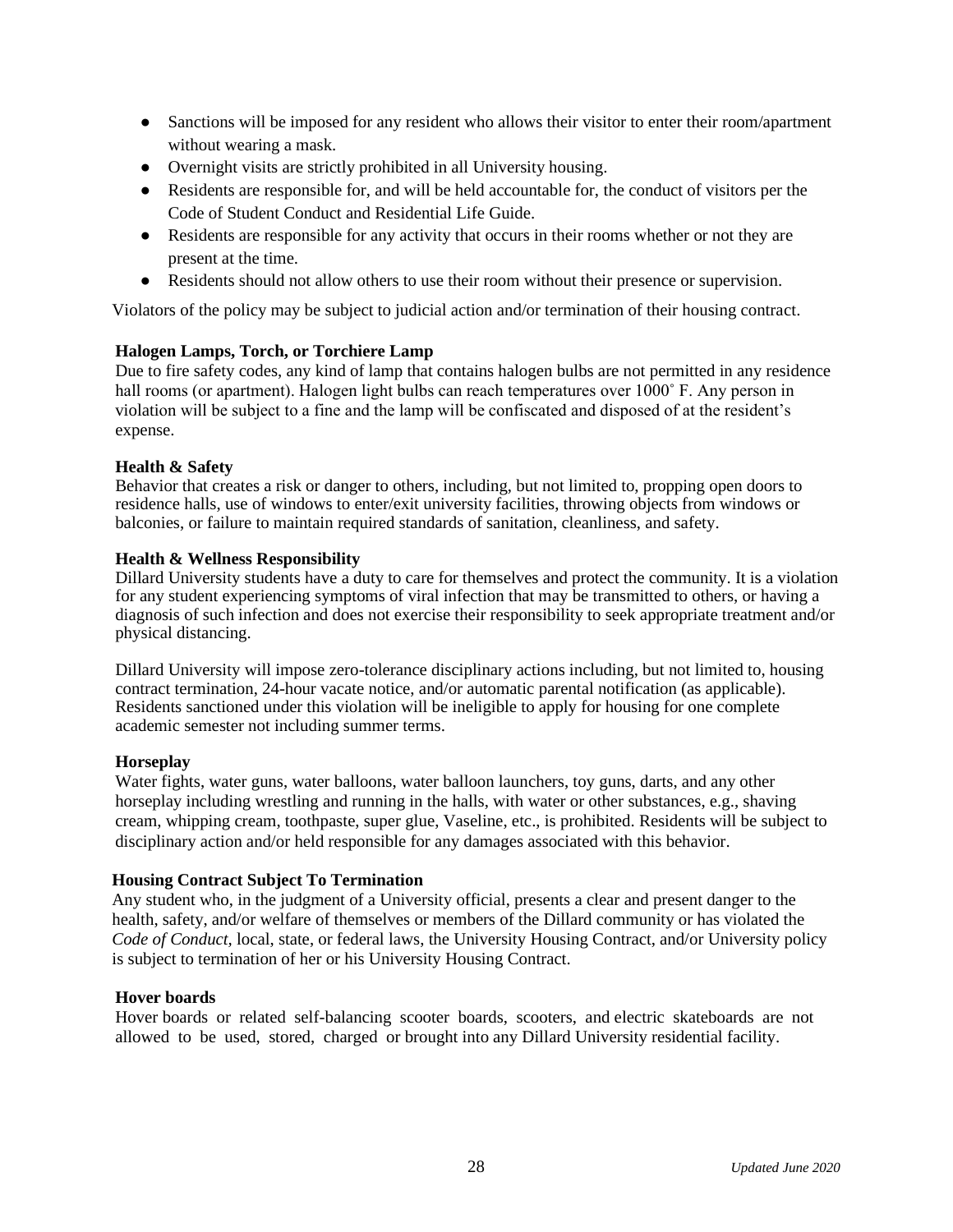- Sanctions will be imposed for any resident who allows their visitor to enter their room/apartment without wearing a mask.
- Overnight visits are strictly prohibited in all University housing.
- Residents are responsible for, and will be held accountable for, the conduct of visitors per the Code of Student Conduct and Residential Life Guide.
- Residents are responsible for any activity that occurs in their rooms whether or not they are present at the time.
- Residents should not allow others to use their room without their presence or supervision.

Violators of the policy may be subject to judicial action and/or termination of their housing contract.

#### **Halogen Lamps, Torch, or Torchiere Lamp**

Due to fire safety codes, any kind of lamp that contains halogen bulbs are not permitted in any residence hall rooms (or apartment). Halogen light bulbs can reach temperatures over 1000° F. Any person in violation will be subject to a fine and the lamp will be confiscated and disposed of at the resident's expense.

#### **Health & Safety**

Behavior that creates a risk or danger to others, including, but not limited to, propping open doors to residence halls, use of windows to enter/exit university facilities, throwing objects from windows or balconies, or failure to maintain required standards of sanitation, cleanliness, and safety.

#### **Health & Wellness Responsibility**

Dillard University students have a duty to care for themselves and protect the community. It is a violation for any student experiencing symptoms of viral infection that may be transmitted to others, or having a diagnosis of such infection and does not exercise their responsibility to seek appropriate treatment and/or physical distancing.

Dillard University will impose zero-tolerance disciplinary actions including, but not limited to, housing contract termination, 24-hour vacate notice, and/or automatic parental notification (as applicable). Residents sanctioned under this violation will be ineligible to apply for housing for one complete academic semester not including summer terms.

#### **Horseplay**

Water fights, water guns, water balloons, water balloon launchers, toy guns, darts, and any other horseplay including wrestling and running in the halls, with water or other substances, e.g., shaving cream, whipping cream, toothpaste, super glue, Vaseline, etc., is prohibited. Residents will be subject to disciplinary action and/or held responsible for any damages associated with this behavior.

#### **Housing Contract Subject To Termination**

Any student who, in the judgment of a University official, presents a clear and present danger to the health, safety, and/or welfare of themselves or members of the Dillard community or has violated the *Code of Conduct,* local, state, or federal laws, the University Housing Contract, and/or University policy is subject to termination of her or his University Housing Contract.

#### **Hover boards**

Hover boards or related self-balancing scooter boards, scooters, and electric skateboards are not allowed to be used, stored, charged or brought into any Dillard University residential facility.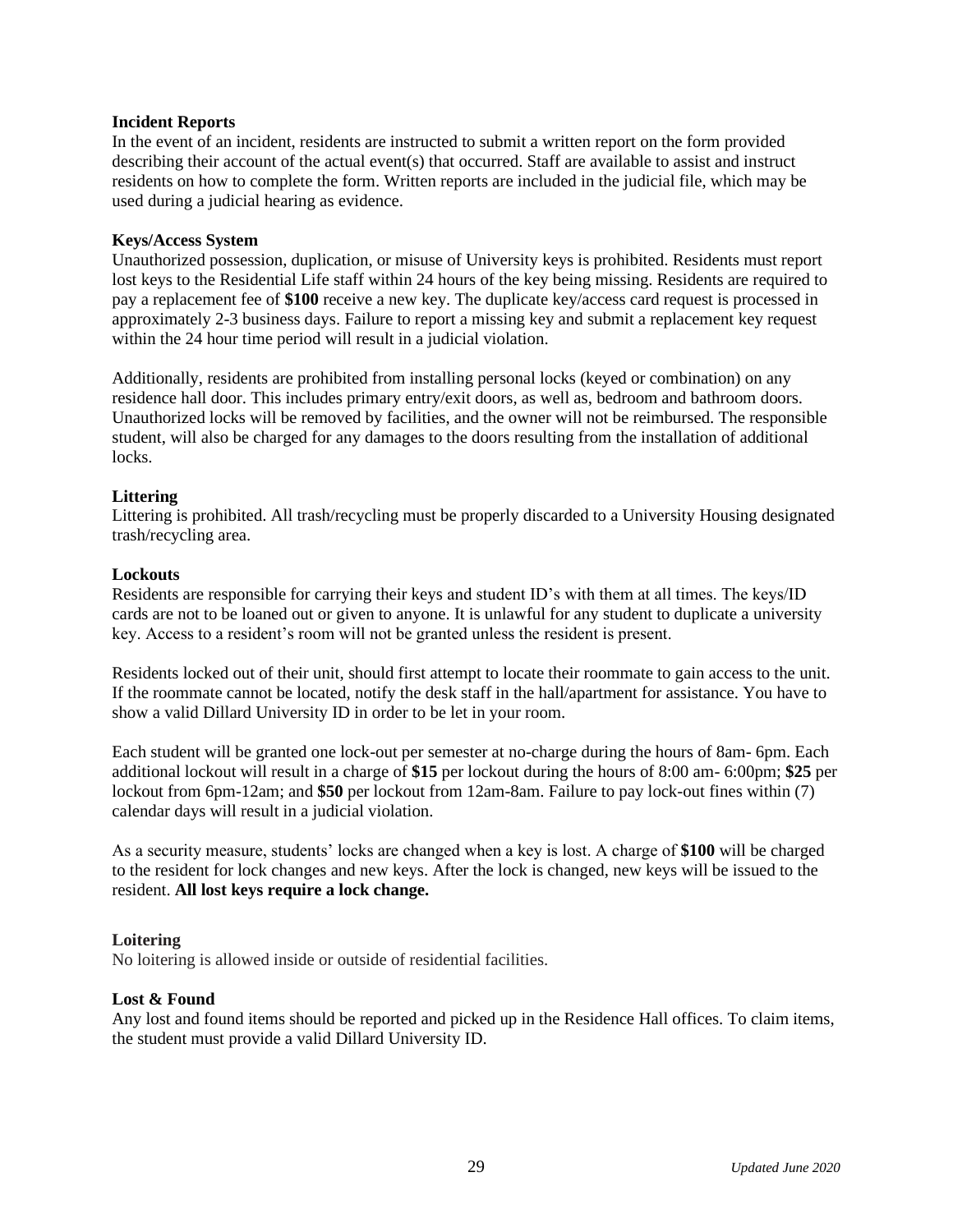#### **Incident Reports**

In the event of an incident, residents are instructed to submit a written report on the form provided describing their account of the actual event(s) that occurred. Staff are available to assist and instruct residents on how to complete the form. Written reports are included in the judicial file, which may be used during a judicial hearing as evidence.

#### **Keys/Access System**

Unauthorized possession, duplication, or misuse of University keys is prohibited. Residents must report lost keys to the Residential Life staff within 24 hours of the key being missing. Residents are required to pay a replacement fee of **\$100** receive a new key. The duplicate key/access card request is processed in approximately 2-3 business days. Failure to report a missing key and submit a replacement key request within the 24 hour time period will result in a judicial violation.

Additionally, residents are prohibited from installing personal locks (keyed or combination) on any residence hall door. This includes primary entry/exit doors, as well as, bedroom and bathroom doors. Unauthorized locks will be removed by facilities, and the owner will not be reimbursed. The responsible student, will also be charged for any damages to the doors resulting from the installation of additional locks.

#### **Littering**

Littering is prohibited. All trash/recycling must be properly discarded to a University Housing designated trash/recycling area.

#### **Lockouts**

Residents are responsible for carrying their keys and student ID's with them at all times. The keys/ID cards are not to be loaned out or given to anyone. It is unlawful for any student to duplicate a university key. Access to a resident's room will not be granted unless the resident is present.

Residents locked out of their unit, should first attempt to locate their roommate to gain access to the unit. If the roommate cannot be located, notify the desk staff in the hall/apartment for assistance. You have to show a valid Dillard University ID in order to be let in your room.

Each student will be granted one lock-out per semester at no-charge during the hours of 8am- 6pm. Each additional lockout will result in a charge of **\$15** per lockout during the hours of 8:00 am- 6:00pm; **\$25** per lockout from 6pm-12am; and **\$50** per lockout from 12am-8am. Failure to pay lock-out fines within (7) calendar days will result in a judicial violation.

As a security measure, students' locks are changed when a key is lost. A charge of **\$100** will be charged to the resident for lock changes and new keys. After the lock is changed, new keys will be issued to the resident. **All lost keys require a lock change.**

#### **Loitering**

No loitering is allowed inside or outside of residential facilities.

#### **Lost & Found**

Any lost and found items should be reported and picked up in the Residence Hall offices. To claim items, the student must provide a valid Dillard University ID.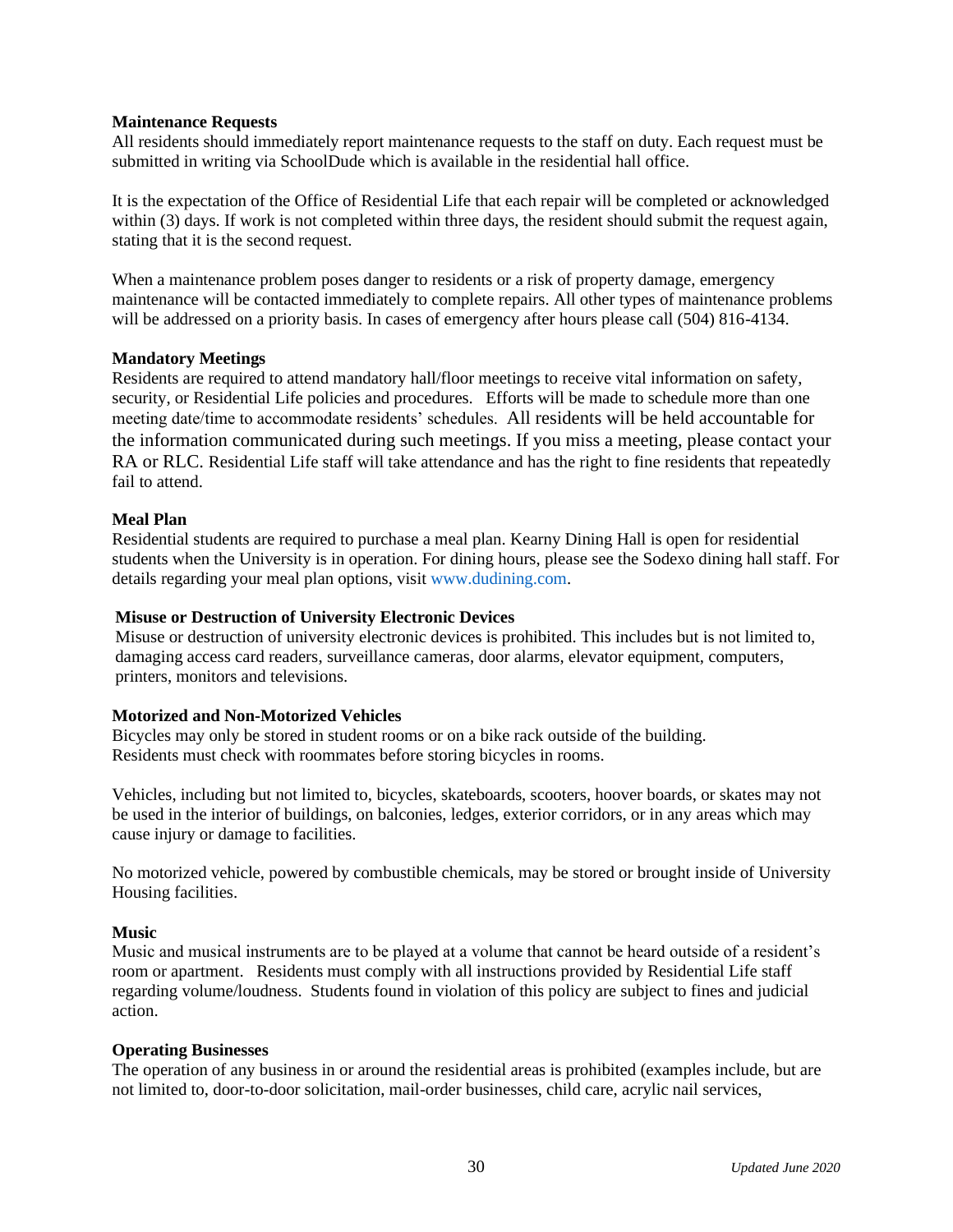#### **Maintenance Requests**

All residents should immediately report maintenance requests to the staff on duty. Each request must be submitted in writing via SchoolDude which is available in the residential hall office.

It is the expectation of the Office of Residential Life that each repair will be completed or acknowledged within (3) days. If work is not completed within three days, the resident should submit the request again, stating that it is the second request.

When a maintenance problem poses danger to residents or a risk of property damage, emergency maintenance will be contacted immediately to complete repairs. All other types of maintenance problems will be addressed on a priority basis. In cases of emergency after hours please call (504) 816-4134.

#### **Mandatory Meetings**

Residents are required to attend mandatory hall/floor meetings to receive vital information on safety, security, or Residential Life policies and procedures. Efforts will be made to schedule more than one meeting date/time to accommodate residents' schedules. All residents will be held accountable for the information communicated during such meetings. If you miss a meeting, please contact your RA or RLC. Residential Life staff will take attendance and has the right to fine residents that repeatedly fail to attend.

#### **Meal Plan**

Residential students are required to purchase a meal plan. Kearny Dining Hall is open for residential students when the University is in operation. For dining hours, please see the Sodexo dining hall staff. For details regarding your meal plan options, visi[t www.dudining.com.](http://www.dudining.com/)

#### **Misuse or Destruction of University Electronic Devices**

Misuse or destruction of university electronic devices is prohibited. This includes but is not limited to, damaging access card readers, surveillance cameras, door alarms, elevator equipment, computers, printers, monitors and televisions.

#### **Motorized and Non-Motorized Vehicles**

Bicycles may only be stored in student rooms or on a bike rack outside of the building. Residents must check with roommates before storing bicycles in rooms.

Vehicles, including but not limited to, bicycles, skateboards, scooters, hoover boards, or skates may not be used in the interior of buildings, on balconies, ledges, exterior corridors, or in any areas which may cause injury or damage to facilities.

No motorized vehicle, powered by combustible chemicals, may be stored or brought inside of University Housing facilities.

#### **Music**

Music and musical instruments are to be played at a volume that cannot be heard outside of a resident's room or apartment. Residents must comply with all instructions provided by Residential Life staff regarding volume/loudness. Students found in violation of this policy are subject to fines and judicial action.

#### **Operating Businesses**

The operation of any business in or around the residential areas is prohibited (examples include, but are not limited to, door-to-door solicitation, mail-order businesses, child care, acrylic nail services,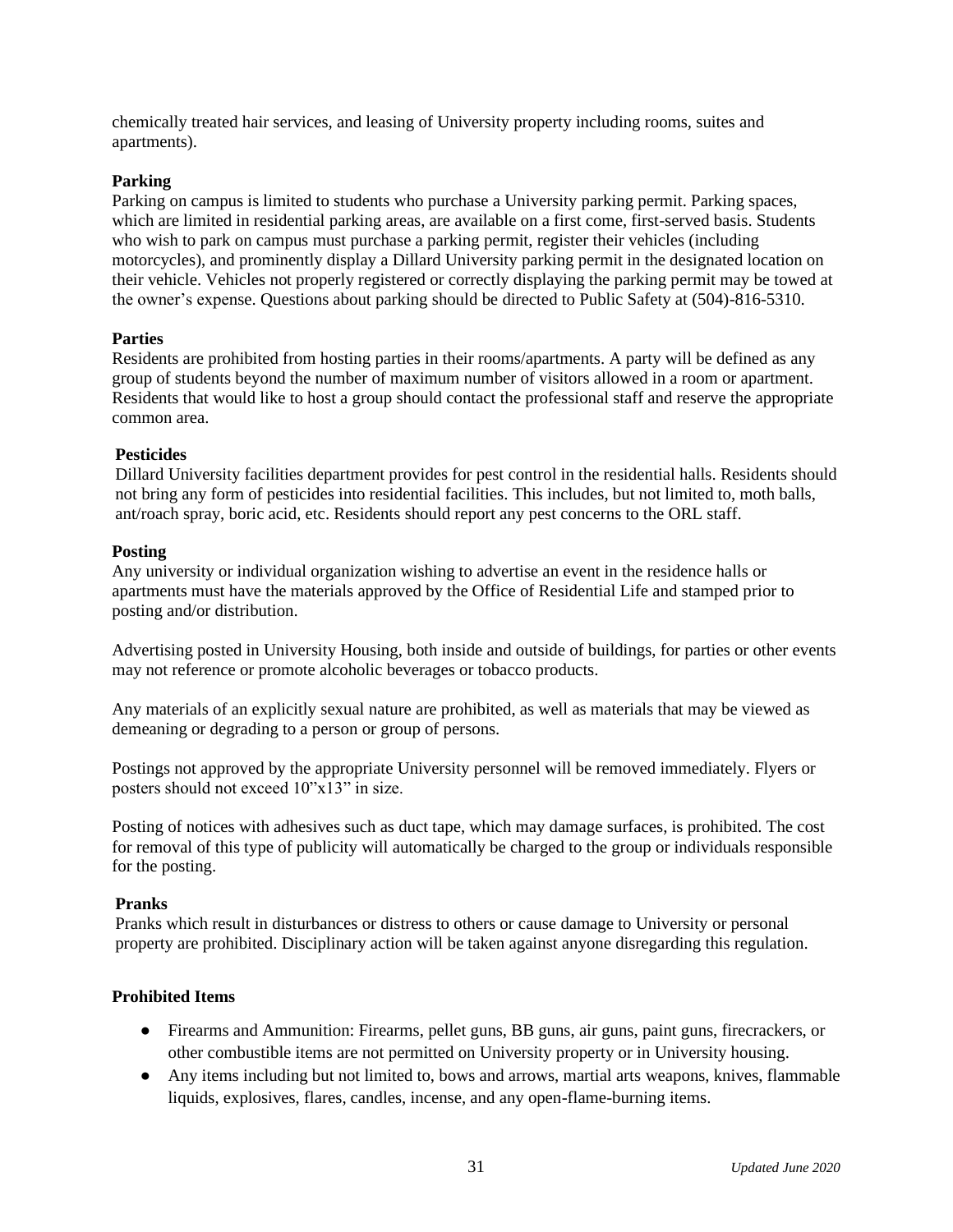chemically treated hair services, and leasing of University property including rooms, suites and apartments).

#### **Parking**

Parking on campus is limited to students who purchase a University parking permit. Parking spaces, which are limited in residential parking areas, are available on a first come, first-served basis. Students who wish to park on campus must purchase a parking permit, register their vehicles (including motorcycles), and prominently display a Dillard University parking permit in the designated location on their vehicle. Vehicles not properly registered or correctly displaying the parking permit may be towed at the owner's expense. Questions about parking should be directed to Public Safety at (504)-816-5310.

#### **Parties**

Residents are prohibited from hosting parties in their rooms/apartments. A party will be defined as any group of students beyond the number of maximum number of visitors allowed in a room or apartment. Residents that would like to host a group should contact the professional staff and reserve the appropriate common area.

#### **Pesticides**

Dillard University facilities department provides for pest control in the residential halls. Residents should not bring any form of pesticides into residential facilities. This includes, but not limited to, moth balls, ant/roach spray, boric acid, etc. Residents should report any pest concerns to the ORL staff.

#### **Posting**

Any university or individual organization wishing to advertise an event in the residence halls or apartments must have the materials approved by the Office of Residential Life and stamped prior to posting and/or distribution.

Advertising posted in University Housing, both inside and outside of buildings, for parties or other events may not reference or promote alcoholic beverages or tobacco products.

Any materials of an explicitly sexual nature are prohibited, as well as materials that may be viewed as demeaning or degrading to a person or group of persons.

Postings not approved by the appropriate University personnel will be removed immediately. Flyers or posters should not exceed 10"x13" in size.

Posting of notices with adhesives such as duct tape, which may damage surfaces, is prohibited. The cost for removal of this type of publicity will automatically be charged to the group or individuals responsible for the posting.

#### **Pranks**

Pranks which result in disturbances or distress to others or cause damage to University or personal property are prohibited. Disciplinary action will be taken against anyone disregarding this regulation.

#### **Prohibited Items**

- Firearms and Ammunition: Firearms, pellet guns, BB guns, air guns, paint guns, firecrackers, or other combustible items are not permitted on University property or in University housing.
- Any items including but not limited to, bows and arrows, martial arts weapons, knives, flammable liquids, explosives, flares, candles, incense, and any open-flame-burning items.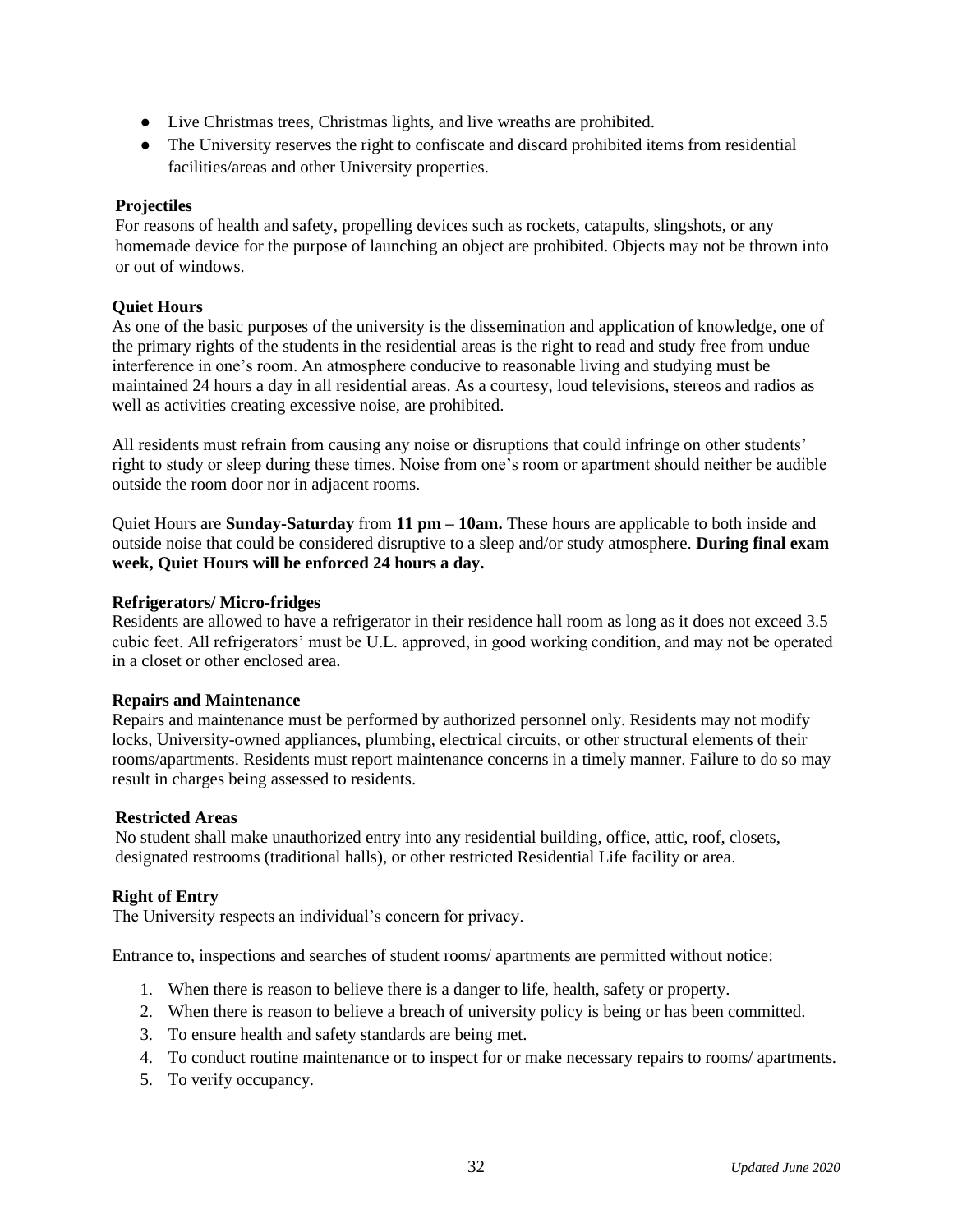- Live Christmas trees, Christmas lights, and live wreaths are prohibited.
- The University reserves the right to confiscate and discard prohibited items from residential facilities/areas and other University properties.

#### **Projectiles**

For reasons of health and safety, propelling devices such as rockets, catapults, slingshots, or any homemade device for the purpose of launching an object are prohibited. Objects may not be thrown into or out of windows.

#### **Quiet Hours**

As one of the basic purposes of the university is the dissemination and application of knowledge, one of the primary rights of the students in the residential areas is the right to read and study free from undue interference in one's room. An atmosphere conducive to reasonable living and studying must be maintained 24 hours a day in all residential areas. As a courtesy, loud televisions, stereos and radios as well as activities creating excessive noise, are prohibited.

All residents must refrain from causing any noise or disruptions that could infringe on other students' right to study or sleep during these times. Noise from one's room or apartment should neither be audible outside the room door nor in adjacent rooms.

Quiet Hours are **Sunday-Saturday** from **11 pm – 10am.** These hours are applicable to both inside and outside noise that could be considered disruptive to a sleep and/or study atmosphere. **During final exam week, Quiet Hours will be enforced 24 hours a day.**

#### **Refrigerators/ Micro-fridges**

Residents are allowed to have a refrigerator in their residence hall room as long as it does not exceed 3.5 cubic feet. All refrigerators' must be U.L. approved, in good working condition, and may not be operated in a closet or other enclosed area.

#### **Repairs and Maintenance**

Repairs and maintenance must be performed by authorized personnel only. Residents may not modify locks, University-owned appliances, plumbing, electrical circuits, or other structural elements of their rooms/apartments. Residents must report maintenance concerns in a timely manner. Failure to do so may result in charges being assessed to residents.

#### **Restricted Areas**

No student shall make unauthorized entry into any residential building, office, attic, roof, closets, designated restrooms (traditional halls), or other restricted Residential Life facility or area.

#### **Right of Entry**

The University respects an individual's concern for privacy.

Entrance to, inspections and searches of student rooms/ apartments are permitted without notice:

- 1. When there is reason to believe there is a danger to life, health, safety or property.
- 2. When there is reason to believe a breach of university policy is being or has been committed.
- 3. To ensure health and safety standards are being met.
- 4. To conduct routine maintenance or to inspect for or make necessary repairs to rooms/ apartments.
- 5. To verify occupancy.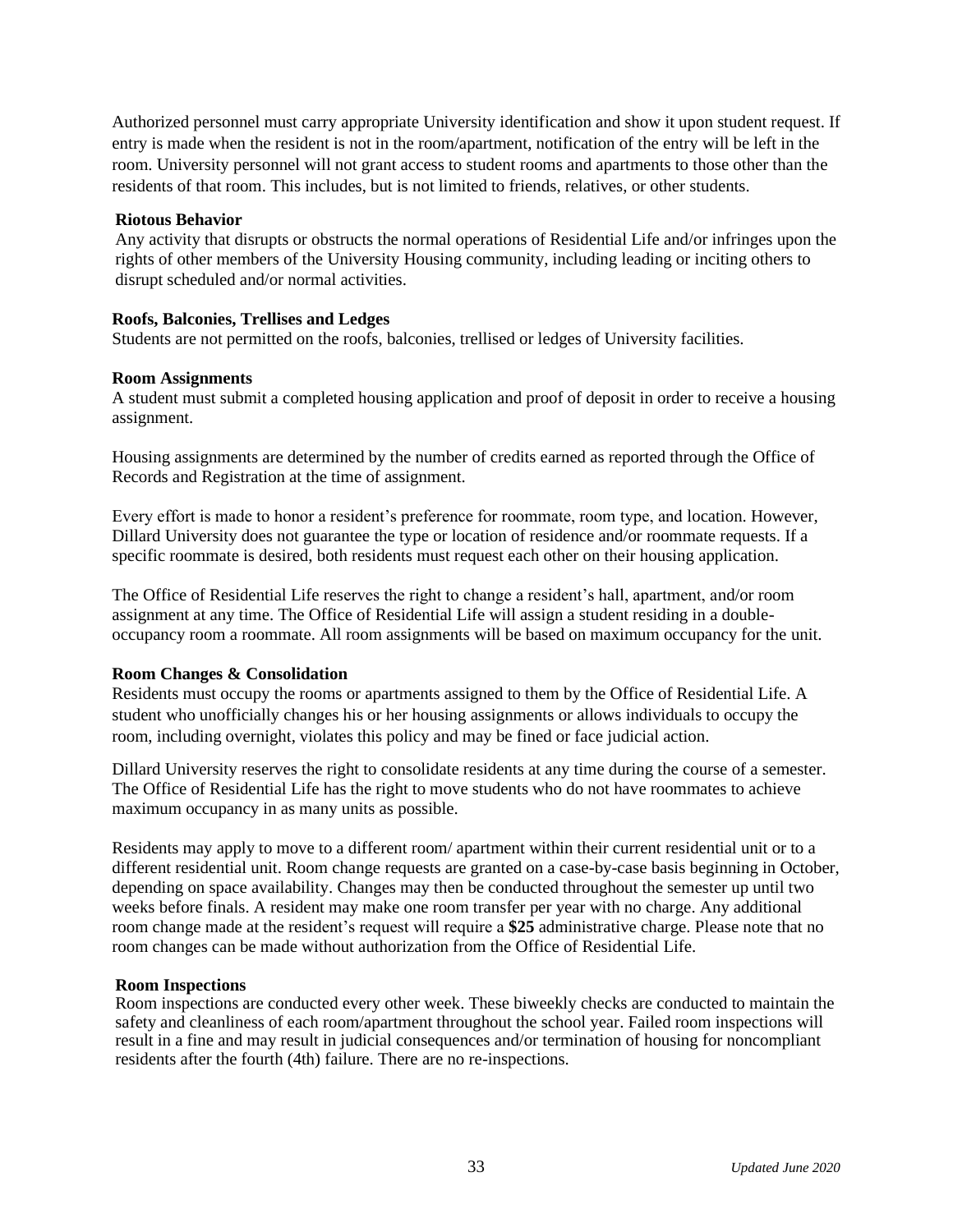Authorized personnel must carry appropriate University identification and show it upon student request. If entry is made when the resident is not in the room/apartment, notification of the entry will be left in the room. University personnel will not grant access to student rooms and apartments to those other than the residents of that room. This includes, but is not limited to friends, relatives, or other students.

#### **Riotous Behavior**

Any activity that disrupts or obstructs the normal operations of Residential Life and/or infringes upon the rights of other members of the University Housing community, including leading or inciting others to disrupt scheduled and/or normal activities.

#### **Roofs, Balconies, Trellises and Ledges**

Students are not permitted on the roofs, balconies, trellised or ledges of University facilities.

#### **Room Assignments**

A student must submit a completed housing application and proof of deposit in order to receive a housing assignment.

Housing assignments are determined by the number of credits earned as reported through the Office of Records and Registration at the time of assignment.

Every effort is made to honor a resident's preference for roommate, room type, and location. However, Dillard University does not guarantee the type or location of residence and/or roommate requests. If a specific roommate is desired, both residents must request each other on their housing application.

The Office of Residential Life reserves the right to change a resident's hall, apartment, and/or room assignment at any time. The Office of Residential Life will assign a student residing in a doubleoccupancy room a roommate. All room assignments will be based on maximum occupancy for the unit.

#### **Room Changes & Consolidation**

Residents must occupy the rooms or apartments assigned to them by the Office of Residential Life. A student who unofficially changes his or her housing assignments or allows individuals to occupy the room, including overnight, violates this policy and may be fined or face judicial action.

Dillard University reserves the right to consolidate residents at any time during the course of a semester. The Office of Residential Life has the right to move students who do not have roommates to achieve maximum occupancy in as many units as possible.

Residents may apply to move to a different room/ apartment within their current residential unit or to a different residential unit. Room change requests are granted on a case-by-case basis beginning in October, depending on space availability. Changes may then be conducted throughout the semester up until two weeks before finals. A resident may make one room transfer per year with no charge. Any additional room change made at the resident's request will require a **\$25** administrative charge. Please note that no room changes can be made without authorization from the Office of Residential Life.

#### **Room Inspections**

Room inspections are conducted every other week. These biweekly checks are conducted to maintain the safety and cleanliness of each room/apartment throughout the school year. Failed room inspections will result in a fine and may result in judicial consequences and/or termination of housing for noncompliant residents after the fourth (4th) failure. There are no re-inspections.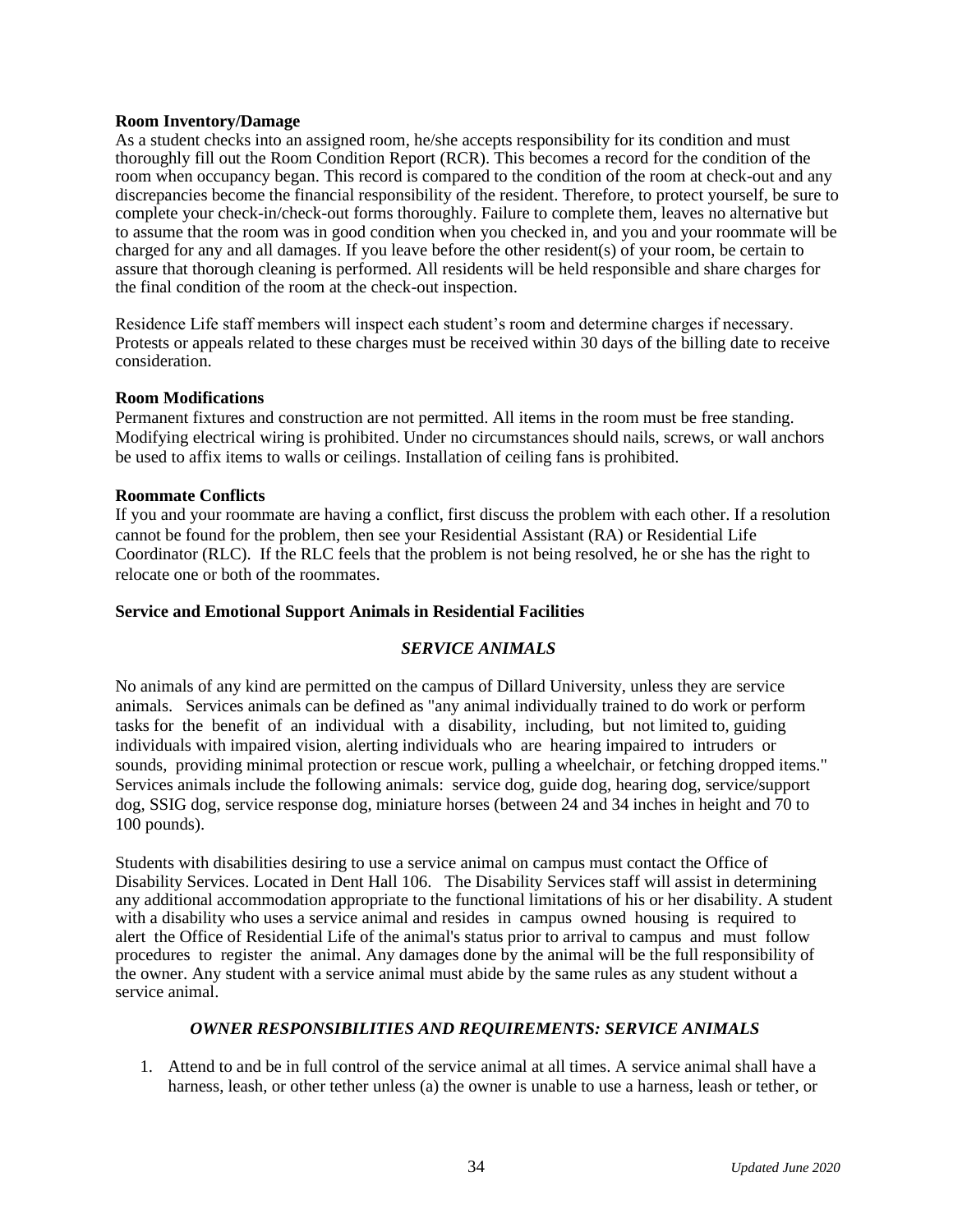#### **Room Inventory/Damage**

As a student checks into an assigned room, he/she accepts responsibility for its condition and must thoroughly fill out the Room Condition Report (RCR). This becomes a record for the condition of the room when occupancy began. This record is compared to the condition of the room at check-out and any discrepancies become the financial responsibility of the resident. Therefore, to protect yourself, be sure to complete your check-in/check-out forms thoroughly. Failure to complete them, leaves no alternative but to assume that the room was in good condition when you checked in, and you and your roommate will be charged for any and all damages. If you leave before the other resident(s) of your room, be certain to assure that thorough cleaning is performed. All residents will be held responsible and share charges for the final condition of the room at the check-out inspection.

Residence Life staff members will inspect each student's room and determine charges if necessary. Protests or appeals related to these charges must be received within 30 days of the billing date to receive consideration.

#### **Room Modifications**

Permanent fixtures and construction are not permitted. All items in the room must be free standing. Modifying electrical wiring is prohibited. Under no circumstances should nails, screws, or wall anchors be used to affix items to walls or ceilings. Installation of ceiling fans is prohibited.

#### **Roommate Conflicts**

If you and your roommate are having a conflict, first discuss the problem with each other. If a resolution cannot be found for the problem, then see your Residential Assistant (RA) or Residential Life Coordinator (RLC). If the RLC feels that the problem is not being resolved, he or she has the right to relocate one or both of the roommates.

#### **Service and Emotional Support Animals in Residential Facilities**

#### *SERVICE ANIMALS*

No animals of any kind are permitted on the campus of Dillard University, unless they are service animals. Services animals can be defined as "any animal individually trained to do work or perform tasks for the benefit of an individual with a disability, including, but not limited to, guiding individuals with impaired vision, alerting individuals who are hearing impaired to intruders or sounds, providing minimal protection or rescue work, pulling a wheelchair, or fetching dropped items." Services animals include the following animals: service dog, guide dog, hearing dog, service/support dog, SSIG dog, service response dog, miniature horses (between 24 and 34 inches in height and 70 to 100 pounds).

Students with disabilities desiring to use a service animal on campus must contact the Office of Disability Services. Located in Dent Hall 106. The Disability Services staff will assist in determining any additional accommodation appropriate to the functional limitations of his or her disability. A student with a disability who uses a service animal and resides in campus owned housing is required to alert the Office of Residential Life of the animal's status prior to arrival to campus and must follow procedures to register the animal. Any damages done by the animal will be the full responsibility of the owner. Any student with a service animal must abide by the same rules as any student without a service animal.

#### *OWNER RESPONSIBILITIES AND REQUIREMENTS: SERVICE ANIMALS*

1. Attend to and be in full control of the service animal at all times. A service animal shall have a harness, leash, or other tether unless (a) the owner is unable to use a harness, leash or tether, or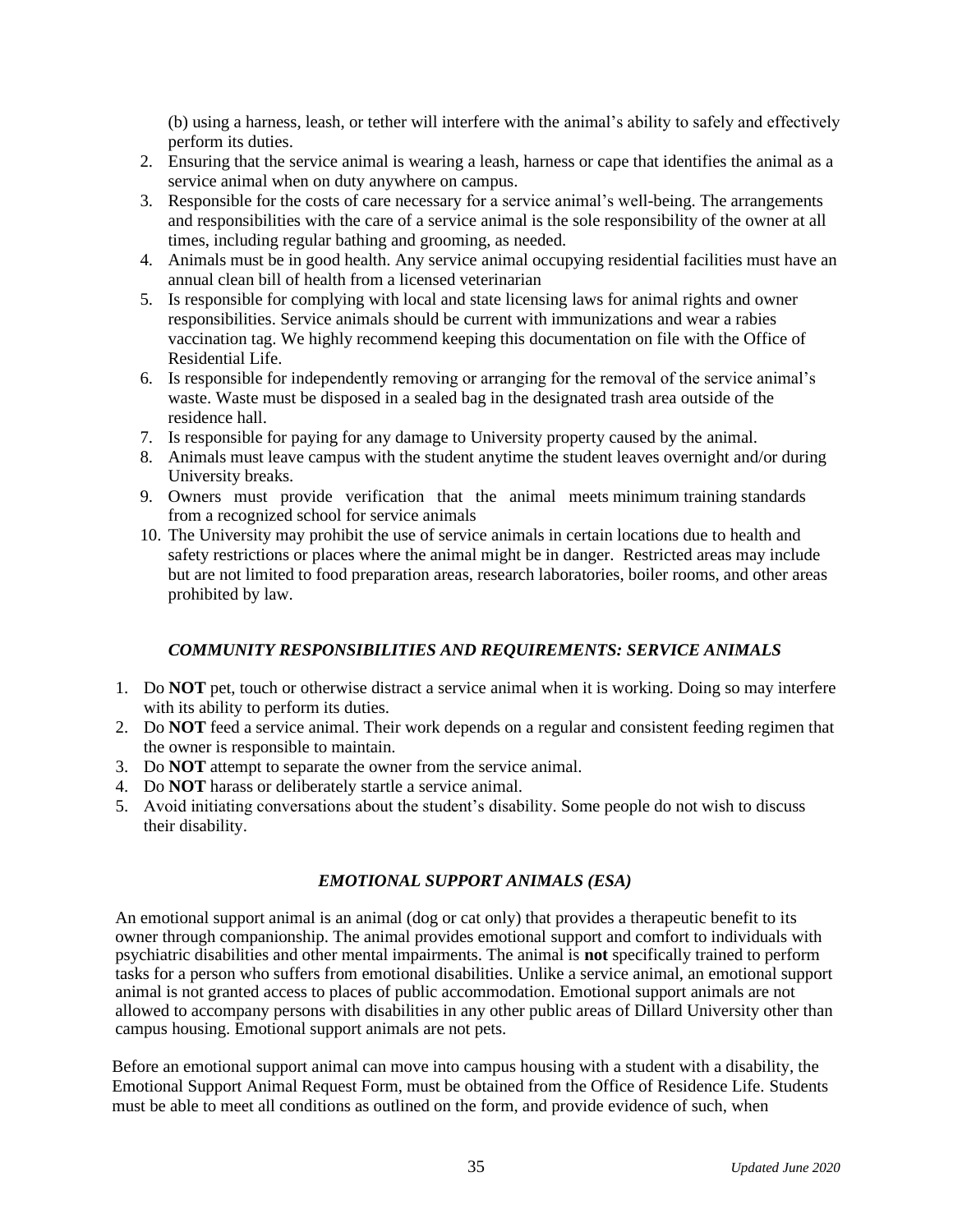(b) using a harness, leash, or tether will interfere with the animal's ability to safely and effectively perform its duties.

- 2. Ensuring that the service animal is wearing a leash, harness or cape that identifies the animal as a service animal when on duty anywhere on campus.
- 3. Responsible for the costs of care necessary for a service animal's well-being. The arrangements and responsibilities with the care of a service animal is the sole responsibility of the owner at all times, including regular bathing and grooming, as needed.
- 4. Animals must be in good health. Any service animal occupying residential facilities must have an annual clean bill of health from a licensed veterinarian
- 5. Is responsible for complying with local and state licensing laws for animal rights and owner responsibilities. Service animals should be current with immunizations and wear a rabies vaccination tag. We highly recommend keeping this documentation on file with the Office of Residential Life.
- 6. Is responsible for independently removing or arranging for the removal of the service animal's waste. Waste must be disposed in a sealed bag in the designated trash area outside of the residence hall.
- 7. Is responsible for paying for any damage to University property caused by the animal.
- 8. Animals must leave campus with the student anytime the student leaves overnight and/or during University breaks.
- 9. Owners must provide verification that the animal meets minimum training standards from a recognized school for service animals
- 10. The University may prohibit the use of service animals in certain locations due to health and safety restrictions or places where the animal might be in danger. Restricted areas may include but are not limited to food preparation areas, research laboratories, boiler rooms, and other areas prohibited by law.

#### *COMMUNITY RESPONSIBILITIES AND REQUIREMENTS: SERVICE ANIMALS*

- 1. Do **NOT** pet, touch or otherwise distract a service animal when it is working. Doing so may interfere with its ability to perform its duties.
- 2. Do **NOT** feed a service animal. Their work depends on a regular and consistent feeding regimen that the owner is responsible to maintain.
- 3. Do **NOT** attempt to separate the owner from the service animal.
- 4. Do **NOT** harass or deliberately startle a service animal.
- 5. Avoid initiating conversations about the student's disability. Some people do not wish to discuss their disability.

#### *EMOTIONAL SUPPORT ANIMALS (ESA)*

An emotional support animal is an animal (dog or cat only) that provides a therapeutic benefit to its owner through companionship. The animal provides emotional support and comfort to individuals with psychiatric disabilities and other mental impairments. The animal is **not** specifically trained to perform tasks for a person who suffers from emotional disabilities. Unlike a service animal, an emotional support animal is not granted access to places of public accommodation. Emotional support animals are not allowed to accompany persons with disabilities in any other public areas of Dillard University other than campus housing. Emotional support animals are not pets.

Before an emotional support animal can move into campus housing with a student with a disability, the Emotional Support Animal Request Form, must be obtained from the Office of Residence Life. Students must be able to meet all conditions as outlined on the form, and provide evidence of such, when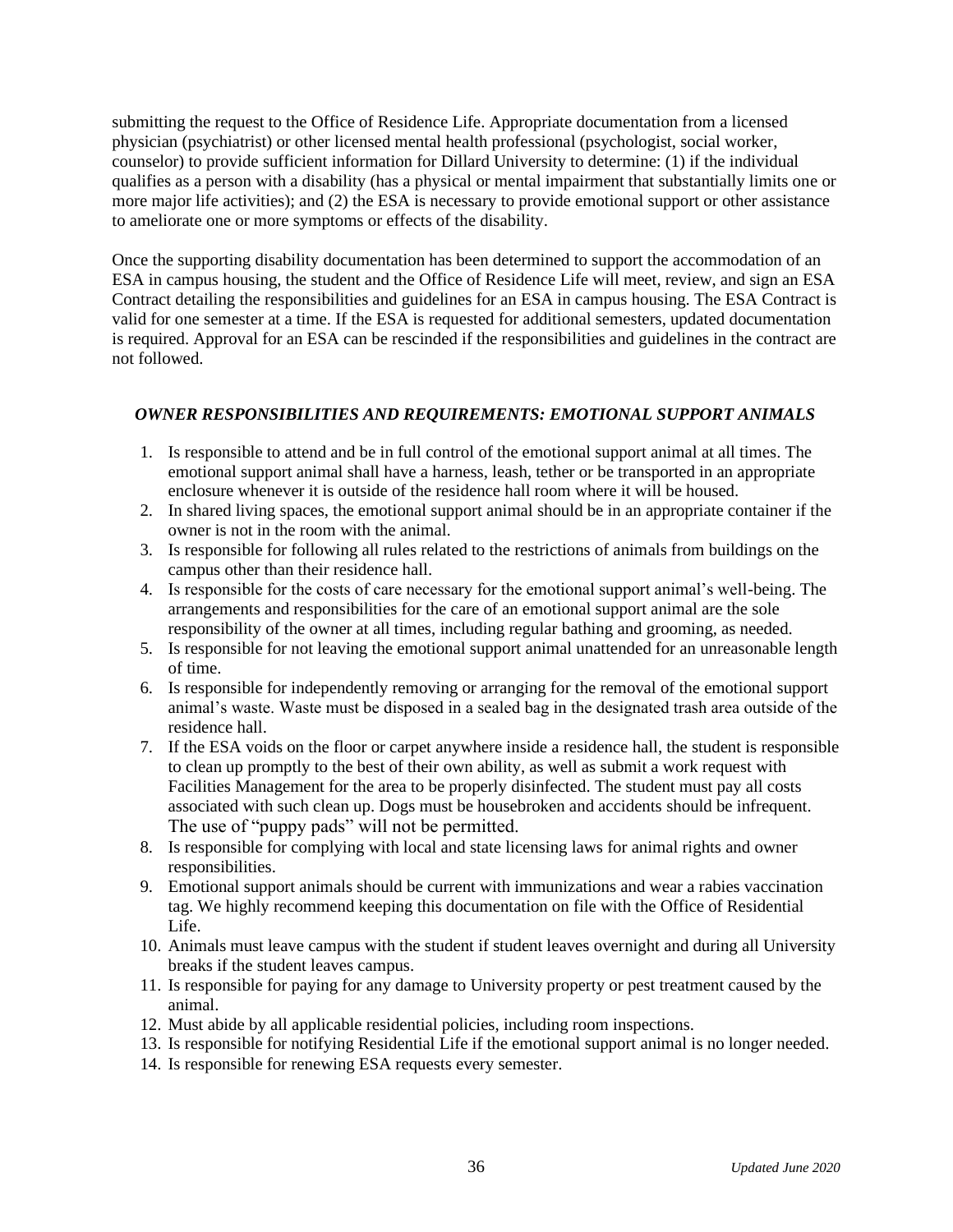submitting the request to the Office of Residence Life. Appropriate documentation from a licensed physician (psychiatrist) or other licensed mental health professional (psychologist, social worker, counselor) to provide sufficient information for Dillard University to determine: (1) if the individual qualifies as a person with a disability (has a physical or mental impairment that substantially limits one or more major life activities); and (2) the ESA is necessary to provide emotional support or other assistance to ameliorate one or more symptoms or effects of the disability.

Once the supporting disability documentation has been determined to support the accommodation of an ESA in campus housing, the student and the Office of Residence Life will meet, review, and sign an ESA Contract detailing the responsibilities and guidelines for an ESA in campus housing. The ESA Contract is valid for one semester at a time. If the ESA is requested for additional semesters, updated documentation is required. Approval for an ESA can be rescinded if the responsibilities and guidelines in the contract are not followed.

#### *OWNER RESPONSIBILITIES AND REQUIREMENTS: EMOTIONAL SUPPORT ANIMALS*

- 1. Is responsible to attend and be in full control of the emotional support animal at all times. The emotional support animal shall have a harness, leash, tether or be transported in an appropriate enclosure whenever it is outside of the residence hall room where it will be housed.
- 2. In shared living spaces, the emotional support animal should be in an appropriate container if the owner is not in the room with the animal.
- 3. Is responsible for following all rules related to the restrictions of animals from buildings on the campus other than their residence hall.
- 4. Is responsible for the costs of care necessary for the emotional support animal's well-being. The arrangements and responsibilities for the care of an emotional support animal are the sole responsibility of the owner at all times, including regular bathing and grooming, as needed.
- 5. Is responsible for not leaving the emotional support animal unattended for an unreasonable length of time.
- 6. Is responsible for independently removing or arranging for the removal of the emotional support animal's waste. Waste must be disposed in a sealed bag in the designated trash area outside of the residence hall.
- 7. If the ESA voids on the floor or carpet anywhere inside a residence hall, the student is responsible to clean up promptly to the best of their own ability, as well as submit a work request with Facilities Management for the area to be properly disinfected. The student must pay all costs associated with such clean up. Dogs must be housebroken and accidents should be infrequent. The use of "puppy pads" will not be permitted.
- 8. Is responsible for complying with local and state licensing laws for animal rights and owner responsibilities.
- 9. Emotional support animals should be current with immunizations and wear a rabies vaccination tag. We highly recommend keeping this documentation on file with the Office of Residential Life.
- 10. Animals must leave campus with the student if student leaves overnight and during all University breaks if the student leaves campus.
- 11. Is responsible for paying for any damage to University property or pest treatment caused by the animal.
- 12. Must abide by all applicable residential policies, including room inspections.
- 13. Is responsible for notifying Residential Life if the emotional support animal is no longer needed.
- 14. Is responsible for renewing ESA requests every semester.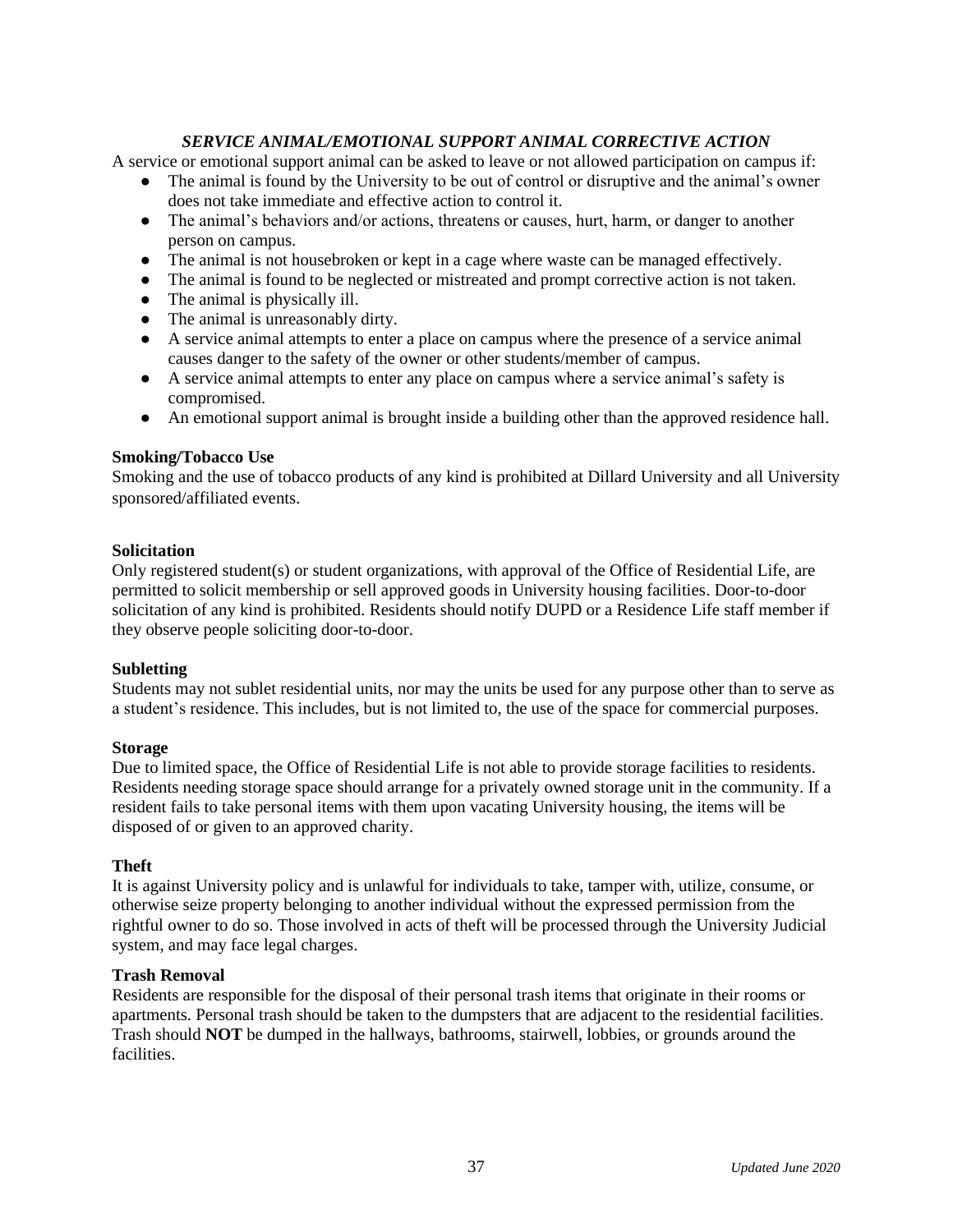#### *SERVICE ANIMAL/EMOTIONAL SUPPORT ANIMAL CORRECTIVE ACTION*

A service or emotional support animal can be asked to leave or not allowed participation on campus if:

- The animal is found by the University to be out of control or disruptive and the animal's owner does not take immediate and effective action to control it.
- The animal's behaviors and/or actions, threatens or causes, hurt, harm, or danger to another person on campus.
- The animal is not housebroken or kept in a cage where waste can be managed effectively.
- The animal is found to be neglected or mistreated and prompt corrective action is not taken.
- The animal is physically ill.
- The animal is unreasonably dirty.
- A service animal attempts to enter a place on campus where the presence of a service animal causes danger to the safety of the owner or other students/member of campus.
- A service animal attempts to enter any place on campus where a service animal's safety is compromised.
- An emotional support animal is brought inside a building other than the approved residence hall.

#### **Smoking/Tobacco Use**

Smoking and the use of tobacco products of any kind is prohibited at Dillard University and all University sponsored/affiliated events.

#### **Solicitation**

Only registered student(s) or student organizations, with approval of the Office of Residential Life, are permitted to solicit membership or sell approved goods in University housing facilities. Door-to-door solicitation of any kind is prohibited. Residents should notify DUPD or a Residence Life staff member if they observe people soliciting door-to-door.

#### **Subletting**

Students may not sublet residential units, nor may the units be used for any purpose other than to serve as a student's residence. This includes, but is not limited to, the use of the space for commercial purposes.

#### **Storage**

Due to limited space, the Office of Residential Life is not able to provide storage facilities to residents. Residents needing storage space should arrange for a privately owned storage unit in the community. If a resident fails to take personal items with them upon vacating University housing, the items will be disposed of or given to an approved charity.

#### **Theft**

It is against University policy and is unlawful for individuals to take, tamper with, utilize, consume, or otherwise seize property belonging to another individual without the expressed permission from the rightful owner to do so. Those involved in acts of theft will be processed through the University Judicial system, and may face legal charges.

#### **Trash Removal**

Residents are responsible for the disposal of their personal trash items that originate in their rooms or apartments. Personal trash should be taken to the dumpsters that are adjacent to the residential facilities. Trash should **NOT** be dumped in the hallways, bathrooms, stairwell, lobbies, or grounds around the facilities.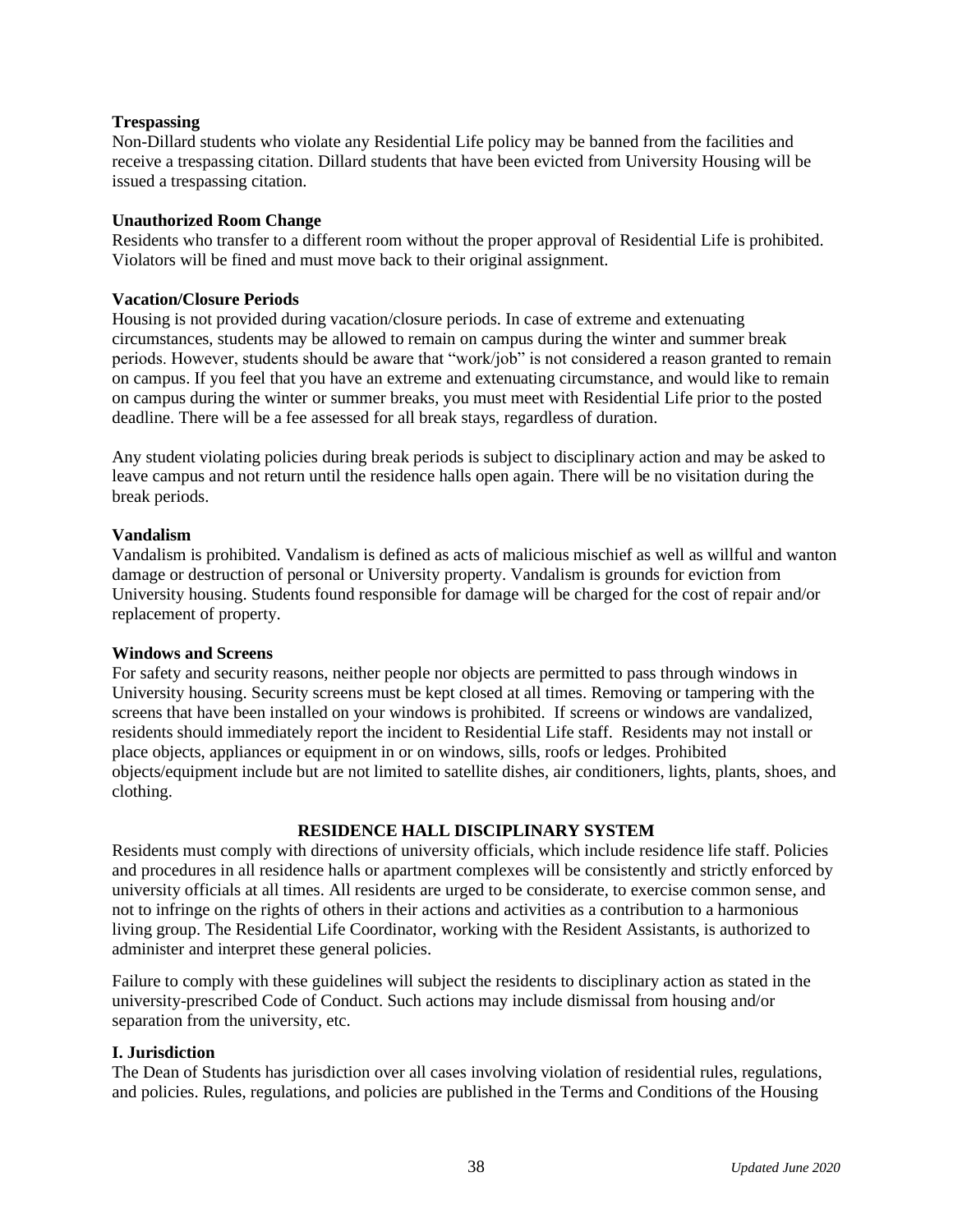#### **Trespassing**

Non-Dillard students who violate any Residential Life policy may be banned from the facilities and receive a trespassing citation. Dillard students that have been evicted from University Housing will be issued a trespassing citation.

#### **Unauthorized Room Change**

Residents who transfer to a different room without the proper approval of Residential Life is prohibited. Violators will be fined and must move back to their original assignment.

#### **Vacation/Closure Periods**

Housing is not provided during vacation/closure periods. In case of extreme and extenuating circumstances, students may be allowed to remain on campus during the winter and summer break periods. However, students should be aware that "work/job" is not considered a reason granted to remain on campus. If you feel that you have an extreme and extenuating circumstance, and would like to remain on campus during the winter or summer breaks, you must meet with Residential Life prior to the posted deadline. There will be a fee assessed for all break stays, regardless of duration.

Any student violating policies during break periods is subject to disciplinary action and may be asked to leave campus and not return until the residence halls open again. There will be no visitation during the break periods.

#### **Vandalism**

Vandalism is prohibited. Vandalism is defined as acts of malicious mischief as well as willful and wanton damage or destruction of personal or University property. Vandalism is grounds for eviction from University housing. Students found responsible for damage will be charged for the cost of repair and/or replacement of property.

#### **Windows and Screens**

For safety and security reasons, neither people nor objects are permitted to pass through windows in University housing. Security screens must be kept closed at all times. Removing or tampering with the screens that have been installed on your windows is prohibited. If screens or windows are vandalized, residents should immediately report the incident to Residential Life staff. Residents may not install or place objects, appliances or equipment in or on windows, sills, roofs or ledges. Prohibited objects/equipment include but are not limited to satellite dishes, air conditioners, lights, plants, shoes, and clothing.

#### **RESIDENCE HALL DISCIPLINARY SYSTEM**

Residents must comply with directions of university officials, which include residence life staff. Policies and procedures in all residence halls or apartment complexes will be consistently and strictly enforced by university officials at all times. All residents are urged to be considerate, to exercise common sense, and not to infringe on the rights of others in their actions and activities as a contribution to a harmonious living group. The Residential Life Coordinator, working with the Resident Assistants, is authorized to administer and interpret these general policies.

Failure to comply with these guidelines will subject the residents to disciplinary action as stated in the university-prescribed Code of Conduct. Such actions may include dismissal from housing and/or separation from the university, etc.

#### **I. Jurisdiction**

The Dean of Students has jurisdiction over all cases involving violation of residential rules, regulations, and policies. Rules, regulations, and policies are published in the Terms and Conditions of the Housing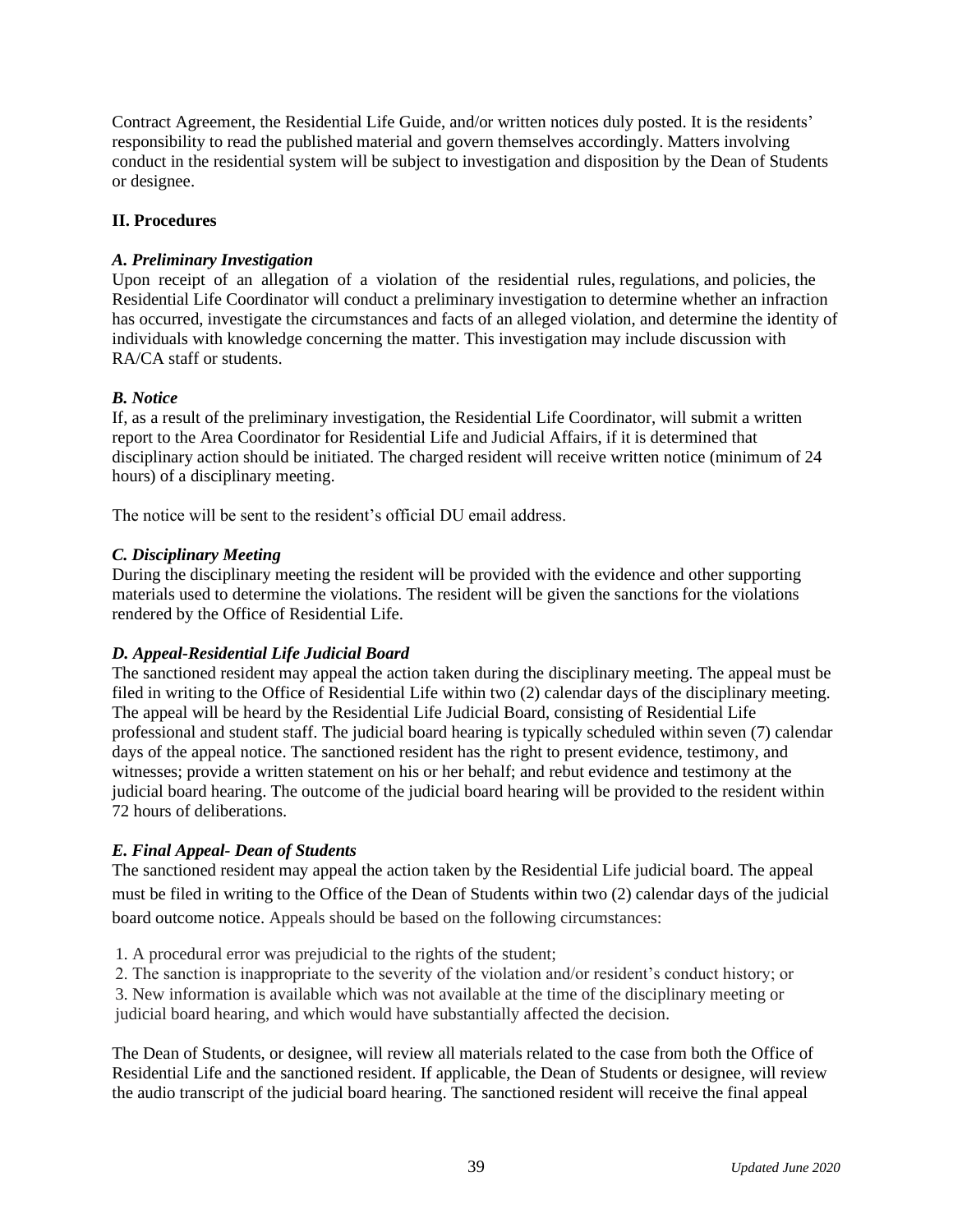Contract Agreement, the Residential Life Guide, and/or written notices duly posted. It is the residents' responsibility to read the published material and govern themselves accordingly. Matters involving conduct in the residential system will be subject to investigation and disposition by the Dean of Students or designee.

#### **II. Procedures**

#### *A. Preliminary Investigation*

Upon receipt of an allegation of a violation of the residential rules, regulations, and policies, the Residential Life Coordinator will conduct a preliminary investigation to determine whether an infraction has occurred, investigate the circumstances and facts of an alleged violation, and determine the identity of individuals with knowledge concerning the matter. This investigation may include discussion with RA/CA staff or students.

#### *B. Notice*

If, as a result of the preliminary investigation, the Residential Life Coordinator, will submit a written report to the Area Coordinator for Residential Life and Judicial Affairs, if it is determined that disciplinary action should be initiated. The charged resident will receive written notice (minimum of 24 hours) of a disciplinary meeting.

The notice will be sent to the resident's official DU email address.

#### *C. Disciplinary Meeting*

During the disciplinary meeting the resident will be provided with the evidence and other supporting materials used to determine the violations. The resident will be given the sanctions for the violations rendered by the Office of Residential Life.

#### *D. Appeal-Residential Life Judicial Board*

The sanctioned resident may appeal the action taken during the disciplinary meeting. The appeal must be filed in writing to the Office of Residential Life within two (2) calendar days of the disciplinary meeting. The appeal will be heard by the Residential Life Judicial Board, consisting of Residential Life professional and student staff. The judicial board hearing is typically scheduled within seven (7) calendar days of the appeal notice. The sanctioned resident has the right to present evidence, testimony, and witnesses; provide a written statement on his or her behalf; and rebut evidence and testimony at the judicial board hearing. The outcome of the judicial board hearing will be provided to the resident within 72 hours of deliberations.

#### *E. Final Appeal- Dean of Students*

The sanctioned resident may appeal the action taken by the Residential Life judicial board. The appeal must be filed in writing to the Office of the Dean of Students within two (2) calendar days of the judicial board outcome notice. Appeals should be based on the following circumstances:

- 1. A procedural error was prejudicial to the rights of the student;
- 2. The sanction is inappropriate to the severity of the violation and/or resident's conduct history; or

3. New information is available which was not available at the time of the disciplinary meeting or judicial board hearing, and which would have substantially affected the decision.

The Dean of Students, or designee, will review all materials related to the case from both the Office of Residential Life and the sanctioned resident. If applicable, the Dean of Students or designee, will review the audio transcript of the judicial board hearing. The sanctioned resident will receive the final appeal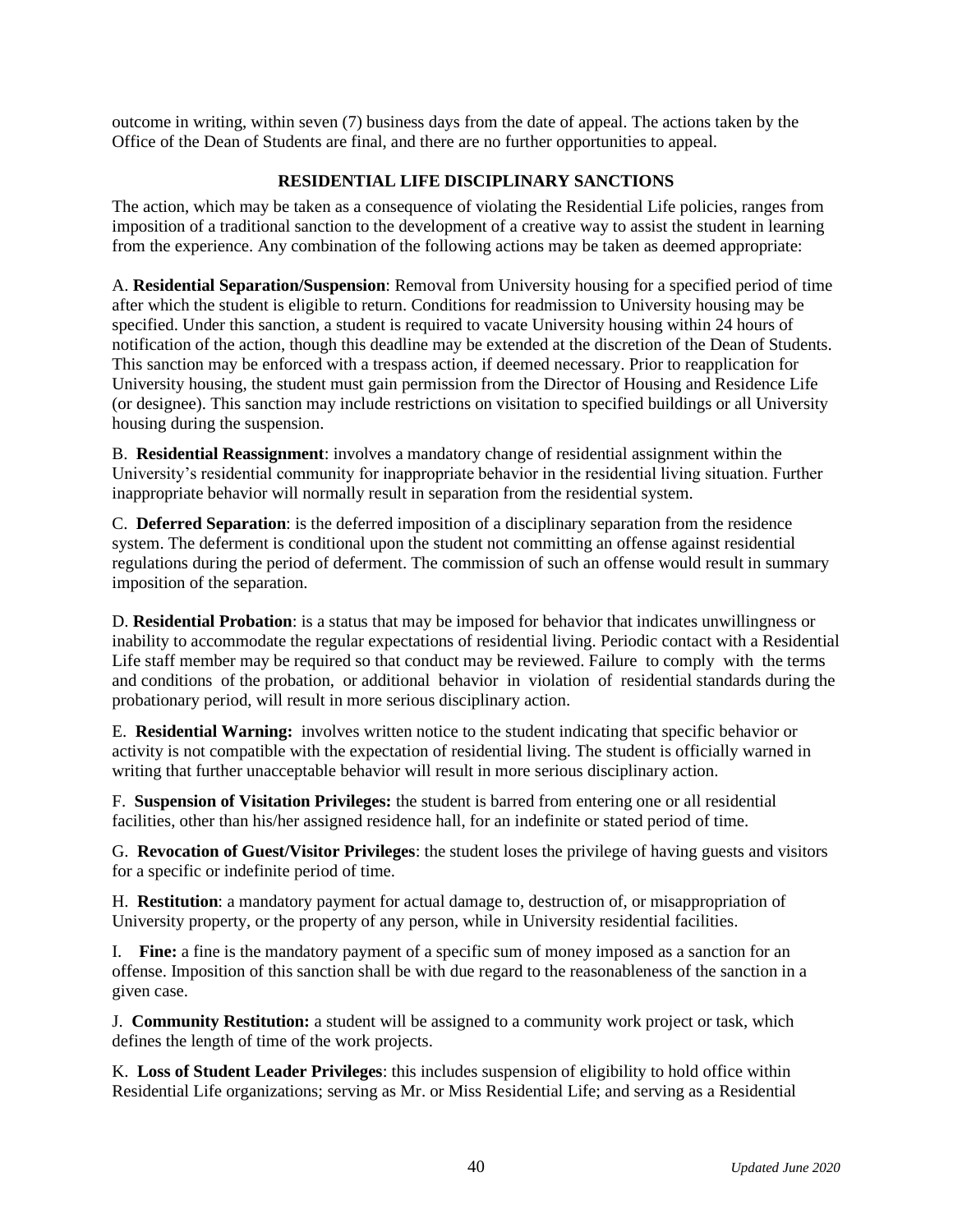outcome in writing, within seven (7) business days from the date of appeal. The actions taken by the Office of the Dean of Students are final, and there are no further opportunities to appeal.

#### **RESIDENTIAL LIFE DISCIPLINARY SANCTIONS**

The action, which may be taken as a consequence of violating the Residential Life policies, ranges from imposition of a traditional sanction to the development of a creative way to assist the student in learning from the experience. Any combination of the following actions may be taken as deemed appropriate:

A. **Residential Separation/Suspension**: Removal from University housing for a specified period of time after which the student is eligible to return. Conditions for readmission to University housing may be specified. Under this sanction, a student is required to vacate University housing within 24 hours of notification of the action, though this deadline may be extended at the discretion of the Dean of Students. This sanction may be enforced with a trespass action, if deemed necessary. Prior to reapplication for University housing, the student must gain permission from the Director of Housing and Residence Life (or designee). This sanction may include restrictions on visitation to specified buildings or all University housing during the suspension.

B. **Residential Reassignment**: involves a mandatory change of residential assignment within the University's residential community for inappropriate behavior in the residential living situation. Further inappropriate behavior will normally result in separation from the residential system.

C. **Deferred Separation**: is the deferred imposition of a disciplinary separation from the residence system. The deferment is conditional upon the student not committing an offense against residential regulations during the period of deferment. The commission of such an offense would result in summary imposition of the separation.

D. **Residential Probation**: is a status that may be imposed for behavior that indicates unwillingness or inability to accommodate the regular expectations of residential living. Periodic contact with a Residential Life staff member may be required so that conduct may be reviewed. Failure to comply with the terms and conditions of the probation, or additional behavior in violation of residential standards during the probationary period, will result in more serious disciplinary action.

E. **Residential Warning:** involves written notice to the student indicating that specific behavior or activity is not compatible with the expectation of residential living. The student is officially warned in writing that further unacceptable behavior will result in more serious disciplinary action.

F. **Suspension of Visitation Privileges:** the student is barred from entering one or all residential facilities, other than his/her assigned residence hall, for an indefinite or stated period of time.

G. **Revocation of Guest/Visitor Privileges**: the student loses the privilege of having guests and visitors for a specific or indefinite period of time.

H. **Restitution**: a mandatory payment for actual damage to, destruction of, or misappropriation of University property, or the property of any person, while in University residential facilities.

I. **Fine:** a fine is the mandatory payment of a specific sum of money imposed as a sanction for an offense. Imposition of this sanction shall be with due regard to the reasonableness of the sanction in a given case.

J. **Community Restitution:** a student will be assigned to a community work project or task, which defines the length of time of the work projects.

K. **Loss of Student Leader Privileges**: this includes suspension of eligibility to hold office within Residential Life organizations; serving as Mr. or Miss Residential Life; and serving as a Residential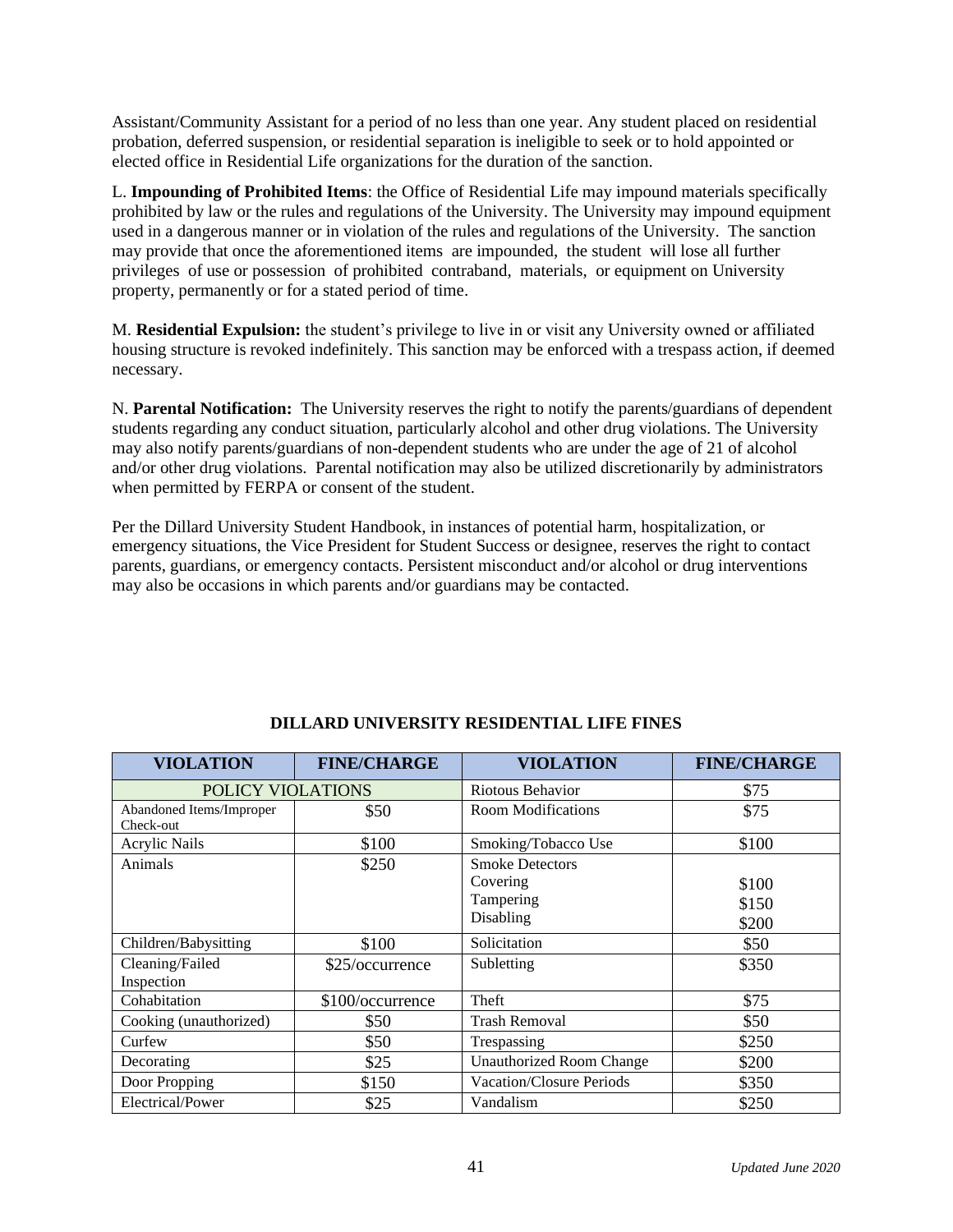Assistant/Community Assistant for a period of no less than one year. Any student placed on residential probation, deferred suspension, or residential separation is ineligible to seek or to hold appointed or elected office in Residential Life organizations for the duration of the sanction.

L. **Impounding of Prohibited Items**: the Office of Residential Life may impound materials specifically prohibited by law or the rules and regulations of the University. The University may impound equipment used in a dangerous manner or in violation of the rules and regulations of the University. The sanction may provide that once the aforementioned items are impounded, the student will lose all further privileges of use or possession of prohibited contraband, materials, or equipment on University property, permanently or for a stated period of time.

M. **Residential Expulsion:** the student's privilege to live in or visit any University owned or affiliated housing structure is revoked indefinitely. This sanction may be enforced with a trespass action, if deemed necessary.

N. **Parental Notification:** The University reserves the right to notify the parents/guardians of dependent students regarding any conduct situation, particularly alcohol and other drug violations. The University may also notify parents/guardians of non-dependent students who are under the age of 21 of alcohol and/or other drug violations. Parental notification may also be utilized discretionarily by administrators when permitted by FERPA or consent of the student.

Per the Dillard University Student Handbook, in instances of potential harm, hospitalization, or emergency situations, the Vice President for Student Success or designee, reserves the right to contact parents, guardians, or emergency contacts. Persistent misconduct and/or alcohol or drug interventions may also be occasions in which parents and/or guardians may be contacted.

| <b>VIOLATION</b>                      | <b>FINE/CHARGE</b> | <b>VIOLATION</b>                                | <b>FINE/CHARGE</b> |
|---------------------------------------|--------------------|-------------------------------------------------|--------------------|
| POLICY VIOLATIONS                     |                    | Riotous Behavior                                | \$75               |
| Abandoned Items/Improper<br>Check-out | \$50               | Room Modifications                              | \$75               |
| <b>Acrylic Nails</b>                  | \$100              | Smoking/Tobacco Use                             | \$100              |
| Animals                               | \$250              | <b>Smoke Detectors</b><br>Covering<br>Tampering | \$100<br>\$150     |
|                                       |                    | Disabling                                       | \$200              |
| Children/Babysitting                  | \$100              | Solicitation                                    | \$50               |
| Cleaning/Failed<br>Inspection         | \$25/occurrence    | Subletting                                      | \$350              |
| Cohabitation                          | \$100/occurrence   | Theft                                           | \$75               |
| Cooking (unauthorized)                | \$50               | <b>Trash Removal</b>                            | \$50               |
| Curfew                                | \$50               | Trespassing                                     | \$250              |
| Decorating                            | \$25               | <b>Unauthorized Room Change</b>                 | \$200              |
| Door Propping                         | \$150              | <b>Vacation/Closure Periods</b>                 | \$350              |
| Electrical/Power                      | \$25               | Vandalism                                       | \$250              |

#### **DILLARD UNIVERSITY RESIDENTIAL LIFE FINES**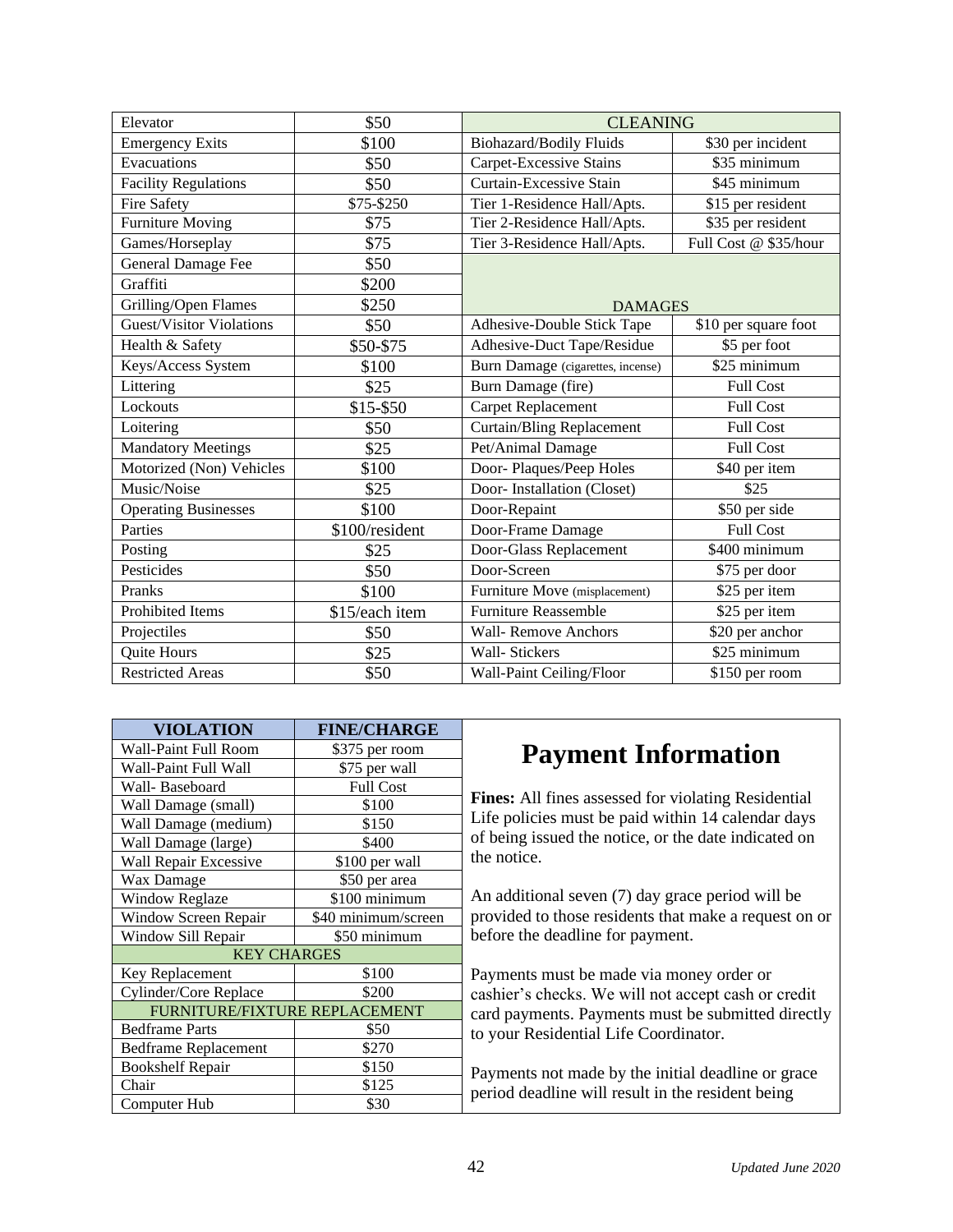| Elevator                        | \$50           | <b>CLEANING</b>                   |                           |
|---------------------------------|----------------|-----------------------------------|---------------------------|
| <b>Emergency Exits</b>          | \$100          | <b>Biohazard/Bodily Fluids</b>    | \$30 per incident         |
| Evacuations                     | \$50           | Carpet-Excessive Stains           | \$35 minimum              |
| <b>Facility Regulations</b>     | \$50           | Curtain-Excessive Stain           | \$45 minimum              |
| <b>Fire Safety</b>              | \$75-\$250     | Tier 1-Residence Hall/Apts.       | \$15 per resident         |
| <b>Furniture Moving</b>         | \$75           | Tier 2-Residence Hall/Apts.       | \$35 per resident         |
| Games/Horseplay                 | \$75           | Tier 3-Residence Hall/Apts.       | Full Cost @ \$35/hour     |
| General Damage Fee              | \$50           |                                   |                           |
| Graffiti                        | \$200          |                                   |                           |
| Grilling/Open Flames            | \$250          | <b>DAMAGES</b>                    |                           |
| <b>Guest/Visitor Violations</b> | \$50           | Adhesive-Double Stick Tape        | \$10 per square foot      |
| Health & Safety                 | \$50-\$75      | Adhesive-Duct Tape/Residue        | \$5 per foot              |
| Keys/Access System              | \$100          | Burn Damage (cigarettes, incense) | \$25 minimum              |
| Littering                       | \$25           | Burn Damage (fire)                | <b>Full Cost</b>          |
| Lockouts                        | \$15-\$50      | <b>Carpet Replacement</b>         | <b>Full Cost</b>          |
| Loitering                       | \$50           | <b>Curtain/Bling Replacement</b>  | <b>Full Cost</b>          |
| <b>Mandatory Meetings</b>       | \$25           | Pet/Animal Damage                 | <b>Full Cost</b>          |
| Motorized (Non) Vehicles        | \$100          | Door-Plaques/Peep Holes           | \$40 per item             |
| Music/Noise                     | \$25           | Door- Installation (Closet)       | \$25                      |
| <b>Operating Businesses</b>     | \$100          | Door-Repaint                      | $\overline{$}50$ per side |
| Parties                         | \$100/resident | Door-Frame Damage                 | <b>Full Cost</b>          |
| Posting                         | \$25           | Door-Glass Replacement            | \$400 minimum             |
| Pesticides                      | \$50           | Door-Screen                       | \$75 per door             |
| Pranks                          | \$100          | Furniture Move (misplacement)     | \$25 per item             |
| Prohibited Items                | \$15/each item | <b>Furniture Reassemble</b>       | \$25 per item             |
| Projectiles                     | \$50           | <b>Wall-Remove Anchors</b>        | \$20 per anchor           |
| Quite Hours                     | \$25           | Wall- Stickers                    | \$25 minimum              |
| <b>Restricted Areas</b>         | \$50           | Wall-Paint Ceiling/Floor          | \$150 per room            |

| <b>VIOLATION</b>              | <b>FINE/CHARGE</b>  |  |
|-------------------------------|---------------------|--|
| Wall-Paint Full Room          | \$375 per room      |  |
| Wall-Paint Full Wall          | \$75 per wall       |  |
| Wall- Baseboard               | <b>Full Cost</b>    |  |
| Wall Damage (small)           | \$100               |  |
| Wall Damage (medium)          | \$150               |  |
| Wall Damage (large)           | \$400               |  |
| Wall Repair Excessive         | \$100 per wall      |  |
| Wax Damage                    | \$50 per area       |  |
| <b>Window Reglaze</b>         | \$100 minimum       |  |
| Window Screen Repair          | \$40 minimum/screen |  |
| Window Sill Repair            | \$50 minimum        |  |
| <b>KEY CHARGES</b>            |                     |  |
| Key Replacement               | \$100               |  |
| Cylinder/Core Replace         | \$200               |  |
| FURNITURE/FIXTURE REPLACEMENT |                     |  |
| <b>Bedframe Parts</b>         | \$50                |  |
| <b>Bedframe Replacement</b>   | \$270               |  |
| <b>Bookshelf Repair</b>       | \$150               |  |
| Chair                         | \$125               |  |
| Computer Hub                  | \$30                |  |

### **Payment Information**

**Fines:** All fines assessed for violating Residential Life policies must be paid within 14 calendar days of being issued the notice, or the date indicated on the notice.

An additional seven (7) day grace period will be provided to those residents that make a request on or before the deadline for payment.

Payments must be made via money order or cashier's checks. We will not accept cash or credit card payments. Payments must be submitted directly to your Residential Life Coordinator.

Payments not made by the initial deadline or grace period deadline will result in the resident being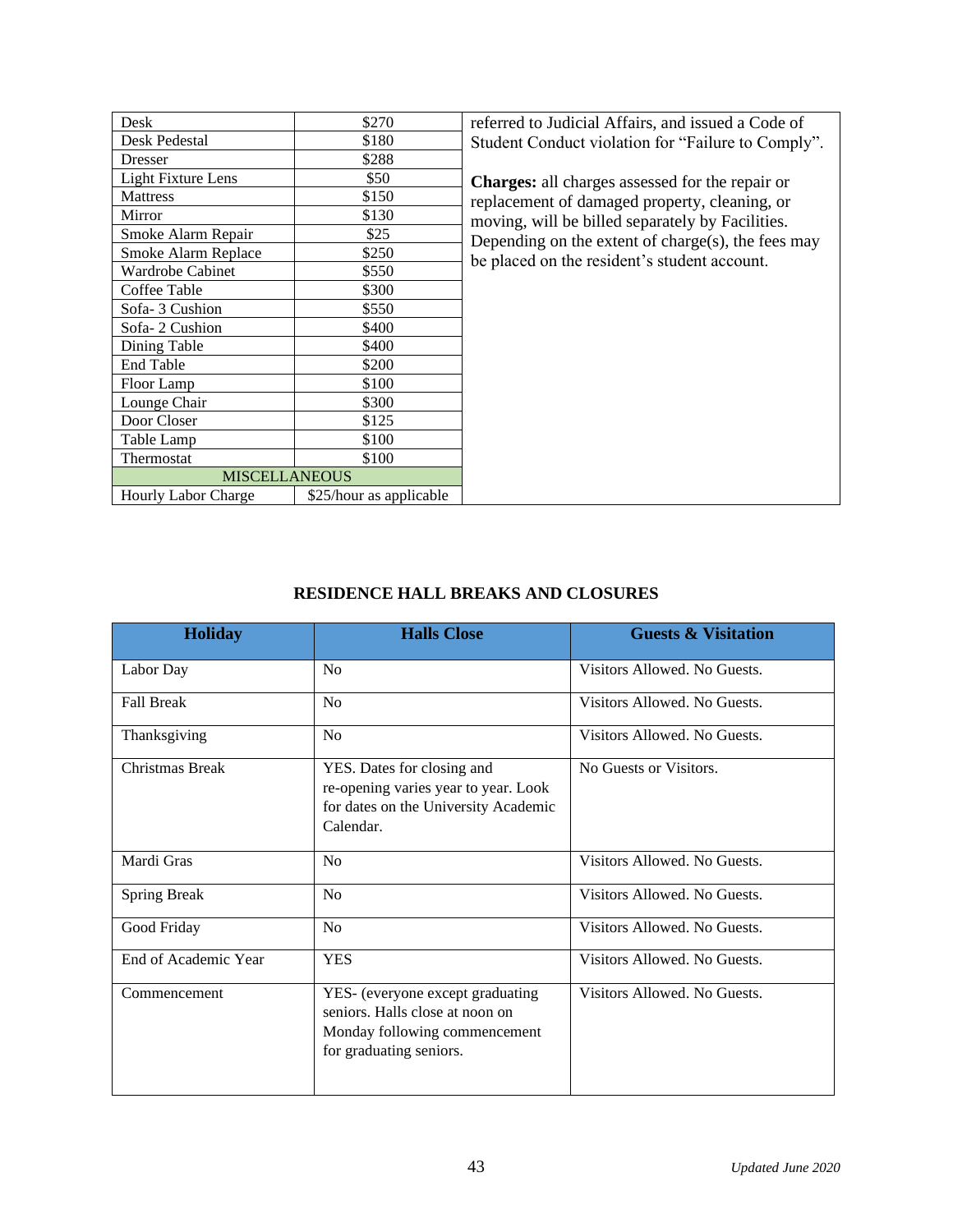| Desk                       | \$270                   |
|----------------------------|-------------------------|
| Desk Pedestal              | \$180                   |
| Dresser                    | \$288                   |
| <b>Light Fixture Lens</b>  | \$50                    |
| <b>Mattress</b>            | \$150                   |
| Mirror                     | \$130                   |
| Smoke Alarm Repair         | \$25                    |
| Smoke Alarm Replace        | \$250                   |
| Wardrobe Cabinet           | \$550                   |
| Coffee Table               | \$300                   |
| Sofa-3 Cushion             | \$550                   |
| Sofa-2 Cushion             | \$400                   |
| Dining Table               | \$400                   |
| <b>End Table</b>           | \$200                   |
| Floor Lamp                 | \$100                   |
| Lounge Chair               | \$300                   |
| Door Closer                | \$125                   |
| Table Lamp                 | \$100                   |
| Thermostat                 | \$100                   |
| <b>MISCELLANEOUS</b>       |                         |
| <b>Hourly Labor Charge</b> | \$25/hour as applicable |

referred to Judicial Affairs, and issued a Code of Student Conduct violation for "Failure to Comply".

**Charges:** all charges assessed for the repair or replacement of damaged property, cleaning, or moving, will be billed separately by Facilities. Depending on the extent of charge(s), the fees may be placed on the resident's student account.

#### **RESIDENCE HALL BREAKS AND CLOSURES**

| <b>Holiday</b>       | <b>Halls Close</b>                                                                                                              | <b>Guests &amp; Visitation</b> |
|----------------------|---------------------------------------------------------------------------------------------------------------------------------|--------------------------------|
| Labor Day            | No                                                                                                                              | Visitors Allowed. No Guests.   |
| <b>Fall Break</b>    | N <sub>o</sub>                                                                                                                  | Visitors Allowed. No Guests.   |
| Thanksgiving         | N <sub>o</sub>                                                                                                                  | Visitors Allowed. No Guests.   |
| Christmas Break      | YES. Dates for closing and<br>re-opening varies year to year. Look<br>for dates on the University Academic<br>Calendar.         | No Guests or Visitors.         |
| Mardi Gras           | N <sub>0</sub>                                                                                                                  | Visitors Allowed. No Guests.   |
| <b>Spring Break</b>  | N <sub>o</sub>                                                                                                                  | Visitors Allowed. No Guests.   |
| Good Friday          | No                                                                                                                              | Visitors Allowed. No Guests.   |
| End of Academic Year | <b>YES</b>                                                                                                                      | Visitors Allowed. No Guests.   |
| Commencement         | YES- (everyone except graduating<br>seniors. Halls close at noon on<br>Monday following commencement<br>for graduating seniors. | Visitors Allowed. No Guests.   |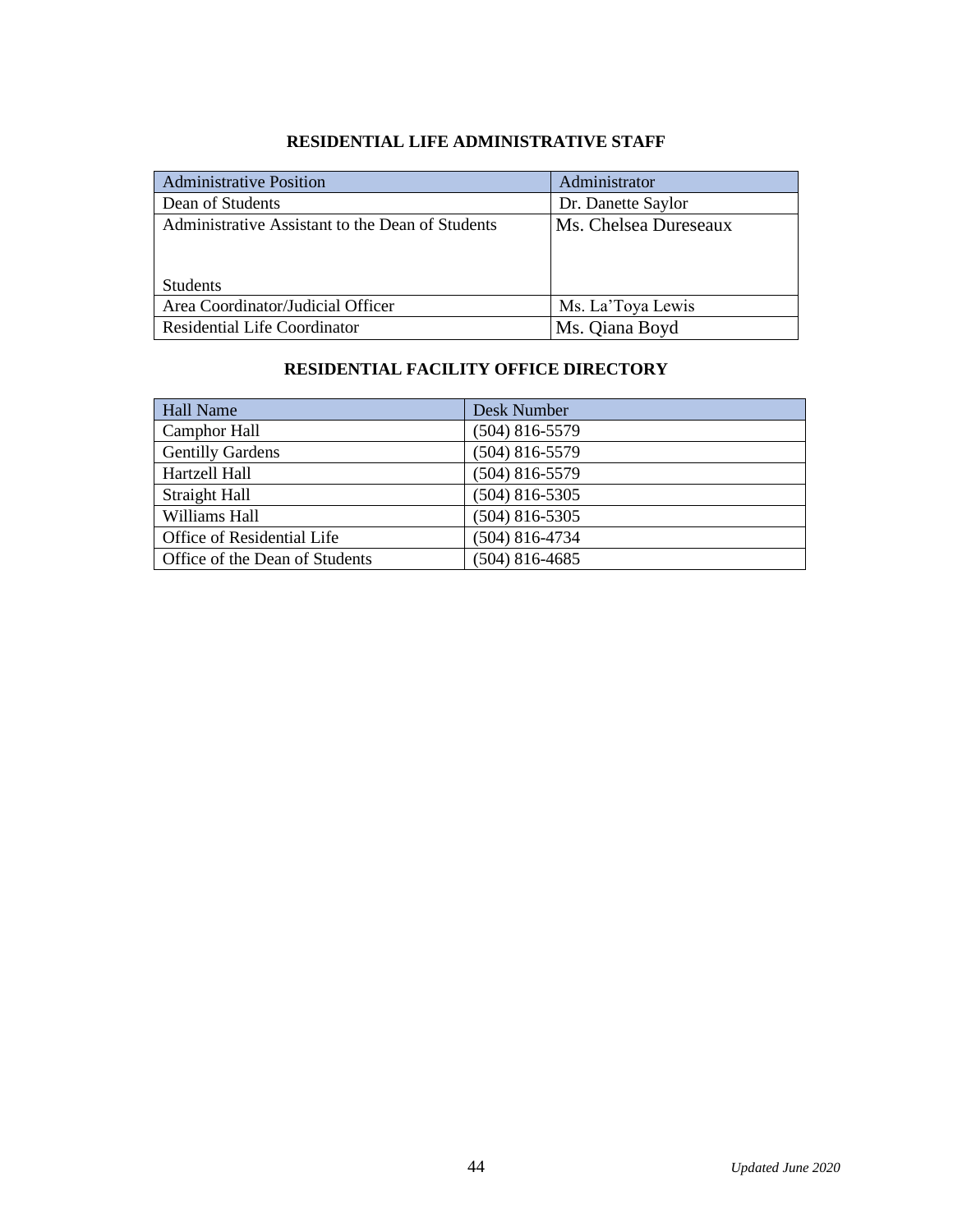| <b>Administrative Position</b>                   | Administrator         |
|--------------------------------------------------|-----------------------|
| Dean of Students                                 | Dr. Danette Saylor    |
| Administrative Assistant to the Dean of Students | Ms. Chelsea Dureseaux |
| <b>Students</b>                                  |                       |
| Area Coordinator/Judicial Officer                | Ms. La'Toya Lewis     |
| <b>Residential Life Coordinator</b>              | Ms. Qiana Boyd        |

#### **RESIDENTIAL LIFE ADMINISTRATIVE STAFF**

#### **RESIDENTIAL FACILITY OFFICE DIRECTORY**

| <b>Hall Name</b>                      | Desk Number      |
|---------------------------------------|------------------|
| <b>Camphor Hall</b>                   | $(504)$ 816-5579 |
| <b>Gentilly Gardens</b>               | $(504)$ 816-5579 |
| Hartzell Hall                         | $(504)$ 816-5579 |
| Straight Hall                         | $(504)$ 816-5305 |
| Williams Hall                         | $(504)$ 816-5305 |
| Office of Residential Life            | $(504)$ 816-4734 |
| <b>Office of the Dean of Students</b> | $(504)$ 816-4685 |